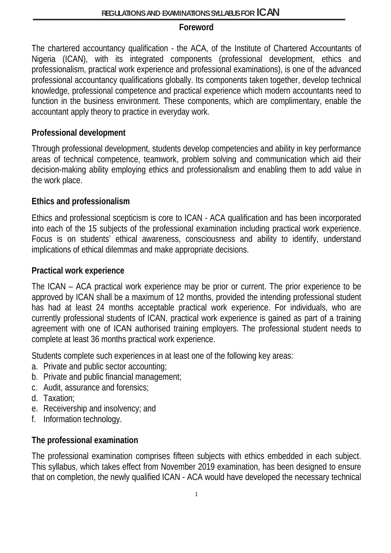#### **Foreword**

The chartered accountancy qualification - the ACA, of the Institute of Chartered Accountants of Nigeria (ICAN), with its integrated components (professional development, ethics and professionalism, practical work experience and professional examinations), is one of the advanced professional accountancy qualifications globally. Its components taken together, develop technical knowledge, professional competence and practical experience which modern accountants need to function in the business environment. These components, which are complimentary, enable the accountant apply theory to practice in everyday work.

#### **Professional development**

Through professional development, students develop competencies and ability in key performance areas of technical competence, teamwork, problem solving and communication which aid their decision-making ability employing ethics and professionalism and enabling them to add value in the work place.

#### **Ethics and professionalism**

Ethics and professional scepticism is core to ICAN - ACA qualification and has been incorporated into each of the 15 subjects of the professional examination including practical work experience. Focus is on students' ethical awareness, consciousness and ability to identify, understand implications of ethical dilemmas and make appropriate decisions.

#### **Practical work experience**

The ICAN – ACA practical work experience may be prior or current. The prior experience to be approved by ICAN shall be a maximum of 12 months, provided the intending professional student has had at least 24 months acceptable practical work experience. For individuals, who are currently professional students of ICAN, practical work experience is gained as part of a training agreement with one of ICAN authorised training employers. The professional student needs to complete at least 36 months practical work experience.

Students complete such experiences in at least one of the following key areas:

- a. Private and public sector accounting;
- b. Private and public financial management;
- c. Audit, assurance and forensics;
- d. Taxation;
- e. Receivership and insolvency; and
- f. Information technology.

#### **The professional examination**

The professional examination comprises fifteen subjects with ethics embedded in each subject. This syllabus, which takes effect from November 2019 examination, has been designed to ensure that on completion, the newly qualified ICAN - ACA would have developed the necessary technical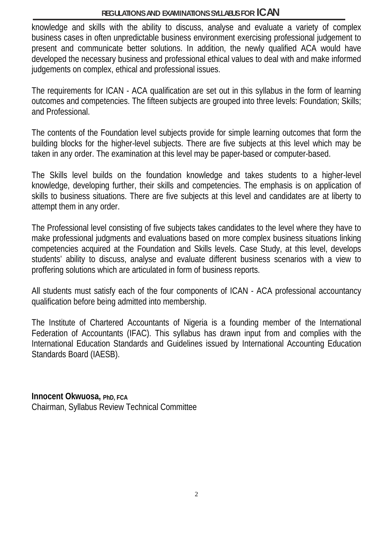knowledge and skills with the ability to discuss, analyse and evaluate a variety of complex business cases in often unpredictable business environment exercising professional judgement to present and communicate better solutions. In addition, the newly qualified ACA would have developed the necessary business and professional ethical values to deal with and make informed judgements on complex, ethical and professional issues.

The requirements for ICAN - ACA qualification are set out in this syllabus in the form of learning outcomes and competencies. The fifteen subjects are grouped into three levels: Foundation; Skills; and Professional.

The contents of the Foundation level subjects provide for simple learning outcomes that form the building blocks for the higher-level subjects. There are five subjects at this level which may be taken in any order. The examination at this level may be paper-based or computer-based.

The Skills level builds on the foundation knowledge and takes students to a higher-level knowledge, developing further, their skills and competencies. The emphasis is on application of skills to business situations. There are five subjects at this level and candidates are at liberty to attempt them in any order.

The Professional level consisting of five subjects takes candidates to the level where they have to make professional judgments and evaluations based on more complex business situations linking competencies acquired at the Foundation and Skills levels. Case Study, at this level, develops students' ability to discuss, analyse and evaluate different business scenarios with a view to proffering solutions which are articulated in form of business reports.

All students must satisfy each of the four components of ICAN - ACA professional accountancy qualification before being admitted into membership.

The Institute of Chartered Accountants of Nigeria is a founding member of the International Federation of Accountants (IFAC). This syllabus has drawn input from and complies with the International Education Standards and Guidelines issued by International Accounting Education Standards Board (IAESB).

**Innocent Okwuosa, PhD, FCA** Chairman, Syllabus Review Technical Committee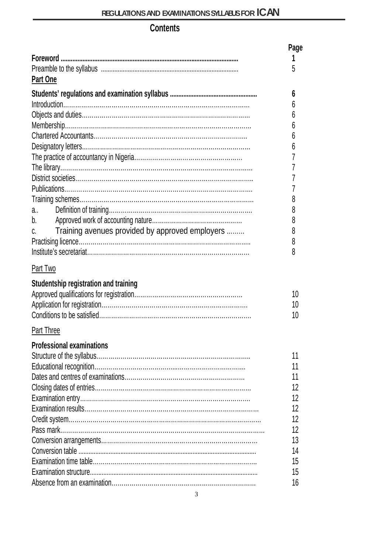# **Contents**

|                                                       | Page |
|-------------------------------------------------------|------|
|                                                       |      |
|                                                       | 5    |
| Part One                                              |      |
|                                                       | 6    |
|                                                       | h    |
|                                                       | h    |
|                                                       | h    |
|                                                       | b    |
|                                                       | 6    |
|                                                       |      |
|                                                       |      |
|                                                       |      |
|                                                       |      |
|                                                       | 8    |
| $a_{\cdot}$ and $a_{\cdot}$                           | 8    |
| b.                                                    | 8    |
| Training avenues provided by approved employers<br>C. | 8    |
|                                                       | 8    |
|                                                       | 8    |
|                                                       |      |
| Part Two                                              |      |
| Studentship registration and training                 |      |
|                                                       | 10   |
|                                                       | 10   |
|                                                       | 10   |
| Part Three                                            |      |
|                                                       |      |
| <b>Professional examinations</b>                      |      |
|                                                       | 11   |
|                                                       | 11   |
|                                                       | 11   |
|                                                       | 12   |
|                                                       | 12   |
|                                                       | 12   |
|                                                       | 12   |
|                                                       | 12   |
|                                                       | 13   |
|                                                       | 14   |
|                                                       | 15   |
|                                                       | 15   |
|                                                       | 16   |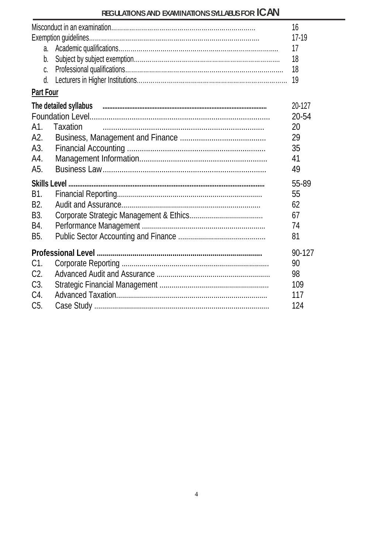|                  |                                                                               | 16     |
|------------------|-------------------------------------------------------------------------------|--------|
|                  |                                                                               | 17-19  |
|                  |                                                                               | 17     |
| b.               |                                                                               | 18     |
| C.               |                                                                               | 18     |
| d.               |                                                                               | 19     |
| Part Four        |                                                                               |        |
|                  | The detailed syllabus <i>authorities and a contract the detailed</i> syllabus | 20-127 |
|                  |                                                                               | 20-54  |
|                  | A1. Taxation                                                                  | 20     |
|                  |                                                                               | 29     |
| A3.              |                                                                               | 35     |
| A4.              |                                                                               | 41     |
| A5.              |                                                                               | 49     |
|                  |                                                                               | 55-89  |
| B1.              |                                                                               | 55     |
| B <sub>2</sub> . |                                                                               | 62     |
| B3.              |                                                                               | 67     |
| B4.              |                                                                               | 74     |
| B5.              |                                                                               | 81     |
|                  |                                                                               | 90-127 |
| C1.              |                                                                               | 90     |
| C <sub>2</sub>   |                                                                               | 98     |
| C3.              |                                                                               | 109    |
| C4.              |                                                                               | 117    |
| C5.              |                                                                               | 124    |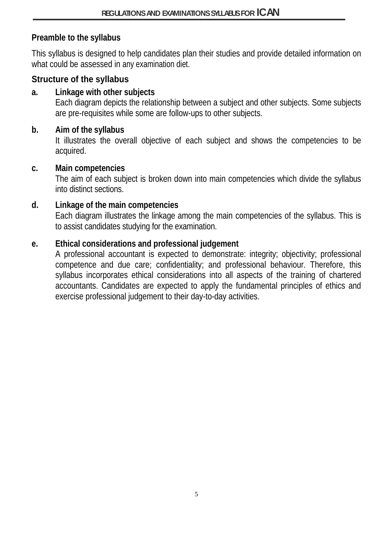## **Preamble to the syllabus**

This syllabus is designed to help candidates plan their studies and provide detailed information on what could be assessed in any examination diet.

## **Structure of the syllabus**

## **a. Linkage with other subjects**

Each diagram depicts the relationship between a subject and other subjects. Some subjects are pre-requisites while some are follow-ups to other subjects.

## **b. Aim of the syllabus**

It illustrates the overall objective of each subject and shows the competencies to be acquired.

#### **c. Main competencies**

The aim of each subject is broken down into main competencies which divide the syllabus into distinct sections.

#### **d. Linkage of the main competencies**

Each diagram illustrates the linkage among the main competencies of the syllabus. This is to assist candidates studying for the examination.

## **e. Ethical considerations and professional judgement**

A professional accountant is expected to demonstrate: integrity; objectivity; professional competence and due care; confidentiality; and professional behaviour. Therefore, this syllabus incorporates ethical considerations into all aspects of the training of chartered accountants. Candidates are expected to apply the fundamental principles of ethics and exercise professional judgement to their day-to-day activities.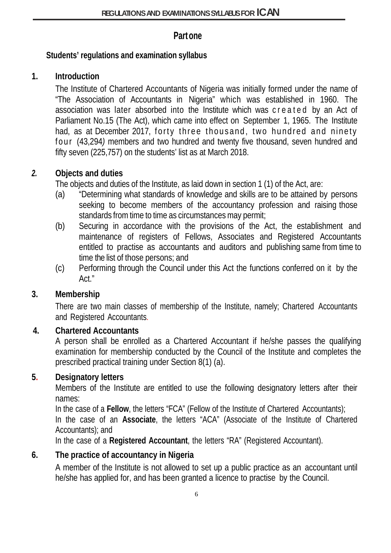## **Partone**

## **Students' regulations and examination syllabus**

# **1. Introduction**

The Institute of Chartered Accountants of Nigeria was initially formed under the name of "The Association of Accountants in Nigeria" which was established in 1960. The association was later absorbed into the Institute which was created by an Act of Parliament No.15 (The Act), which came into effect on September 1, 1965. The Institute had, as at December 2017, forty three thousand, two hundred and ninety four (43,294*)* members and two hundred and twenty five thousand, seven hundred and fifty seven (225,757) on the students' list as at March 2018.

# *2.* **Objects and duties**

The objects and duties of the Institute, as laid down in section 1 (1) of the Act, are:

- (a) "Determining what standards of knowledge and skills are to be attained by persons seeking to become members of the accountancy profession and raising those standards from time to time as circumstances may permit;
- (b) Securing in accordance with the provisions of the Act, the establishment and maintenance of registers of Fellows, Associates and Registered Accountants entitled to practise as accountants and auditors and publishing same from time to time the list of those persons; and
- (c) Performing through the Council under this Act the functions conferred on it by the Act."

# **3. Membership**

There are two main classes of membership of the Institute, namely; Chartered Accountants and Registered Accountants.

# **4. Chartered Accountants**

A person shall be enrolled as a Chartered Accountant if he/she passes the qualifying examination for membership conducted by the Council of the Institute and completes the prescribed practical training under Section 8(1) (a).

# **5. Designatory letters**

Members of the Institute are entitled to use the following designatory letters after their names:

In the case of a **Fellow**, the letters "FCA" (Fellow of the Institute of Chartered Accountants);

In the case of an **Associate**, the letters "ACA" (Associate of the Institute of Chartered Accountants); and

In the case of a **Registered Accountant**, the letters "RA" (Registered Accountant).

# **6. The practice of accountancy in Nigeria**

A member of the Institute is not allowed to set up a public practice as an accountant until he/she has applied for, and has been granted a licence to practise by the Council.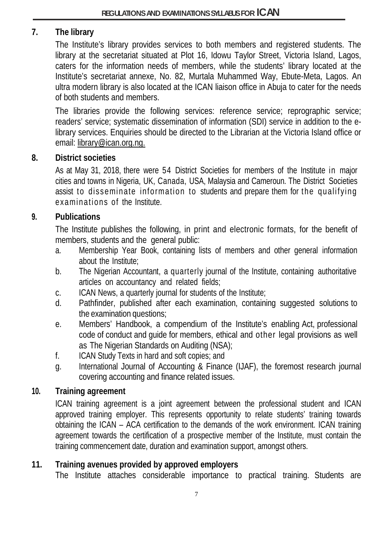# **7. The library**

The Institute's library provides services to both members and registered students. The library at the secretariat situated at Plot 16, Idowu Taylor Street, Victoria Island, Lagos, caters for the information needs of members, while the students' library located at the Institute's secretariat annexe, No. 82, Murtala Muhammed Way, Ebute-Meta, Lagos. An ultra modern library is also located at the ICAN liaison office in Abuja to cater for the needs of both students and members.

The libraries provide the following services: reference service; reprographic service; readers' service; systematic dissemination of information (SDI) service in addition to the elibrary services. Enquiries should be directed to the Librarian at the Victoria Island office or email: [library@ican.org.ng.](mailto:library@ican.org.ng)

#### **8. District societies**

As at May 31, 2018, there were 54 District Societies for members of the Institute in major cities and towns in Nigeria, UK, Canada, USA, Malaysia and Cameroun. The District Societies assist to disseminate information to students and prepare them for the qualifying examinations of the Institute.

#### **9. Publications**

The Institute publishes the following, in print and electronic formats, for the benefit of members, students and the general public:

- a. Membership Year Book, containing lists of members and other general information about the Institute;
- b. The Nigerian Accountant, a quarterly journal of the Institute, containing authoritative articles on accountancy and related fields;
- c. ICAN News, a quarterly journal for students of the Institute;
- d. Pathfinder, published after each examination, containing suggested solutions to the examination questions;
- e. Members' Handbook, a compendium of the Institute's enabling Act, professional code of conduct and guide for members, ethical and other legal provisions as well as The Nigerian Standards on Auditing (NSA);
- f. ICAN Study Texts in hard and soft copies; and
- g. International Journal of Accounting & Finance (IJAF), the foremost research journal covering accounting and finance related issues.

## **10. Training agreement**

ICAN training agreement is a joint agreement between the professional student and ICAN approved training employer. This represents opportunity to relate students' training towards obtaining the ICAN – ACA certification to the demands of the work environment. ICAN training agreement towards the certification of a prospective member of the Institute, must contain the training commencement date, duration and examination support, amongst others.

## **11. Training avenues provided by approved employers**

The Institute attaches considerable importance to practical training. Students are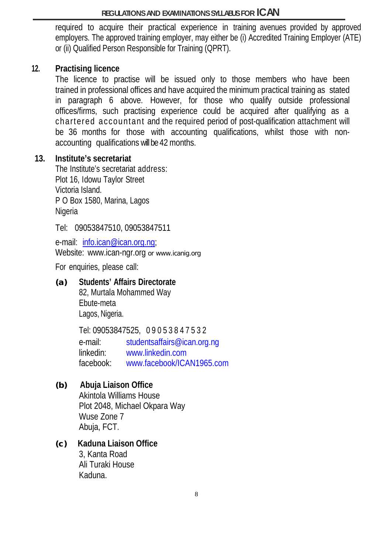required to acquire their practical experience in training avenues provided by approved employers. The approved training employer, may either be (i) Accredited Training Employer (ATE) or (ii) Qualified Person Responsible for Training (QPRT).

#### **12. Practising licence**

The licence to practise will be issued only to those members who have been trained in professional offices and have acquired the minimum practical training as stated in paragraph 6 above. However, for those who qualify outside professional offices/firms, such practising experience could be acquired after qualifying as a chartered accountant and the required period of post-qualification attachment will be 36 months for those with accounting qualifications, whilst those with nonaccounting qualifications will be 42months.

#### **13. Institute's secretariat**

The Institute's secretariat address: Plot 16, Idowu Taylor Street Victoria Island. P O Box 1580, Marina, Lagos Nigeria

Tel: 09053847510, 09053847511

e-mail: [info.ican@ican.org.ng;](mailto:info.ican@ican.org.ng) Website: [www.ican-ngr.org](http://www.ican-ngr.org/) or www.icanig.org

For enquiries, please call:

#### **(a) Students' Affairs Directorate**

82, Murtala Mohammed Way Ebute-meta Lagos, Nigeria.

Tel: 09053847525, 09053847532

e-mail: [studentsaffairs@ican.org.ng](mailto:studentsaffairs@ican.org.ng) linkedin: [www.linkedin.com](http://www.linkedin.com/) facebook: [www.facebook/ICAN1965.com](http://www.facebook/ICAN1965.com)

## **(b) Abuja Liaison Office**

Akintola Williams House Plot 2048, Michael Okpara Way Wuse Zone 7 Abuja, FCT.

# **(c) Kaduna Liaison Office**

3, Kanta Road Ali Turaki House Kaduna.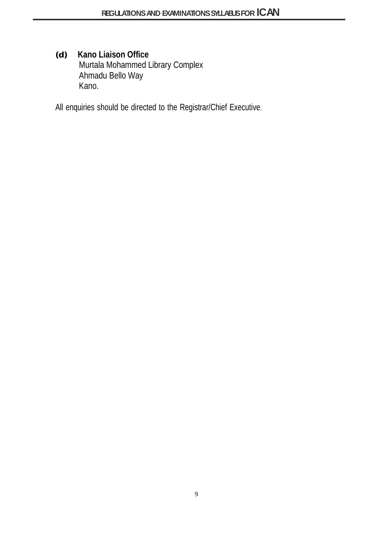**(d) Kano Liaison Office** Murtala Mohammed Library Complex Ahmadu Bello Way Kano.

All enquiries should be directed to the Registrar/Chief Executive.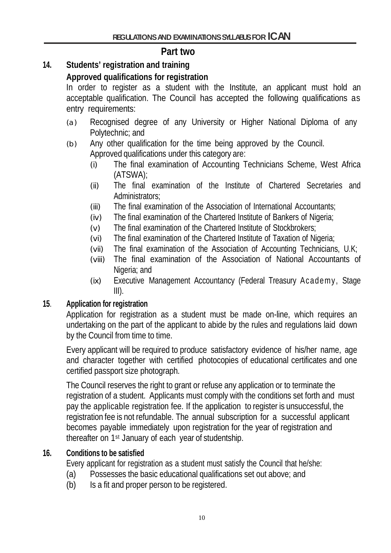# **Part two**

# **14. Students' registration and training**

# **Approved qualifications for registration**

In order to register as a student with the Institute, an applicant must hold an acceptable qualification. The Council has accepted the following qualifications as entry requirements:

- (a) Recognised degree of any University or Higher National Diploma of any Polytechnic; and
- (b) Any other qualification for the time being approved by the Council. Approved qualifications under this category are:
	- (i) The final examination of Accounting Technicians Scheme, West Africa (ATSWA);
	- (ii) The final examination of the Institute of Chartered Secretaries and Administrators;
	- (iii) The final examination of the Association of International Accountants;
	- (iv) The final examination of the Chartered Institute of Bankers of Nigeria;
	- (v) The final examination of the Chartered Institute of Stockbrokers;
	- (vi) The final examination of the Chartered Institute of Taxation of Nigeria;
	- (vii) The final examination of the Association of Accounting Technicians, U.K;
	- (viii) The final examination of the Association of National Accountants of Nigeria; and
	- (ix) Executive Management Accountancy (Federal Treasury Academy, Stage III).

## **15**. **Application for registration**

Application for registration as a student must be made on-line, which requires an undertaking on the part of the applicant to abide by the rules and regulations laid down by the Council from time to time.

Every applicant will be required to produce satisfactory evidence of his/her name, age and character together with certified photocopies of educational certificates and one certified passport size photograph.

The Council reserves the right to grant or refuse any application or to terminate the registration of a student. Applicants must comply with the conditions set forth and must pay the applicable registration fee. If the application to register is unsuccessful, the registration fee is not refundable. The annual subscription for a successful applicant becomes payable immediately upon registration for the year of registration and thereafter on 1st January of each year of studentship.

## **16. Conditions to be satisfied**

Every applicant for registration as a student must satisfy the Council that he/she:

- (a) Possesses the basic educational qualifications set out above; and
- (b) Is a fit and proper person to be registered.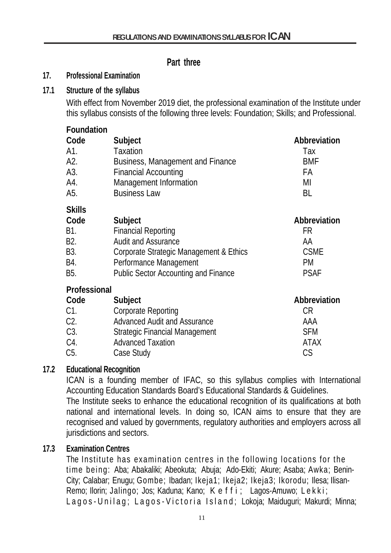## **Part three**

#### **17. Professional Examination**

#### **17.1 Structure of the syllabus**

With effect from November 2019 diet, the professional examination of the Institute under this syllabus consists of the following three levels: Foundation; Skills; and Professional.

#### **Foundation**

| Code          | Subject                                     | Abbreviation |
|---------------|---------------------------------------------|--------------|
| A1.           | <b>Taxation</b>                             | Tax          |
| A2.           | Business, Management and Finance            | <b>BMF</b>   |
| A3.           | <b>Financial Accounting</b>                 | <b>FA</b>    |
| A4.           | Management Information                      | MI           |
| A5.           | <b>Business Law</b>                         | BL           |
| <b>Skills</b> |                                             |              |
| Code          | Subject                                     | Abbreviation |
| B1.           | <b>Financial Reporting</b>                  | FR           |
| B2.           | <b>Audit and Assurance</b>                  | AA           |
| B3.           | Corporate Strategic Management & Ethics     | <b>CSME</b>  |
| B4.           | Performance Management                      | PM.          |
| B5.           | <b>Public Sector Accounting and Finance</b> | <b>PSAF</b>  |
| Professional  |                                             |              |
| Code          | Subject                                     | Abbreviation |
| C1.           | <b>Corporate Reporting</b>                  | CR           |
| C2.           | <b>Advanced Audit and Assurance</b>         | AAA          |
| C3.           | Strategic Financial Management              | <b>SFM</b>   |
| C4.           | <b>Advanced Taxation</b>                    | ATAX         |

C5. Case Study CS

## **17.2 Educational Recognition**

ICAN is a founding member of IFAC, so this syllabus complies with International Accounting Education Standards Board's Educational Standards & Guidelines. The Institute seeks to enhance the educational recognition of its qualifications at both national and international levels. In doing so, ICAN aims to ensure that they are recognised and valued by governments, regulatory authorities and employers across all jurisdictions and sectors.

## **17.3 Examination Centres**

The Institute has examination centres in the following locations for the time being: Aba; Abakaliki; Abeokuta; Abuja; Ado-Ekiti; Akure; Asaba; Awka; Benin-City; Calabar; Enugu; Gombe; Ibadan; Ikeja1; Ikeja2; Ikeja3; Ikorodu; Ilesa; Ilisan-Remo; Ilorin; Jalingo; Jos; Kaduna; Kano; Keffi; Lagos-Amuwo; Lekki; Lagos - Unilag; Lagos - Victoria Island ; Lokoja; Maiduguri; Makurdi; Minna;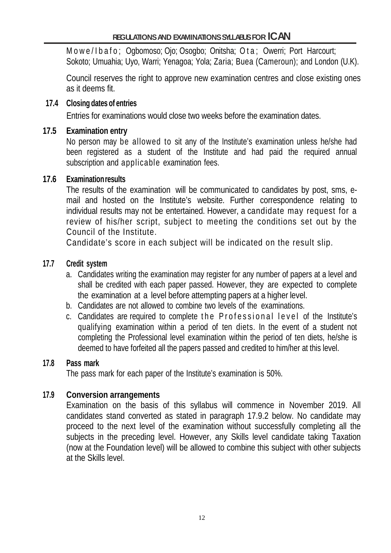Mowe/Ibafo; Ogbomoso; Ojo; Osogbo; Onitsha; Ota; Owerri; Port Harcourt; Sokoto; Umuahia; Uyo, Warri; Yenagoa; Yola; Zaria; Buea (Cameroun); and London (U.K).

Council reserves the right to approve new examination centres and close existing ones as it deems fit.

#### **17.4 Closing dates of entries**

Entries for examinations would close two weeks before the examination dates.

#### **17.5 Examination entry**

No person may be allowed to sit any of the Institute's examination unless he/she had been registered as a student of the Institute and had paid the required annual subscription and applicable examination fees.

#### **17.6 Examinationresults**

The results of the examination will be communicated to candidates by post, sms, email and hosted on the Institute's website. Further correspondence relating to individual results may not be entertained. However, a candidate may request for a review of his/her script, subject to meeting the conditions set out by the Council of the Institute.

Candidate's score in each subject will be indicated on the result slip.

#### **17.7 Credit system**

- a. Candidates writing the examination may register for any number of papers at a level and shall be credited with each paper passed. However, they are expected to complete the examination at a level before attempting papers at a higher level.
- b. Candidates are not allowed to combine two levels of the examinations.
- c. Candidates are required to complete the Professional level of the Institute's qualifying examination within a period of ten diets. In the event of a student not completing the Professional level examination within the period of ten diets, he/she is deemed to have forfeited all the papers passed and credited to him/her at this level.

#### **17.8 Pass mark**

The pass mark for each paper of the Institute's examination is 50%.

## **17.9 Conversion arrangements**

Examination on the basis of this syllabus will commence in November 2019. All candidates stand converted as stated in paragraph 17.9.2 below. No candidate may proceed to the next level of the examination without successfully completing all the subjects in the preceding level. However, any Skills level candidate taking Taxation (now at the Foundation level) will be allowed to combine this subject with other subjects at the Skills level.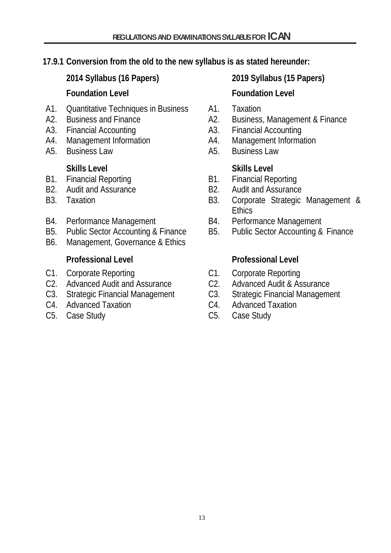## **17.9.1 Conversion from the old to the new syllabus is as stated hereunder:**

**2014 Syllabus (16 Papers) 2019 Syllabus (15 Papers) Foundation Level Foundation Level**

- A1. Quantitative Techniques in Business A1. Taxation
- 
- 
- 
- 

- 
- 
- 
- 
- 
- B6. Management, Governance & Ethics

- 
- C2. Advanced Audit and Assurance C2. Advanced Audit & Assurance
- 
- 
- 

- 
- A2. Business and Finance A2. Business, Management & Finance
- A3. Financial Accounting The Control A3. Financial Accounting
- A4. Management Information A4. Management Information
- A5. Business Law A5. Business Law

## **Skills Level Skills Level**

- B1. Financial Reporting The Resolution B1. Financial Reporting
- B<sub>2</sub>. Audit and Assurance B<sub>2</sub>. Audit and Assurance
- B3. Taxation **B3.** Corporate Strategic Management & Ethics
- B4. Performance Management B4. Performance Management
- B5. Public Sector Accounting & Finance B5. Public Sector Accounting & Finance

#### **Professional Level Professional Level**

- C1. Corporate Reporting C1. Corporate Reporting
	-
- C3. Strategic Financial Management C3. Strategic Financial Management
- C4. Advanced Taxation C4. Advanced Taxation
- C5. Case Study C5. Case Study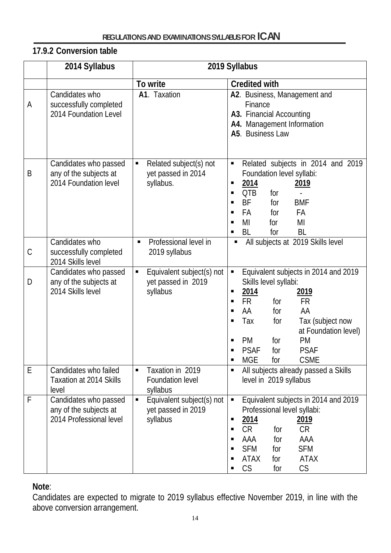# **17.9.2 Conversion table**

|   | 2014 Syllabus                                                              | 2019 Syllabus                                                                 |                                                                                                                                                                                                                                                                                                                                                               |  |
|---|----------------------------------------------------------------------------|-------------------------------------------------------------------------------|---------------------------------------------------------------------------------------------------------------------------------------------------------------------------------------------------------------------------------------------------------------------------------------------------------------------------------------------------------------|--|
|   |                                                                            | To write                                                                      | <b>Credited with</b>                                                                                                                                                                                                                                                                                                                                          |  |
| A | Candidates who<br>successfully completed<br>2014 Foundation Level          | A1. Taxation                                                                  | A2. Business, Management and<br>Finance<br>A3. Financial Accounting<br>A4. Management Information<br>A5. Business Law                                                                                                                                                                                                                                         |  |
| B | Candidates who passed<br>any of the subjects at<br>2014 Foundation level   | Related subject(s) not<br>П<br>yet passed in 2014<br>syllabus.                | Related subjects in 2014 and 2019<br>$\blacksquare$<br>Foundation level syllabi:<br><u>2014</u><br><u>2019</u><br>п<br><b>QTB</b><br>for<br>п<br><b>BF</b><br><b>BMF</b><br>for<br>п<br>FA<br>FA<br>for<br>п<br>MI<br>MI<br>for<br>п<br>BL<br>BL<br>for                                                                                                       |  |
| C | Candidates who<br>successfully completed<br>2014 Skills level              | Professional level in<br>$\blacksquare$<br>2019 syllabus                      | All subjects at 2019 Skills level<br>п                                                                                                                                                                                                                                                                                                                        |  |
| D | Candidates who passed<br>any of the subjects at<br>2014 Skills level       | Equivalent subject(s) not<br>$\blacksquare$<br>yet passed in 2019<br>syllabus | Equivalent subjects in 2014 and 2019<br>$\blacksquare$<br>Skills level syllabi:<br>2014<br><u> 2019</u><br>п<br><b>FR</b><br><b>FR</b><br>for<br>п<br>AA<br>AA<br>for<br>п<br>Tax<br>Tax (subject now<br>for<br>п<br>at Foundation level)<br>for<br><b>PM</b><br><b>PM</b><br>п<br><b>PSAF</b><br><b>PSAF</b><br>for<br><b>MGE</b><br><b>CSME</b><br>for<br>٠ |  |
| E | Candidates who failed<br><b>Taxation at 2014 Skills</b><br>level           | Taxation in 2019<br>$\blacksquare$<br>Foundation level<br>syllabus            | All subjects already passed a Skills<br>$\blacksquare$<br>level in 2019 syllabus                                                                                                                                                                                                                                                                              |  |
| F | Candidates who passed<br>any of the subjects at<br>2014 Professional level | Equivalent subject(s) not<br>$\blacksquare$<br>yet passed in 2019<br>syllabus | Equivalent subjects in 2014 and 2019<br>$\blacksquare$<br>Professional level syllabi:<br>2014<br><u>2019</u><br>٠<br>CR<br><b>CR</b><br>for<br>п<br>AAA<br>AAA<br>for<br>п<br><b>SFM</b><br><b>SFM</b><br>for<br><b>ATAX</b><br><b>ATAX</b><br>for<br>п<br>CS<br>CS<br>for                                                                                    |  |

#### **Note**:

Candidates are expected to migrate to 2019 syllabus effective November 2019, in line with the above conversion arrangement.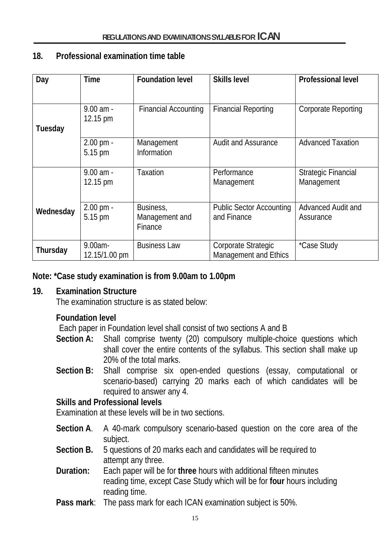#### **18. Professional examination time table**

| Day       | <b>Time</b>                    | <b>Foundation level</b>                | <b>Skills level</b>                                 | <b>Professional level</b>                |
|-----------|--------------------------------|----------------------------------------|-----------------------------------------------------|------------------------------------------|
|           |                                |                                        |                                                     |                                          |
|           | $9.00$ am -<br>12.15 pm        | <b>Financial Accounting</b>            | <b>Financial Reporting</b>                          | <b>Corporate Reporting</b>               |
| Tuesday   |                                |                                        |                                                     |                                          |
|           | $2.00 \text{ pm} -$<br>5.15 pm | Management<br>Information              | <b>Audit and Assurance</b>                          | <b>Advanced Taxation</b>                 |
|           | $9.00$ am -<br>12.15 pm        | Taxation                               | Performance<br>Management                           | <b>Strategic Financial</b><br>Management |
| Wednesday | 2.00 pm -<br>5.15 pm           | Business,<br>Management and<br>Finance | <b>Public Sector Accounting</b><br>and Finance      | Advanced Audit and<br>Assurance          |
| Thursday  | $9.00am -$<br>12.15/1.00 pm    | <b>Business Law</b>                    | Corporate Strategic<br><b>Management and Ethics</b> | *Case Study                              |

#### **Note: \*Case study examination is from 9.00am to 1.00pm**

#### **19. Examination Structure**

The examination structure is as stated below:

#### **Foundation level**

Each paper in Foundation level shall consist of two sections A and B

- **Section A:** Shall comprise twenty (20) compulsory multiple-choice questions which shall cover the entire contents of the syllabus. This section shall make up 20% of the total marks.
- **Section B:** Shall comprise six open-ended questions (essay, computational or scenario-based) carrying 20 marks each of which candidates will be required to answer any 4.

#### **Skills and Professional levels**

Examination at these levels will be in two sections.

- **Section A**. A 40-mark compulsory scenario-based question on the core area of the subject.
- **Section B.** 5 questions of 20 marks each and candidates will be required to attempt any three.
- **Duration:** Each paper will be for **three** hours with additional fifteen minutes reading time, except Case Study which will be for **four** hours including reading time.
- **Pass mark**: The pass mark for each ICAN examination subject is 50%.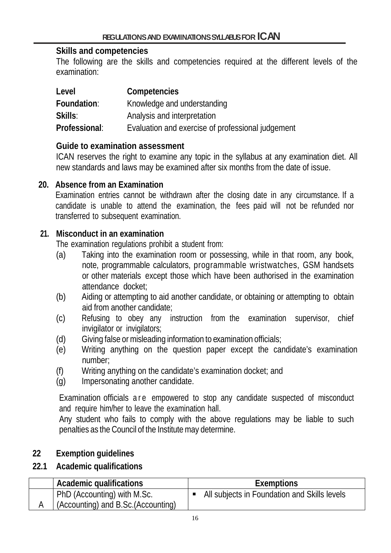#### **Skills and competencies**

The following are the skills and competencies required at the different levels of the examination:

| Level         | Competencies                                      |
|---------------|---------------------------------------------------|
| Foundation:   | Knowledge and understanding                       |
| Skills:       | Analysis and interpretation                       |
| Professional: | Evaluation and exercise of professional judgement |

#### **Guide to examination assessment**

ICAN reserves the right to examine any topic in the syllabus at any examination diet. All new standards and laws may be examined after six months from the date of issue.

#### **20. Absence from an Examination**

Examination entries cannot be withdrawn after the closing date in any circumstance. If a candidate is unable to attend the examination, the fees paid will not be refunded nor transferred to subsequent examination.

## **21. Misconduct in an examination**

The examination regulations prohibit a student from:

- (a) Taking into the examination room or possessing, while in that room, any book, note, programmable calculators, programmable wristwatches, GSM handsets or other materials except those which have been authorised in the examination attendance docket;
- (b) Aiding or attempting to aid another candidate, or obtaining or attempting to obtain aid from another candidate;
- (c) Refusing to obey any instruction from the examination supervisor, chief invigilator or invigilators;
- (d) Giving false or misleading information to examination officials;
- (e) Writing anything on the question paper except the candidate's examination number;
- (f) Writing anything on the candidate's examination docket; and
- (g) Impersonating another candidate.

Examination officials are empowered to stop any candidate suspected of misconduct and require him/her to leave the examination hall.

Any student who fails to comply with the above regulations may be liable to such penalties as the Council of the Institutemay determine.

# **22 Exemption guidelines**

## **22.1 Academic qualifications**

| Academic qualifications             | <b>Exemptions</b>                            |
|-------------------------------------|----------------------------------------------|
| PhD (Accounting) with M.Sc.         | All subjects in Foundation and Skills levels |
| (Accounting) and B.Sc. (Accounting) |                                              |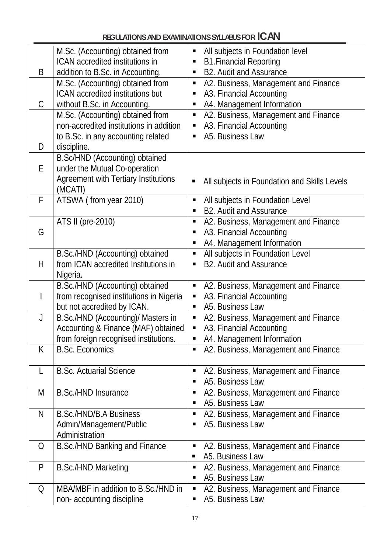|              | M.Sc. (Accounting) obtained from            |   | All subjects in Foundation level             |
|--------------|---------------------------------------------|---|----------------------------------------------|
|              | ICAN accredited institutions in             | п | <b>B1.Financial Reporting</b>                |
| B            | addition to B.Sc. in Accounting.            |   | <b>B2. Audit and Assurance</b>               |
|              | M.Sc. (Accounting) obtained from            | п | A2. Business, Management and Finance         |
|              | ICAN accredited institutions but            | п | A3. Financial Accounting                     |
| C            | without B.Sc. in Accounting.                | п | A4. Management Information                   |
|              | M.Sc. (Accounting) obtained from            | П | A2. Business, Management and Finance         |
|              | non-accredited institutions in addition     |   | A3. Financial Accounting                     |
|              | to B.Sc. in any accounting related          | п | A5. Business Law                             |
| D            | discipline.                                 |   |                                              |
|              | B.Sc/HND (Accounting) obtained              |   |                                              |
| E            | under the Mutual Co-operation               |   |                                              |
|              | <b>Agreement with Tertiary Institutions</b> |   | All subjects in Foundation and Skills Levels |
|              | (MCATI)                                     |   |                                              |
| F            | ATSWA (from year 2010)                      | п | All subjects in Foundation Level             |
|              |                                             | п | <b>B2. Audit and Assurance</b>               |
|              | ATS II (pre-2010)                           | п | A2. Business, Management and Finance         |
| G            |                                             |   | A3. Financial Accounting                     |
|              |                                             | п | A4. Management Information                   |
|              | B.Sc./HND (Accounting) obtained             | П | All subjects in Foundation Level             |
| H            | from ICAN accredited Institutions in        |   | <b>B2. Audit and Assurance</b>               |
|              | Nigeria.                                    |   |                                              |
|              | B.Sc./HND (Accounting) obtained             |   | A2. Business, Management and Finance         |
|              | from recognised institutions in Nigeria     | п | A3. Financial Accounting                     |
|              | but not accredited by ICAN.                 |   | A5. Business Law                             |
| $\mathsf{J}$ | B.Sc./HND (Accounting)/ Masters in          |   | A2. Business, Management and Finance         |
|              | Accounting & Finance (MAF) obtained         | П | A3. Financial Accounting                     |
|              | from foreign recognised institutions.       |   | A4. Management Information                   |
| K            | <b>B.Sc. Economics</b>                      | п | A2. Business, Management and Finance         |
|              |                                             |   |                                              |
| L            | <b>B.Sc. Actuarial Science</b>              | п | A2. Business, Management and Finance         |
|              |                                             |   | A5. Business Law                             |
| M            | <b>B.Sc./HND Insurance</b>                  | п | A2. Business, Management and Finance         |
|              |                                             |   | A5. Business Law                             |
| N            | B.Sc./HND/B.A Business                      |   | A2. Business, Management and Finance         |
|              | Admin/Management/Public                     |   | A5. Business Law                             |
|              | Administration                              |   |                                              |
| O            | B.Sc./HND Banking and Finance               | п | A2. Business, Management and Finance         |
|              |                                             | п | A5. Business Law                             |
| P            | <b>B.Sc./HND Marketing</b>                  | п | A2. Business, Management and Finance         |
|              |                                             |   | A5. Business Law                             |
| Q            | MBA/MBF in addition to B.Sc./HND in         |   | A2. Business, Management and Finance         |
|              | non-accounting discipline                   | п | A5. Business Law                             |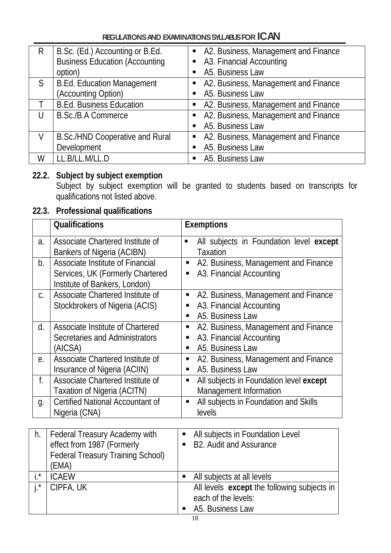| R  | B.Sc. (Ed.) Accounting or B.Ed.        |                | • A2. Business, Management and Finance |
|----|----------------------------------------|----------------|----------------------------------------|
|    | <b>Business Education (Accounting</b>  |                | • A3. Financial Accounting             |
|    | option)                                |                | A5. Business Law                       |
| S. | <b>B.Ed. Education Management</b>      |                | • A2. Business, Management and Finance |
|    | (Accounting Option)                    | $\blacksquare$ | A5. Business Law                       |
|    | <b>B.Ed. Business Education</b>        |                | • A2. Business, Management and Finance |
|    | <b>B.Sc./B.A Commerce</b>              |                | • A2. Business, Management and Finance |
|    |                                        |                | A5. Business Law                       |
| V  | <b>B.Sc./HND Cooperative and Rural</b> |                | • A2. Business, Management and Finance |
|    | Development                            | $\blacksquare$ | A5. Business Law                       |
| W  | LL.B/LL.M/LL.D                         |                | • A5. Business Law                     |

# **22.2. Subject by subject exemption**

Subject by subject exemption will be granted to students based on transcripts for qualifications not listed above.

# **22.3. Professional qualifications**

|    | <b>Qualifications</b>                                                                                                          | <b>Exemptions</b>                                                                                   |
|----|--------------------------------------------------------------------------------------------------------------------------------|-----------------------------------------------------------------------------------------------------|
| a. | Associate Chartered Institute of<br>Bankers of Nigeria (ACIBN)                                                                 | All subjects in Foundation level except<br>٠<br><b>Taxation</b>                                     |
| b. | Associate Institute of Financial<br>Services, UK (Formerly Chartered<br>Institute of Bankers, London)                          | A2. Business, Management and Finance<br>п<br>A3. Financial Accounting<br>П                          |
| C. | Associate Chartered Institute of<br>Stockbrokers of Nigeria (ACIS)                                                             | A2. Business, Management and Finance<br>Ξ<br>A3. Financial Accounting<br>п<br>A5. Business Law<br>П |
| d. | Associate Institute of Chartered<br>Secretaries and Administrators<br>(AICSA)                                                  | A2. Business, Management and Finance<br>п<br>A3. Financial Accounting<br>п<br>A5. Business Law<br>П |
| е. | Associate Chartered Institute of<br>Insurance of Nigeria (ACIIN)                                                               | A2. Business, Management and Finance<br>٠<br>A5. Business Law<br>п                                  |
| f. | Associate Chartered Institute of<br>Taxation of Nigeria (ACITN)                                                                | All subjects in Foundation level except<br>п<br>Management Information                              |
| g. | Certified National Accountant of<br>Nigeria (CNA)                                                                              | All subjects in Foundation and Skills<br>п<br>levels                                                |
| h. | Federal Treasury Academy with<br>effect from 1987 (Formerly<br><b>Federal Treasury Training School)</b><br><b><i>IEMA)</i></b> | All subjects in Foundation Level<br>п<br><b>B2. Audit and Assurance</b><br>п                        |

|                | $\frac{1}{2}$ cased in section $\frac{1}{2}$ in all lines controlled in the section of $\frac{1}{2}$<br>(EMA) |                                                                                        |
|----------------|---------------------------------------------------------------------------------------------------------------|----------------------------------------------------------------------------------------|
| $: *$          | <b>ICAFW</b>                                                                                                  | All subjects at all levels                                                             |
| $\mathbf{1}$ * | CIPFA, UK                                                                                                     | All levels except the following subjects in<br>each of the levels:<br>A5. Business Law |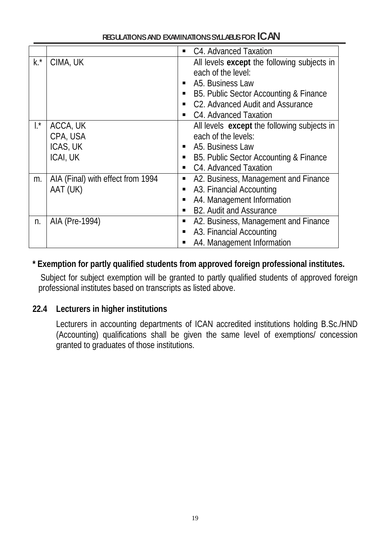| REGULATIONS AND EXAMINATIONS SYLLABLIS FOR ICAN |  |
|-------------------------------------------------|--|
|-------------------------------------------------|--|

|                |                                   | $\blacksquare$ | C4. Advanced Taxation                       |
|----------------|-----------------------------------|----------------|---------------------------------------------|
| $k^*$          | CIMA, UK                          |                | All levels except the following subjects in |
|                |                                   |                | each of the level:                          |
|                |                                   | $\blacksquare$ | A5. Business Law                            |
|                |                                   |                | B5. Public Sector Accounting & Finance      |
|                |                                   |                | C2. Advanced Audit and Assurance            |
|                |                                   | п              | C4. Advanced Taxation                       |
| $\mathbf{I}^*$ | ACCA, UK                          |                | All levels except the following subjects in |
|                | CPA, USA                          |                | each of the levels:                         |
|                | ICAS, UK                          |                | A5. Business Law                            |
|                | ICAI, UK                          |                | B5. Public Sector Accounting & Finance      |
|                |                                   |                | C4. Advanced Taxation                       |
| m.             | AIA (Final) with effect from 1994 | п              | A2. Business, Management and Finance        |
|                | AAT (UK)                          |                | A3. Financial Accounting                    |
|                |                                   |                | A4. Management Information                  |
|                |                                   |                | <b>B2. Audit and Assurance</b>              |
| n.             | AIA (Pre-1994)                    | п              | A2. Business, Management and Finance        |
|                |                                   | п              | A3. Financial Accounting                    |
|                |                                   | п              | A4. Management Information                  |

## **\* Exemption for partly qualified students from approved foreign professional institutes.**

Subject for subject exemption will be granted to partly qualified students of approved foreign professional institutes based on transcripts as listed above.

#### **22.4 Lecturers in higher institutions**

Lecturers in accounting departments of ICAN accredited institutions holding B.Sc./HND  $(Accounting)$  qualifications shall be given the same level of exemptions $\bar{C}$  concession granted to graduates of those institutions.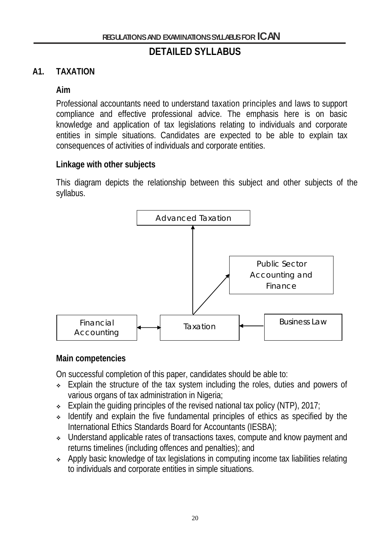# **DETAILED SYLLABUS**

## **A1. TAXATION**

#### **Aim**

Professional accountants need to understand taxation principles and laws to support compliance and effective professional advice. The emphasis here is on basic knowledge and application of tax legislations relating to individuals and corporate entities in simple situations. Candidates are expected to be able to explain tax consequences of activities of individuals and corporate entities.

#### **Linkage with other subjects**

This diagram depicts the relationship between this subject and other subjects of the syllabus.



#### **Main competencies**

On successful completion of this paper, candidates should be able to:

- Explain the structure of the tax system including the roles, duties and powers of various organs of tax administration in Nigeria;
- Explain the quiding principles of the revised national tax policy (NTP), 2017;
- $\cdot$  Identify and explain the five fundamental principles of ethics as specified by the International Ethics Standards Board for Accountants (IESBA);
- Understand applicable rates of transactions taxes, compute and know payment and returns timelines (including offences and penalties); and
- Apply basic knowledge of tax legislations in computing income tax liabilities relating to individuals and corporate entities in simple situations.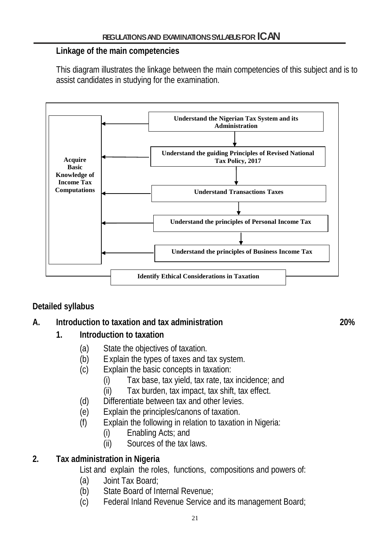#### **Linkage of the main competencies**

This diagram illustrates the linkage between the main competencies of this subject and is to assist candidates in studying for the examination.



# **Detailed syllabus**

## **A. Introduction to taxation and tax administration 20%**

## **1. Introduction to taxation**

- (a) State the objectives of taxation.
- (b) Explain the types of taxes and tax system.
- (c) Explain the basic concepts in taxation:
	- (i) Tax base, tax yield, tax rate, tax incidence; and
	- (ii) Tax burden, tax impact, tax shift, tax effect.
- (d) Differentiate between tax and other levies.
- (e) Explain the principles/canons of taxation.
- (f) Explain the following in relation to taxation in Nigeria:
	- (i) Enabling Acts; and
	- (ii) Sources of the tax laws.

# **2. Tax administration in Nigeria**

List and explain the roles, functions, compositions and powers of:

- (a) Joint Tax Board;
- (b) State Board of Internal Revenue;
- (c) Federal Inland Revenue Service and its management Board;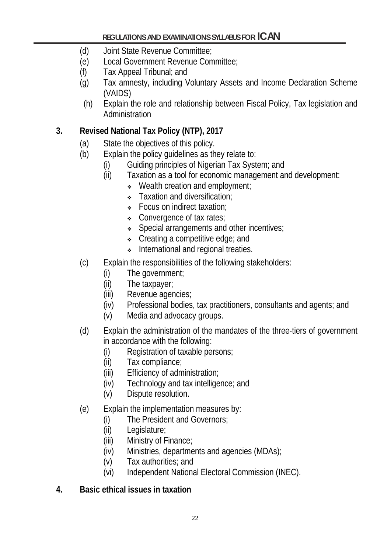- (d) Joint State Revenue Committee;
- (e) Local Government Revenue Committee;
- (f) Tax Appeal Tribunal; and
- (g) Tax amnesty, including Voluntary Assets and Income Declaration Scheme (VAIDS)
- (h) Explain the role and relationship between Fiscal Policy, Tax legislation and Administration

# **3. Revised National Tax Policy (NTP), 2017**

- (a) State the objectives of this policy.
- (b) Explain the policy guidelines as they relate to:
	- (i) Guiding principles of Nigerian Tax System; and
	- (ii) Taxation as a tool for economic management and development:
		- $\cdot$  Wealth creation and employment;
		- Taxation and diversification;
		- Focus on indirect taxation;
		- Convergence of tax rates;
		- Special arrangements and other incentives;
		- Creating a competitive edge; and
		- **International and regional treaties.**
- (c) Explain the responsibilities of the following stakeholders:
	- (i) The government;
	- (ii) The taxpayer;
	- (iii) Revenue agencies;
	- (iv) Professional bodies, tax practitioners, consultants and agents; and
	- (v) Media and advocacy groups.
- (d) Explain the administration of the mandates of the three-tiers of government in accordance with the following:
	- (i) Registration of taxable persons;
	- (ii) Tax compliance;
	- (iii) Efficiency of administration;
	- (iv) Technology and tax intelligence; and
	- (v) Dispute resolution.
- (e) Explain the implementation measures by:
	- (i) The President and Governors;
	- (ii) Legislature;
	- (iii) Ministry of Finance;
	- (iv) Ministries, departments and agencies (MDAs);
	- (v) Tax authorities; and
	- (vi) Independent National Electoral Commission (INEC).
- **4. Basic ethical issues in taxation**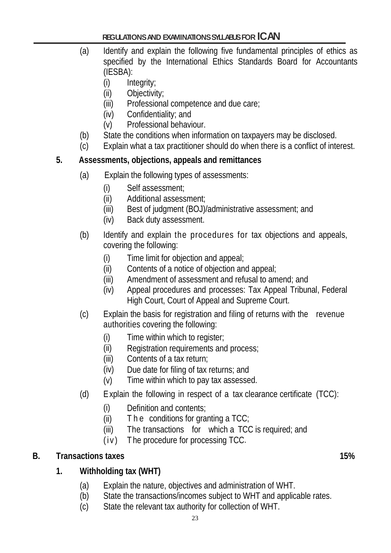- (a) Identify and explain the following five fundamental principles of ethics as specified by the International Ethics Standards Board for Accountants (IESBA):
	- (i) Integrity;
	- (ii) Objectivity;
	- (iii) Professional competence and due care;
	- (iv) Confidentiality; and
	- (v) Professional behaviour.
- (b) State the conditions when information on taxpayers may be disclosed.
- (c) Explain what a tax practitioner should do when there is a conflict of interest.

## **5. Assessments, objections, appeals and remittances**

- (a) Explain the following types of assessments:
	- (i) Self assessment;
	- (ii) Additional assessment;
	- (iii) Best of judgment (BOJ)/administrative assessment; and
	- (iv) Back duty assessment.
- (b) Identify and explain the procedures for tax objections and appeals, covering the following:
	- (i) Time limit for objection and appeal;
	- (ii) Contents of a notice of objection and appeal;
	- (iii) Amendment of assessment and refusal to amend; and
	- (iv) Appeal procedures and processes: Tax Appeal Tribunal, Federal High Court, Court of Appeal and Supreme Court.
- (c) Explain the basis for registration and filing of returns with the revenue authorities covering the following:
	- (i) Time within which to register;
	- (ii) Registration requirements and process;
	- (iii) Contents of a tax return;
	- (iv) Due date for filing of tax returns; and
	- (v) Time within which to pay tax assessed.
- (d) Explain the following in respect of a tax clearance certificate (TCC):
	- (i) Definition and contents;
	- (ii) The conditions for granting a  $TCC$ ;
	- (iii) The transactions for which a TCC is required; and
	- (iv) T he procedure for processing TCC.

# **B. Transactions taxes 15%**

# **1. Withholding tax (WHT)**

- (a) Explain the nature, objectives and administration of WHT.
- (b) State the transactions/incomes subject to WHT and applicable rates.
- (c) State the relevant tax authority for collection of WHT.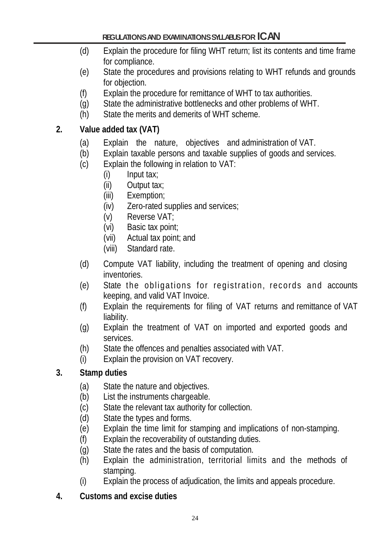- (d) Explain the procedure for filing WHT return; list its contents and time frame for compliance.
- (e) State the procedures and provisions relating to WHT refunds and grounds for objection.
- (f) Explain the procedure for remittance of WHT to tax authorities.
- (g) State the administrative bottlenecks and other problems of WHT.
- (h) State the merits and demerits of WHT scheme.

## **2. Value added tax (VAT)**

- (a) Explain the nature, objectives and administration of VAT.
- (b) Explain taxable persons and taxable supplies of goods and services.
- (c) Explain the following in relation to VAT:
	- (i) Input tax;
	- (ii) Output tax;
	- (iii) Exemption;
	- (iv) Zero-rated supplies and services;
	- (v) Reverse VAT;
	- (vi) Basic tax point;
	- (vii) Actual tax point; and
	- (viii) Standard rate.
- (d) Compute VAT liability, including the treatment of opening and closing inventories.
- (e) State the obligations for registration, records and accounts keeping, and valid VAT Invoice.
- (f) Explain the requirements for filing of VAT returns and remittance of VAT liability.
- (g) Explain the treatment of VAT on imported and exported goods and services.
- (h) State the offences and penalties associated with VAT.
- (i) Explain the provision on VAT recovery.

# **3. Stamp duties**

- (a) State the nature and objectives.
- (b) List the instruments chargeable.
- (c) State the relevant tax authority for collection.
- (d) State the types and forms.
- (e) Explain the time limit for stamping and implications of non-stamping.
- (f) Explain the recoverability of outstanding duties.
- (g) State the rates and the basis of computation.
- (h) Explain the administration, territorial limits and the methods of stamping.
- (i) Explain the process of adjudication, the limits and appeals procedure.
- **4. Customs and excise duties**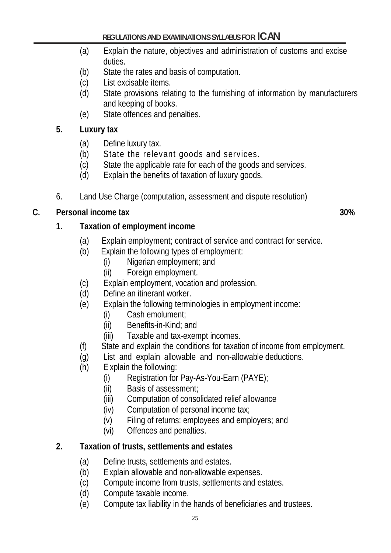- (a) Explain the nature, objectives and administration of customs and excise duties.
- (b) State the rates and basis of computation.
- (c) List excisable items.
- (d) State provisions relating to the furnishing of information by manufacturers and keeping of books.
- (e) State offences and penalties.

# **5. Luxury tax**

- (a) Define luxury tax.
- (b) State the relevant goods and services.
- (c) State the applicable rate for each of the goods and services.
- (d) Explain the benefits of taxation of luxury goods.
- 6. Land Use Charge (computation, assessment and dispute resolution)

# **C. Personal income tax 30%**

# **1. Taxation of employment income**

- (a) Explain employment; contract of service and contract for service.
- (b) Explain the following types of employment:
	- (i) Nigerian employment; and
	- (ii) Foreign employment.
- (c) Explain employment, vocation and profession.
- (d) Define an itinerant worker.
- (e) Explain the following terminologies in employment income:
	- (i) Cash emolument;
	- (ii) Benefits-in-Kind; and
	- (iii) Taxable and tax-exempt incomes.
- (f) State and explain the conditions for taxation of income from employment.
- (g) List and explain allowable and non-allowable deductions.
- (h) E xplain the following:
	- (i) Registration for Pay-As-You-Earn (PAYE);
	- (ii) Basis of assessment;
	- (iii) Computation of consolidated relief allowance
	- (iv) Computation of personal income tax;
	- (v) Filing of returns: employees and employers; and
	- (vi) Offences and penalties.

# **2. Taxation of trusts, settlements and estates**

- (a) Define trusts, settlements and estates.
- (b) Explain allowable and non-allowable expenses.
- (c) Compute income from trusts, settlements and estates.
- (d) Compute taxable income.
- (e) Compute tax liability in the hands of beneficiaries and trustees.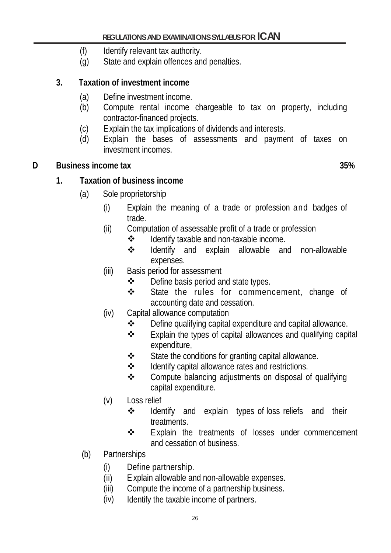- (f) Identify relevant tax authority.
- (g) State and explain offences and penalties.

# **3. Taxation of investment income**

- (a) Define investment income.
- (b) Compute rental income chargeable to tax on property, including contractor-financed projects.
- (c) Explain the tax implications of dividends and interests.
- (d) Explain the bases of assessments and payment of taxes on investment incomes.

## **D** Business income tax 35%

# **1. Taxation of business income**

- (a) Sole proprietorship
	- (i) Explain the meaning of a trade or profession and badges of trade.
	- (ii) Computation of assessable profit of a trade or profession
		- Identify taxable and non-taxable income.
		- Identify and explain allowable and non-allowable expenses.
	- (iii) Basis period for assessment
		- Define basis period and state types.
		- State the rules for commencement, change of accounting date and cessation.
	- (iv) Capital allowance computation
		- Define qualifying capital expenditure and capital allowance.
		- Explain the types of capital allowances and qualifying capital expenditure.
		- State the conditions for granting capital allowance.
		- $\div$  Identify capital allowance rates and restrictions.
		- ❖ Compute balancing adjustments on disposal of qualifying capital expenditure.
	- (v) Loss relief
		- $\cdot \cdot$  Identify and explain types of loss reliefs and their treatments.
		- **❖** Explain the treatments of losses under commencement and cessation of business.
- (b) Partnerships
	- (i) Define partnership.
	- (ii) E xplain allowable and non-allowable expenses.
	- (iii) Compute the income of a partnership business.
	- (iv) Identify the taxable income of partners.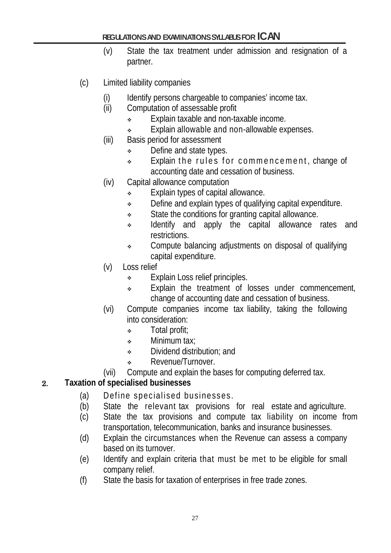- (v) State the tax treatment under admission and resignation of a partner.
- (c) Limited liability companies
	- (i) Identify persons chargeable to companies' income tax.
	- (ii) Computation of assessable profit
		- Explain taxable and non-taxable income.
		- **Explain allowable and non-allowable expenses.**
	- (iii) Basis period for assessment
		- Define and state types.
		- $\cdot$  Explain the rules for commencement, change of accounting date and cessation of business.
	- (iv) Capital allowance computation
		- Explain types of capital allowance.
		- $\cdot$  Define and explain types of qualifying capital expenditure.
		- $\bullet$  State the conditions for granting capital allowance.
		- \* Identify and apply the capital allowance rates and restrictions.
		- Compute balancing adjustments on disposal of qualifying capital expenditure.
	- (v) Loss relief
		- Explain Loss relief principles.
		- Explain the treatment of losses under commencement, change of accounting date and cessation of business.
	- (vi) Compute companies income tax liability, taking the following into consideration:
		- Total profit;
		- Minimum tax:
		- **•** Dividend distribution: and
		- Revenue/Turnover.
	- (vii) Compute and explain the bases for computing deferred tax.

## 2. **Taxation of specialised businesses**

- (a) Define specialised businesses.
- (b) State the relevant tax provisions for real estate and agriculture.
- (c) State the tax provisions and compute tax liability on income from transportation, telecommunication, banks and insurance businesses.
- (d) Explain the circumstances when the Revenue can assess a company based on its turnover.
- (e) Identify and explain criteria that must be met to be eligible for small company relief.
- (f) State the basis for taxation of enterprises in free trade zones.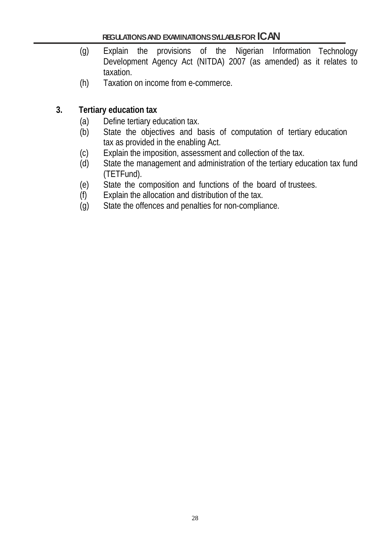- (g) Explain the provisions of the Nigerian Information Technology Development Agency Act (NITDA) 2007 (as amended) as it relates to taxation.
- (h) Taxation on income from e-commerce.

## **3. Tertiary education tax**

- (a) Define tertiary education tax.
- (b) State the objectives and basis of computation of tertiary education tax as provided in the enabling Act.
- 
- (c) Explain the imposition, assessment and collection of the tax.<br>(d) State the management and administration of the tertiary edu State the management and administration of the tertiary education tax fund (TETFund).
- (e) State the composition and functions of the board of trustees.
- (f) Explain the allocation and distribution of the tax.
- (g) State the offences and penalties for non-compliance.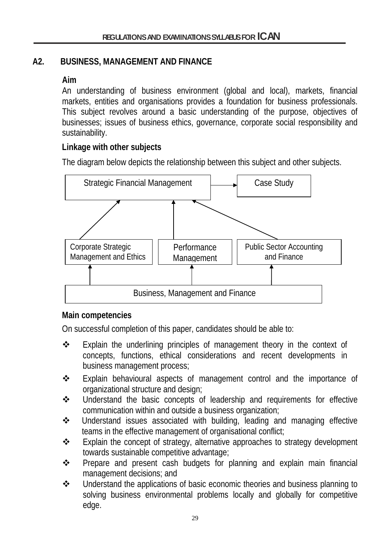# **A2. BUSINESS, MANAGEMENT AND FINANCE**

## **Aim**

An understanding of business environment (global and local), markets, financial markets, entities and organisations provides a foundation for business professionals. This subject revolves around a basic understanding of the purpose, objectives of businesses; issues of business ethics, governance, corporate social responsibility and sustainability.

# **Linkage with other subjects**

The diagram below depicts the relationship between this subject and other subjects.



## **Main competencies**

On successful completion of this paper, candidates should be able to:

- Explain the underlining principles of management theory in the context of concepts, functions, ethical considerations and recent developments in business management process;
- Explain behavioural aspects of management control and the importance of organizational structure and design;
- Understand the basic concepts of leadership and requirements for effective communication within and outside a business organization;
- Understand issues associated with building, leading and managing effective teams in the effective management of organisational conflict;
- Explain the concept of strategy, alternative approaches to strategy development towards sustainable competitive advantage;
- Prepare and present cash budgets for planning and explain main financial management decisions; and
- Understand the applications of basic economic theories and business planning to solving business environmental problems locally and globally for competitive edge.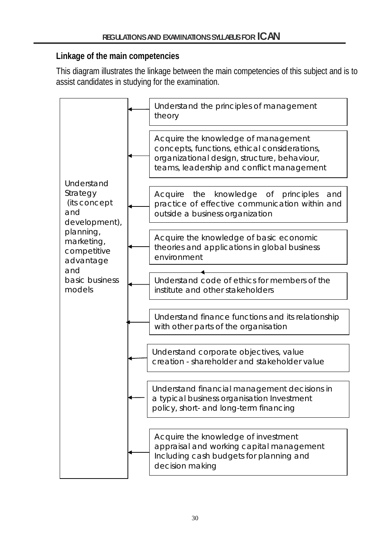## **Linkage of the main competencies**

This diagram illustrates the linkage between the main competencies of this subject and is to assist candidates in studying for the examination.

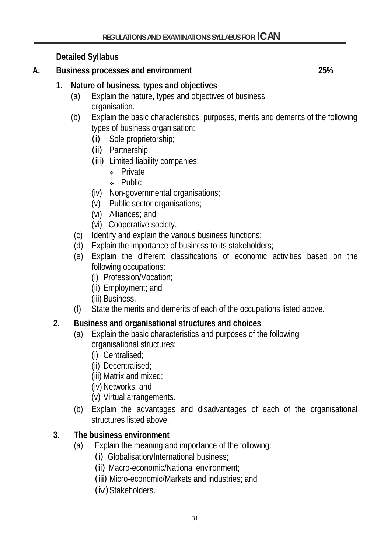**Detailed Syllabus**

**A. Business processes and environment 25%**

- **1. Nature of business, types and objectives**
	- (a) Explain the nature, types and objectives of business organisation.
	- (b) Explain the basic characteristics, purposes, merits and demerits of the following types of business organisation:
		- (i) Sole proprietorship;
		- (ii) Partnership;
		- (iii) Limited liability companies:
			- **\*** Private
			- **A** Public
		- (iv) Non-governmental organisations;
		- (v) Public sector organisations;
		- (vi) Alliances; and
		- (vi) Cooperative society.
		- (c) Identify and explain the various business functions;
		- (d) Explain the importance of business to its stakeholders;
	- (e) Explain the different classifications of economic activities based on the following occupations:
		- (i) Profession/Vocation;
		- (ii) Employment; and
		- (iii) Business.
	- (f) State the merits and demerits of each of the occupations listed above.

# **2. Business and organisational structures and choices**

- (a) Explain the basic characteristics and purposes of the following organisational structures:
	- (i) Centralised;
	- (ii) Decentralised;
	- (iii) Matrix and mixed;
	- $(iv)$  Networks; and
	- (v) Virtual arrangements.
- (b) Explain the advantages and disadvantages of each of the organisational structures listed above.

# **3. The business environment**

- (a) Explain the meaning and importance of the following:
	- (i) Globalisation/International business;
	- (ii) Macro-economic/National environment;
	- (iii) Micro-economic/Markets and industries; and
	- (iv) Stakeholders.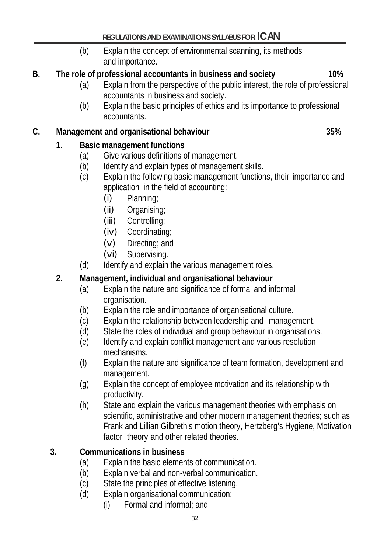(b)Explain the concept of environmental scanning, its methods and importance.

# **B. The role of professional accountants in business and society 10%**

- (a) Explain from the perspective of the public interest, the role of professional accountants in business and society.
- (b) Explain the basic principles of ethics and its importance to professional accountants.

## **C. Management and organisational behaviour 35%**

# **1. Basic management functions**

- (a) Give various definitions of management.
- (b) Identify and explain types of management skills.
- (c) Explain the following basic management functions, their importance and application in the field of accounting:
	- (i) Planning;
	- (ii) Organising;
	- (iii) Controlling;
	- (iv) Coordinating;
	- (v) Directing; and
	- (vi) Supervising.
- (d) Identify and explain the various management roles.

## **2. Management, individual and organisational behaviour**

- (a) Explain the nature and significance of formal and informal organisation.
- (b) Explain the role and importance of organisational culture.
- (c) Explain the relationship between leadership and management.
- (d) State the roles of individual and group behaviour in organisations.
- (e) Identify and explain conflict management and various resolution mechanisms.
- (f) Explain the nature and significance of team formation, development and management.
- (g) Explain the concept of employee motivation and its relationship with productivity.
- (h) State and explain the various management theories with emphasis on scientific, administrative and other modern management theories; such as Frank and Lillian Gilbreth's motion theory, Hertzberg's Hygiene, Motivation factor theory and other related theories.

## **3. Communications in business**

- (a) Explain the basic elements of communication.
- (b) Explain verbal and non-verbal communication.
- (c) State the principles of effective listening.
- (d) Explain organisational communication:
	- (i) Formal and informal; and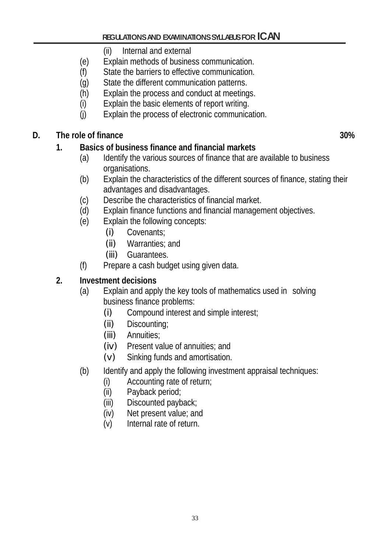- (ii) Internal and external
- (e) Explain methods of business communication.
- (f) State the barriers to effective communication.
- (g) State the different communication patterns.
- (h) Explain the process and conduct at meetings.
- 
- (i) Explain the basic elements of report writing.<br>(i) Explain the process of electronic communical Explain the process of electronic communication.

# **D. The role of finance 30%**

# **1. Basics of business finance and financial markets**

- (a) Identify the various sources of finance that are available to business organisations.
- (b) Explain the characteristics of the different sources of finance, stating their advantages and disadvantages.
- (c) Describe the characteristics of financial market.
- (d) Explain finance functions and financial management objectives.
- (e) Explain the following concepts:
	- (i) Covenants;
	- (ii) Warranties; and
	- (iii) Guarantees.
- (f) Prepare a cash budget using given data.

# **2. Investment decisions**

- (a) Explain and apply the key tools of mathematics used in solving business finance problems:
	- (i) Compound interest and simple interest;
	- (ii) Discounting;
	- (iii) Annuities;
	- (iv) Present value of annuities; and
	- (v) Sinking funds and amortisation.
- (b) Identify and apply the following investment appraisal techniques:
	- (i) Accounting rate of return;
	- (ii) Payback period;
	- (iii) Discounted payback;
	- (iv) Net present value; and
	- (v) Internal rate of return.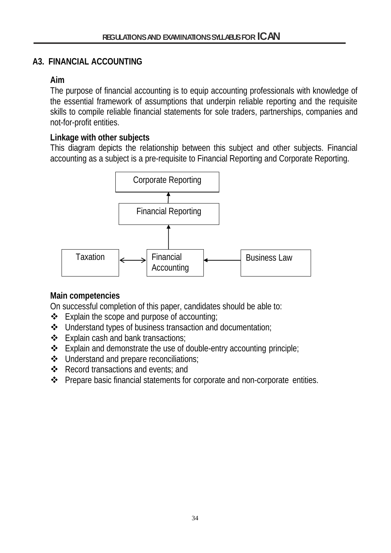#### **A3. FINANCIAL ACCOUNTING**

#### **Aim**

The purpose of financial accounting is to equip accounting professionals with knowledge of the essential framework of assumptions that underpin reliable reporting and the requisite skills to compile reliable financial statements for sole traders, partnerships, companies and not-for-profit entities.

#### **Linkage with other subjects**

This diagram depicts the relationship between this subject and other subjects. Financial accounting as a subject is a pre-requisite to Financial Reporting and Corporate Reporting.



## **Main competencies**

On successful completion of this paper, candidates should be able to:

- $\triangleleft$  Explain the scope and purpose of accounting;
- Understand types of business transaction and documentation;
- $\triangleleft$  Explain cash and bank transactions;
- $\triangle$  Explain and demonstrate the use of double-entry accounting principle;
- Understand and prepare reconciliations;
- ❖ Record transactions and events; and
- ❖ Prepare basic financial statements for corporate and non-corporate entities.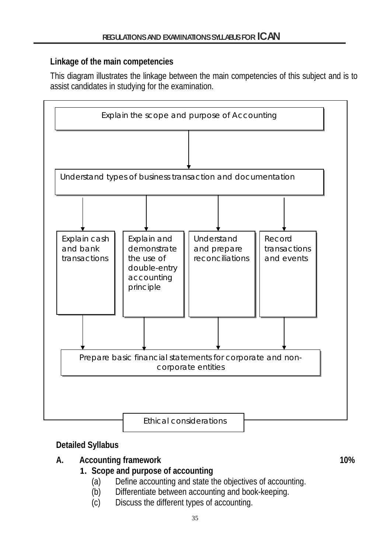## **Linkage of the main competencies**

This diagram illustrates the linkage between the main competencies of this subject and is to assist candidates in studying for the examination.



## **Detailed Syllabus**

# **A. Accounting framework 10%**

## **1. Scope and purpose of accounting**

- (a) Define accounting and state the objectives of accounting.
- (b) Differentiate between accounting and book-keeping.
- (c) Discuss the different types of accounting.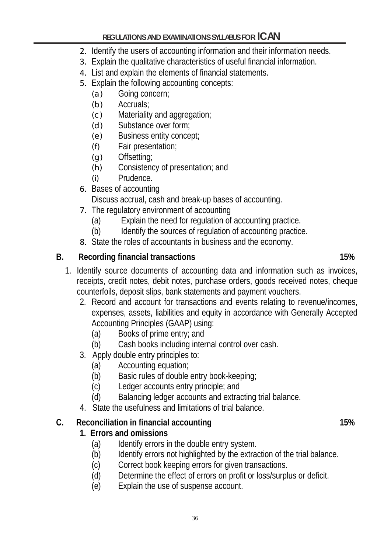- 2. Identify the users of accounting information and their information needs.
- 3. Explain the qualitative characteristics of useful financial information.
- 4. List and explain the elements of financial statements.
- 5. Explain the following accounting concepts:
	- (a) Going concern;
	- (b) Accruals;
	- (c) Materiality and aggregation;
	- (d) Substance over form;
	- (e) Business entity concept;
	- (f) Fair presentation;
	- (g) Offsetting;
	- (h) Consistency of presentation; and
	- (i) Prudence.
- 6. Bases of accounting Discuss accrual, cash and break-up bases of accounting.
- 7. The regulatory environment of accounting
	- (a) Explain the need for regulation of accounting practice.
	- (b) Identify the sources of regulation of accounting practice.
- 8. State the roles of accountants in business and the economy.

# **B. Recording financial transactions 15%**

- 1. Identify source documents of accounting data and information such as invoices, receipts, credit notes, debit notes, purchase orders, goods received notes, cheque counterfoils, deposit slips, bank statements and payment vouchers.
	- 2. Record and account for transactions and events relating to revenue/incomes, expenses, assets, liabilities and equity in accordance with Generally Accepted Accounting Principles (GAAP) using:
		- (a) Books of prime entry; and
		- (b) Cash books including internal control over cash.
	- 3. Apply double entry principles to:
		- (a) Accounting equation;
		- (b) Basic rules of double entry book-keeping;
		- (c) Ledger accounts entry principle; and
		- (d) Balancing ledger accounts and extracting trial balance.
	- 4. State the usefulness and limitations of trial balance.

# **C. Reconciliation in financial accounting 15%**

- **1. Errors and omissions**
	- (a) Identify errors in the double entry system.
	- (b) Identify errors not highlighted by the extraction of the trial balance.
	- (c) Correct book keeping errors for given transactions.
	- (d) Determine the effect of errors on profit or loss/surplus or deficit.
	- (e) Explain the use of suspense account.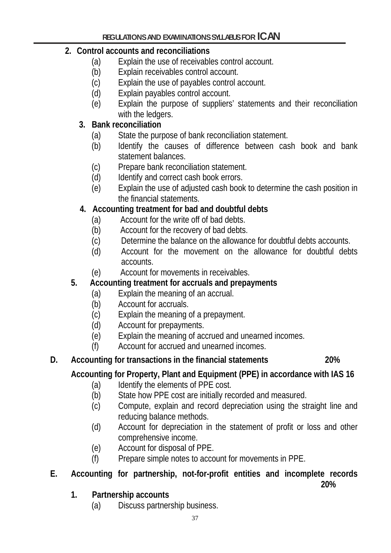## **2. Control accounts and reconciliations**

- (a) Explain the use of receivables control account.
- (b) Explain receivables control account.
- (c) Explain the use of payables control account.
- (d) Explain payables control account.
- (e) Explain the purpose of suppliers' statements and their reconciliation with the ledgers.

## **3. Bank reconciliation**

- (a) State the purpose of bank reconciliation statement.
- (b) Identify the causes of difference between cash book and bank statement balances.
- (c) Prepare bank reconciliation statement.
- (d) Identify and correct cash book errors.
- (e) Explain the use of adjusted cash book to determine the cash position in the financial statements.

## **4. Accounting treatment for bad and doubtful debts**

- (a) Account for the write off of bad debts.
- (b) Account for the recovery of bad debts.
- (c) Determine the balance on the allowance for doubtful debts accounts.
- (d) Account for the movement on the allowance for doubtful debts accounts.
- (e) Account for movements in receivables.

## **5. Accounting treatment for accruals and prepayments**

- (a) Explain the meaning of an accrual.
- (b) Account for accruals.
- (c) Explain the meaning of a prepayment.
- (d) Account for prepayments.
- (e) Explain the meaning of accrued and unearned incomes.
- (f) Account for accrued and unearned incomes.

#### **D. Accounting for transactions in the financial statements 20%**

# **Accounting for Property, Plant and Equipment (PPE) in accordance with IAS 16**

- (a) Identify the elements of PPE cost.
- (b) State how PPE cost are initially recorded and measured.
- (c) Compute, explain and record depreciation using the straight line and reducing balance methods.
- (d) Account for depreciation in the statement of profit or loss and other comprehensive income.
- (e) Account for disposal of PPE.
- (f) Prepare simple notes to account for movements in PPE.

# **E. Accounting for partnership, not-for-profit entities and incomplete records**

**20%**

- **1. Partnership accounts**
	- (a) Discuss partnership business.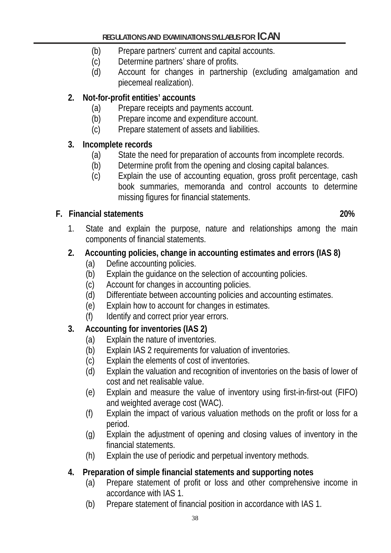- (b) Prepare partners' current and capital accounts.
- (c) Determine partners' share of profits.
- (d) Account for changes in partnership (excluding amalgamation and piecemeal realization).

# **2. Not-for-profit entities' accounts**

- (a) Prepare receipts and payments account.
- (b) Prepare income and expenditure account.
- (c) Prepare statement of assets and liabilities.

## **3. Incomplete records**

- (a) State the need for preparation of accounts from incomplete records.
- (b) Determine profit from the opening and closing capital balances.
- (c) Explain the use of accounting equation, gross profit percentage, cash book summaries, memoranda and control accounts to determine missing figures for financial statements.

# **F. Financial statements 20%**

1. State and explain the purpose, nature and relationships among the main components of financial statements.

# **2. Accounting policies, change in accounting estimates and errors (IAS 8)**

- (a) Define accounting policies.
- (b) Explain the guidance on the selection of accounting policies.
- (c) Account for changes in accounting policies.
- (d) Differentiate between accounting policies and accounting estimates.
- (e) Explain how to account for changes in estimates.
- (f) Identify and correct prior year errors.

# **3. Accounting for inventories (IAS 2)**

- (a) Explain the nature of inventories.
- (b) Explain IAS 2 requirements for valuation of inventories.
- (c) Explain the elements of cost of inventories.
- (d) Explain the valuation and recognition of inventories on the basis of lower of cost and net realisable value.
- (e) Explain and measure the value of inventory using first-in-first-out (FIFO) and weighted average cost (WAC).
- (f) Explain the impact of various valuation methods on the profit or loss for a period.
- (g) Explain the adjustment of opening and closing values of inventory in the financial statements.
- (h) Explain the use of periodic and perpetual inventory methods.

# **4. Preparation of simple financial statements and supporting notes**

- (a) Prepare statement of profit or loss and other comprehensive income in accordance with IAS 1.
- (b) Prepare statement of financial position in accordance with IAS 1.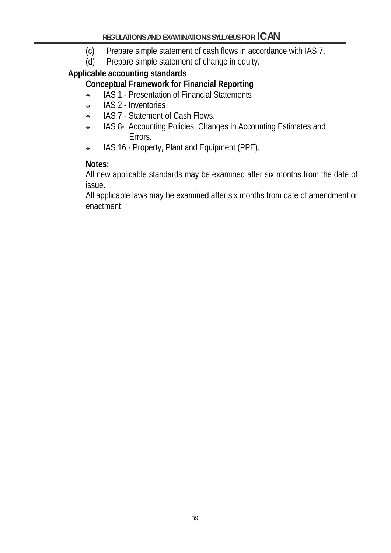- (c) Prepare simple statement of cash flows in accordance with IAS 7.<br>(d) Prepare simple statement of change in equity.
- Prepare simple statement of change in equity.

## **Applicable accounting standards**

# **Conceptual Framework for Financial Reporting**

- IAS 1 Presentation of Financial Statements
- IAS 2 Inventories
- \* IAS 7 Statement of Cash Flows.
- \* IAS 8- Accounting Policies, Changes in Accounting Estimates and Errors.
- IAS 16 Property, Plant and Equipment (PPE).

## **Notes:**

All new applicable standards may be examined after six months from the date of issue.

All applicable laws may be examined after six months from date of amendment or enactment.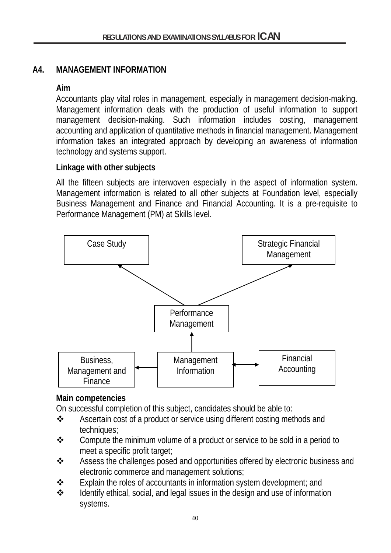## **A4. MANAGEMENT INFORMATION**

## **Aim**

Accountants play vital roles in management, especially in management decision-making. Management information deals with the production of useful information to support management decision-making. Such information includes costing, management accounting and application of quantitative methods in financial management. Management information takes an integrated approach by developing an awareness of information technology and systems support.

## **Linkage with other subjects**

All the fifteen subjects are interwoven especially in the aspect of information system. Management information is related to all other subjects at Foundation level, especially Business Management and Finance and Financial Accounting. It is a pre-requisite to Performance Management (PM) at Skills level.



#### **Main competencies**

On successful completion of this subject, candidates should be able to:

- Ascertain cost of a product or service using different costing methods and techniques;
- Compute the minimum volume of a product or service to be sold in a period to meet a specific profit target;
- Assess the challenges posed and opportunities offered by electronic business and electronic commerce and management solutions;
- $\cdot \cdot$  Explain the roles of accountants in information system development; and
- $\cdot \cdot$  Identify ethical, social, and legal issues in the design and use of information systems.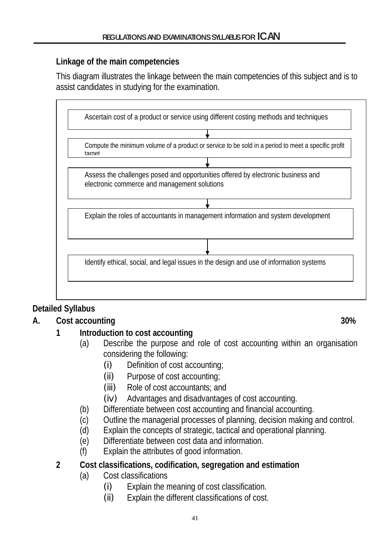## **Linkage of the main competencies**

This diagram illustrates the linkage between the main competencies of this subject and is to assist candidates in studying for the examination.



# **Detailed Syllabus**

# **A. Cost accounting 30%**

# **1 Introduction to cost accounting**

- (a) Describe the purpose and role of cost accounting within an organisation considering the following:
	- (i) Definition of cost accounting;
	- (ii) Purpose of cost accounting;
	- (iii) Role of cost accountants; and
	- (iv) Advantages and disadvantages of cost accounting.
- (b) Differentiate between cost accounting and financial accounting.
- (c) Outline the managerial processes of planning, decision making and control.
- (d) Explain the concepts of strategic, tactical and operational planning.
- (e) Differentiate between cost data and information.
- (f) Explain the attributes of good information.

## **2 Cost classifications, codification, segregation and estimation**

- (a) Cost classifications
	- (i) Explain the meaning of cost classification.
	- (ii) Explain the different classifications of cost.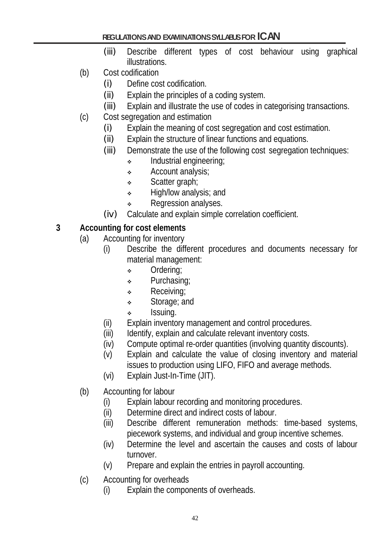- (iii) Describe different types of cost behaviour using graphical illustrations.
- (b) Cost codification
	- (i) Define cost codification.
	- (ii) Explain the principles of a coding system.
	- (iii) Explain and illustrate the use of codes in categorising transactions.
- (c) Cost segregation and estimation
	- (i) Explain the meaning of cost segregation and cost estimation.
	- (ii) Explain the structure of linear functions and equations.
	- (iii) Demonstrate the use of the following cost segregation techniques:
		- Industrial engineering;
		- Account analysis;
		- Scatter graph;
		- High/low analysis; and
		- **\*** Regression analyses.
	- (iv) Calculate and explain simple correlation coefficient.

# **3 Accounting for cost elements**

- (a) Accounting for inventory
	- (i) Describe the different procedures and documents necessary for material management:
		- Ordering;
		- **\*** Purchasing;
		- **Receiving**;
		- Storage; and
		- $\cdot$  Issuing.
	- (ii) Explain inventory management and control procedures.
	- (iii) Identify, explain and calculate relevant inventory costs.
	- (iv) Compute optimal re-order quantities (involving quantity discounts).
	- (v) Explain and calculate the value of closing inventory and material issues to production using LIFO, FIFO and average methods.
	- (vi) Explain Just-In-Time (JIT).
- (b) Accounting for labour
	- (i) Explain labour recording and monitoring procedures.
	- (ii) Determine direct and indirect costs of labour.
	- (iii) Describe different remuneration methods: time-based systems, piecework systems, and individual and group incentive schemes.
	- (iv) Determine the level and ascertain the causes and costs of labour turnover.
	- (v) Prepare and explain the entries in payroll accounting.
- (c) Accounting for overheads
	- (i) Explain the components of overheads.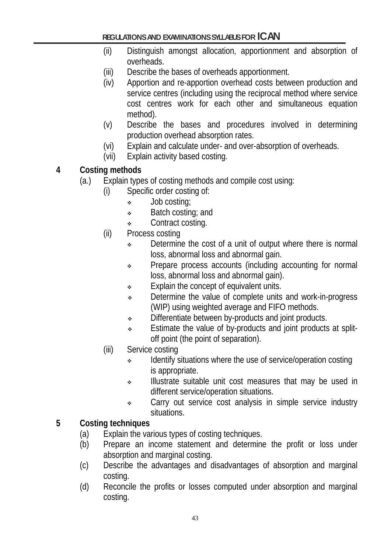- (ii) Distinguish amongst allocation, apportionment and absorption of overheads.
- (iii) Describe the bases of overheads apportionment.
- (iv) Apportion and re-apportion overhead costs between production and service centres (including using the reciprocal method where service cost centres work for each other and simultaneous equation method).
- (v) Describe the bases and procedures involved in determining production overhead absorption rates.
- (vi) Explain and calculate under- and over-absorption of overheads.
- (vii) Explain activity based costing.
- **4 Costing methods**
	- (a.) Explain types of costing methods and compile cost using:
		- (i) Specific order costing of:
			- Job costing;
			- **Batch costing; and**
			- ◆ Contract costing.
		- (ii) Process costing
			- $\cdot$  Determine the cost of a unit of output where there is normal loss, abnormal loss and abnormal gain.
			- Prepare process accounts (including accounting for normal loss, abnormal loss and abnormal gain).
			- **Explain the concept of equivalent units.**
			- Determine the value of complete units and work-in-progress (WIP) using weighted average and FIFO methods.
			- $\bullet$  Differentiate between by-products and joint products.
			- Estimate the value of by-products and joint products at splitoff point (the point of separation).
		- (iii) Service costing
			- Identify situations where the use of service/operation costing is appropriate.
			- Illustrate suitable unit cost measures that may be used in different service/operation situations.
			- Carry out service cost analysis in simple service industry situations.

#### **5 Costing techniques**

- (a) Explain the various types of costing techniques.
- (b) Prepare an income statement and determine the profit or loss under absorption and marginal costing.
- (c) Describe the advantages and disadvantages of absorption and marginal costing.
- (d) Reconcile the profits or losses computed under absorption and marginal costing.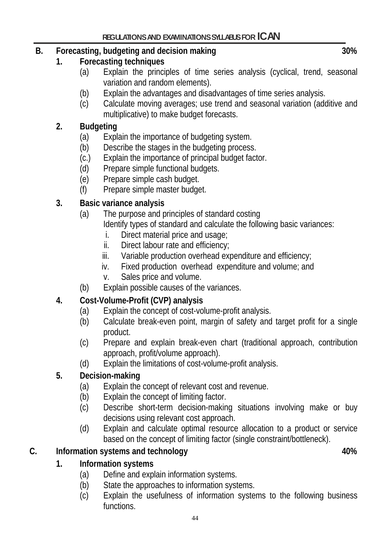# **B. Forecasting, budgeting and decision making 30%**

## **1. Forecasting techniques**

- (a) Explain the principles of time series analysis (cyclical, trend, seasonal variation and random elements).
- (b) Explain the advantages and disadvantages of time series analysis.
- (c) Calculate moving averages; use trend and seasonal variation (additive and multiplicative) to make budget forecasts.

# **2. Budgeting**

- (a) Explain the importance of budgeting system.
- (b) Describe the stages in the budgeting process.
- (c.) Explain the importance of principal budget factor.
- (d) Prepare simple functional budgets.
- (e) Prepare simple cash budget.
- (f) Prepare simple master budget.

## **3. Basic variance analysis**

- (a) The purpose and principles of standard costing Identify types of standard and calculate the following basic variances:
	- i. Direct material price and usage;
	- ii. Direct labour rate and efficiency;
	- iii. Variable production overhead expenditure and efficiency;
	- iv. Fixed production overhead expenditure and volume; and
	- v. Sales price and volume.
- (b) Explain possible causes of the variances.

# **4. Cost-Volume-Profit (CVP) analysis**

- (a) Explain the concept of cost-volume-profit analysis.
- (b) Calculate break-even point, margin of safety and target profit for a single product.
- (c) Prepare and explain break-even chart (traditional approach, contribution approach, profit/volume approach).
- (d) Explain the limitations of cost-volume-profit analysis.

## **5. Decision-making**

- (a) Explain the concept of relevant cost and revenue.
- (b) Explain the concept of limiting factor.
- (c) Describe short-term decision-making situations involving make or buy decisions using relevant cost approach.
- (d) Explain and calculate optimal resource allocation to a product or service based on the concept of limiting factor (single constraint/bottleneck).

## **C. Information systems and technology 40%**

# **1. Information systems**

- (a) Define and explain information systems.
- (b) State the approaches to information systems.
- (c) Explain the usefulness of information systems to the following business functions.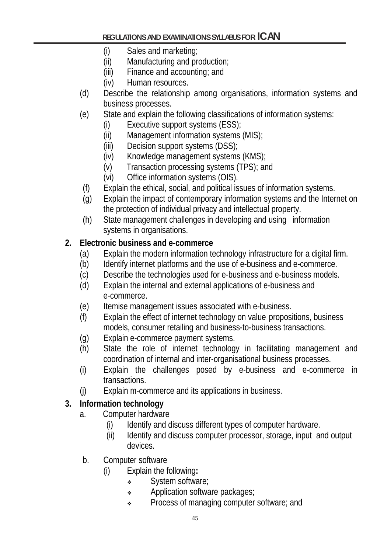- (i) Sales and marketing;
- (ii) Manufacturing and production;
- (iii) Finance and accounting; and
- (iv) Human resources.
- (d) Describe the relationship among organisations, information systems and business processes.
- (e) State and explain the following classifications of information systems:
	- (i) Executive support systems (ESS);
	- (ii) Management information systems (MIS);
	- (iii) Decision support systems (DSS);
	- (iv) Knowledge management systems (KMS);
	- (v) Transaction processing systems (TPS); and
	- (vi) Office information systems (OIS).
- (f) Explain the ethical, social, and political issues of information systems.
- (g) Explain the impact of contemporary information systems and the Internet on the protection of individual privacy and intellectual property.
- (h) State management challenges in developing and using information systems in organisations.

## **2. Electronic business and e-commerce**

- (a) Explain the modern information technology infrastructure for a digital firm.
- (b) Identify internet platforms and the use of e-business and e-commerce.
- (c) Describe the technologies used for e-business and e-business models.
- (d) Explain the internal and external applications of e-business and e-commerce.
- (e) Itemise management issues associated with e-business.
- (f) Explain the effect of internet technology on value propositions, business models, consumer retailing and business-to-business transactions.
- (g) Explain e-commerce payment systems.
- (h) State the role of internet technology in facilitating management and coordination of internal and inter-organisational business processes.
- (i) Explain the challenges posed by e-business and e-commerce in transactions.
- (j) Explain m-commerce and its applications in business.

## **3. Information technology**

- a. Computer hardware
	- (i) Identify and discuss different types of computer hardware.
	- (ii) Identify and discuss computer processor, storage, input and output devices.
- b. Computer software
	- (i) Explain the following**:**
		- System software;
			- Application software packages;
			- **•** Process of managing computer software; and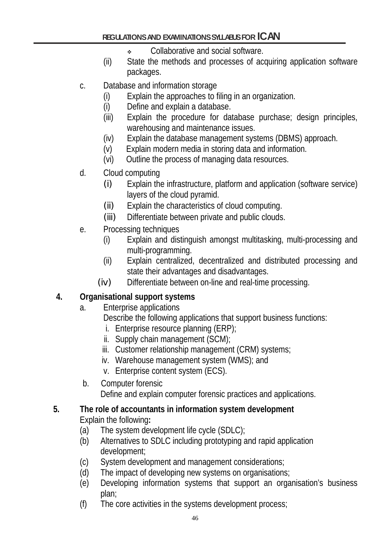- Collaborative and social software.
- (ii) State the methods and processes of acquiring application software packages.
- c. Database and information storage
	- (i) Explain the approaches to filing in an organization.
	- (i) Define and explain a database.
	- (iii) Explain the procedure for database purchase; design principles, warehousing and maintenance issues.
	- (iv) Explain the database management systems (DBMS) approach.
	- (v) Explain modern media in storing data and information.
	- (vi) Outline the process of managing data resources.
- d. Cloud computing
	- (i) Explain the infrastructure, platform and application (software service) layers of the cloud pyramid.
	- (ii) Explain the characteristics of cloud computing.
	- (iii) Differentiate between private and public clouds.
- e. Processing techniques
	- (i) Explain and distinguish amongst multitasking, multi-processing and multi-programming.
	- (ii) Explain centralized, decentralized and distributed processing and state their advantages and disadvantages.
	- (iv) Differentiate between on-line and real-time processing.

# **4. Organisational support systems**

- a. Enterprise applications
	- Describe the following applications that support business functions:
		- i. Enterprise resource planning (ERP);
	- ii. Supply chain management (SCM);
	- iii. Customer relationship management (CRM) systems;
	- iv. Warehouse management system (WMS); and
	- v. Enterprise content system (ECS).
- b. Computer forensic

Define and explain computer forensic practices and applications.

# **5. The role of accountants in information system development**

Explain the following**:**

- (a) The system development life cycle (SDLC);
- (b) Alternatives to SDLC including prototyping and rapid application development;
- (c) System development and management considerations;
- (d) The impact of developing new systems on organisations;
- (e) Developing information systems that support an organisation's business plan;
- (f) The core activities in the systems development process;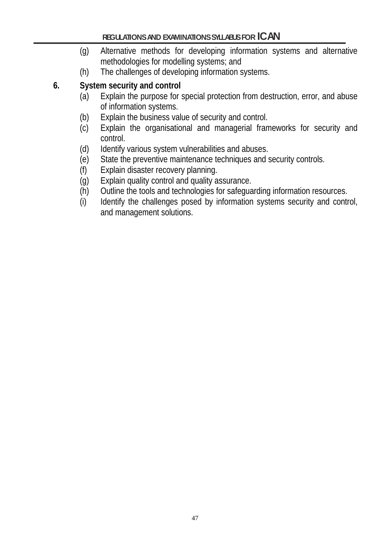- (g) Alternative methods for developing information systems and alternative methodologies for modelling systems; and
- (h) The challenges of developing information systems.

# **6. System security and control**

- (a) Explain the purpose for special protection from destruction, error, and abuse of information systems.
- (b) Explain the business value of security and control.
- (c) Explain the organisational and managerial frameworks for security and control.
- (d) Identify various system vulnerabilities and abuses.
- (e) State the preventive maintenance techniques and security controls.<br>(f) Explain disaster recovery planning.
- Explain disaster recovery planning.
- (g) Explain quality control and quality assurance.
- (h) Outline the tools and technologies for safeguarding information resources.
- (i) Identify the challenges posed by information systems security and control, and management solutions.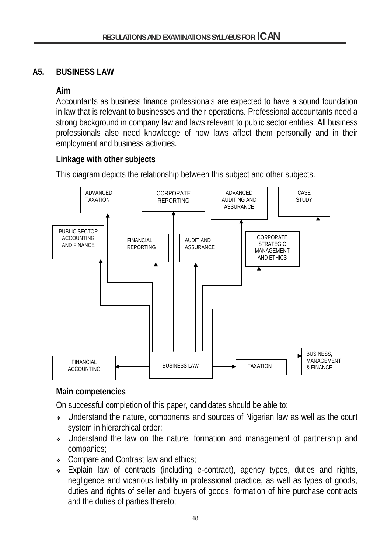## **A5. BUSINESS LAW**

## **Aim**

Accountants as business finance professionals are expected to have a sound foundation in law that is relevant to businesses and their operations. Professional accountants need a strong background in company law and laws relevant to public sector entities. All business professionals also need knowledge of how laws affect them personally and in their employment and business activities.

#### **Linkage with other subjects**

This diagram depicts the relationship between this subject and other subjects.



## **Main competencies**

On successful completion of this paper, candidates should be able to:

- Understand the nature, components and sources of Nigerian law as well as the court system in hierarchical order;
- Understand the law on the nature, formation and management of partnership and companies;
- Compare and Contrast law and ethics;
- Explain law of contracts (including e-contract), agency types, duties and rights, negligence and vicarious liability in professional practice, as well as types of goods, duties and rights of seller and buyers of goods, formation of hire purchase contracts and the duties of parties thereto;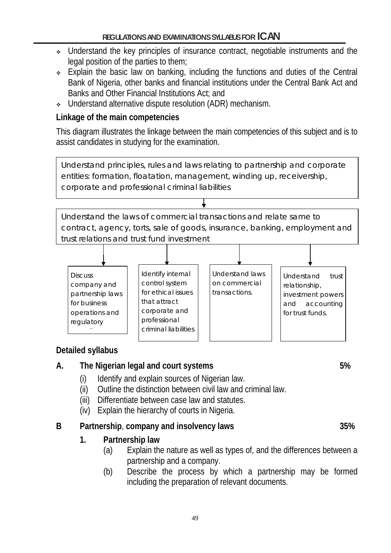- Understand the key principles of insurance contract, negotiable instruments and the legal position of the parties to them;
- Explain the basic law on banking, including the functions and duties of the Central Bank of Nigeria, other banks and financial institutions under the Central Bank Act and Banks and Other Financial Institutions Act; and
- Understand alternative dispute resolution (ADR) mechanism.

## **Linkage of the main competencies**

This diagram illustrates the linkage between the main competencies of this subject and is to assist candidates in studying for the examination.

Understand principles, rules and laws relating to partnership and corporate entities: formation, floatation, management, winding up, receivership, corporate and professional criminal liabilities

Understand the laws of commercial transactions and relate same to contract, agency, torts, sale of goods, insurance, banking, employment and trust relations and trust fund investment



# **Detailed syllabus**

# **A. The Nigerian legal and court systems 5%**

- (i) Identify and explain sources of Nigerian law.
- (ii) Outline the distinction between civil law and criminal law.
- (iii) Differentiate between case law and statutes.
- (iv) Explain the hierarchy of courts in Nigeria.

# **B Partnership**, **company and insolvency laws 35%**

# **1. Partnership law**

- (a) Explain the nature as well as types of, and the differences between a partnership and a company.
- (b) Describe the process by which a partnership may be formed including the preparation of relevant documents.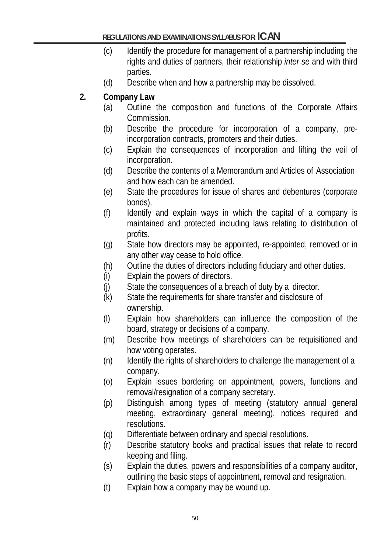- (c) Identify the procedure for management of a partnership including the rights and duties of partners, their relationship *inter se* and with third parties.
- (d) Describe when and how a partnership may be dissolved.
- **2. Company Law**
	- (a) Outline the composition and functions of the Corporate Affairs Commission.
	- (b) Describe the procedure for incorporation of a company, preincorporation contracts, promoters and their duties.
	- (c) Explain the consequences of incorporation and lifting the veil of incorporation.
	- (d) Describe the contents of a Memorandum and Articles of Association and how each can be amended.
	- (e) State the procedures for issue of shares and debentures (corporate bonds).
	- (f) Identify and explain ways in which the capital of a company is maintained and protected including laws relating to distribution of profits.
	- (g) State how directors may be appointed, re-appointed, removed or in any other way cease to hold office.
	- (h) Outline the duties of directors including fiduciary and other duties.
	- (i) Explain the powers of directors.
	- (j) State the consequences of a breach of duty by a director.
	- (k) State the requirements for share transfer and disclosure of ownership.
	- (l) Explain how shareholders can influence the composition of the board, strategy or decisions of a company.
	- (m) Describe how meetings of shareholders can be requisitioned and how voting operates.
	- (n) Identify the rights of shareholders to challenge the management of a company.
	- (o) Explain issues bordering on appointment, powers, functions and removal/resignation of a company secretary.
	- (p) Distinguish among types of meeting (statutory annual general meeting, extraordinary general meeting), notices required and resolutions.
	- (q) Differentiate between ordinary and special resolutions.
	- (r) Describe statutory books and practical issues that relate to record keeping and filing.
	- (s) Explain the duties, powers and responsibilities of a company auditor, outlining the basic steps of appointment, removal and resignation.
	- (t) Explain how a company may be wound up.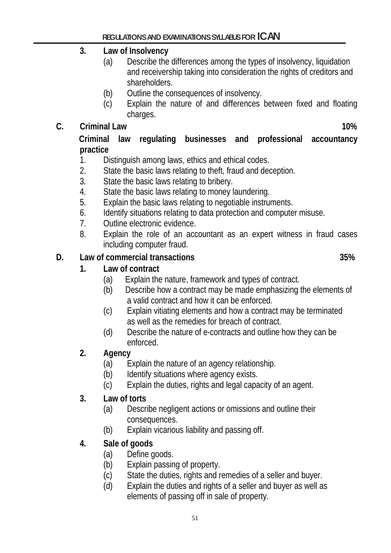## **3. Law of Insolvency**

- (a) Describe the differences among the types of insolvency, liquidation and receivership taking into consideration the rights of creditors and shareholders.
- (b) Outline the consequences of insolvency.
- (c) Explain the nature of and differences between fixed and floating charges.

## **C. Criminal Law 10%**

#### **Criminal law regulating businesses and professional accountancy practice**

- 1. Distinguish among laws, ethics and ethical codes.
- 2. State the basic laws relating to theft, fraud and deception.
- 3. State the basic laws relating to bribery.
- 4. State the basic laws relating to money laundering.
- 5. Explain the basic laws relating to negotiable instruments.
- 6. Identify situations relating to data protection and computer misuse.
- 7. Outline electronic evidence.
- 8. Explain the role of an accountant as an expert witness in fraud cases including computer fraud.

## **D. Law of commercial transactions 35%**

- **1. Law of contract**
	- (a) Explain the nature, framework and types of contract.
	- (b) Describe how a contract may be made emphasizing the elements of a valid contract and how it can be enforced.
	- (c) Explain vitiating elements and how a contract may be terminated as well as the remedies for breach of contract.
	- (d) Describe the nature of e-contracts and outline how they can be enforced.

## **2. Agency**

- (a) Explain the nature of an agency relationship.
- (b) Identify situations where agency exists.
- (c) Explain the duties, rights and legal capacity of an agent.

#### **3. Law of torts**

- (a) Describe negligent actions or omissions and outline their consequences.
- (b) Explain vicarious liability and passing off.
- **4. Sale of goods**
	- (a) Define goods.
	- (b) Explain passing of property.
	- (c) State the duties, rights and remedies of a seller and buyer.
	- (d) Explain the duties and rights of a seller and buyer as well as elements of passing off in sale of property.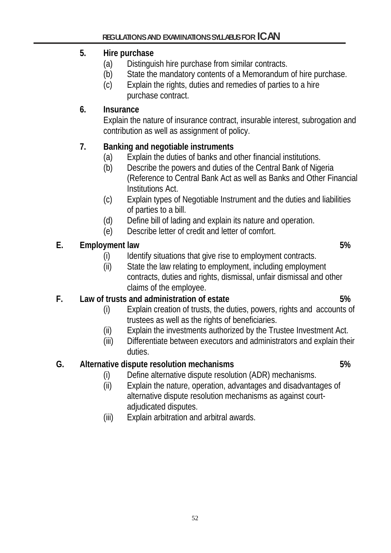## **5. Hire purchase**

- (a) Distinguish hire purchase from similar contracts.
- (b) State the mandatory contents of a Memorandum of hire purchase.
- (c) Explain the rights, duties and remedies of parties to a hire purchase contract.

# **6. Insurance**

Explain the nature of insurance contract, insurable interest, subrogation and contribution as well as assignment of policy.

# **7. Banking and negotiable instruments**

- (a) Explain the duties of banks and other financial institutions.
- (b) Describe the powers and duties of the Central Bank of Nigeria (Reference to Central Bank Act as well as Banks and Other Financial Institutions Act.
- (c) Explain types of Negotiable Instrument and the duties and liabilities of parties to a bill.
- (d) Define bill of lading and explain its nature and operation.
- (e) Describe letter of credit and letter of comfort.

# **E. Employment law 5%**

- (i) Identify situations that give rise to employment contracts.
- (ii) State the law relating to employment, including employment contracts, duties and rights, dismissal, unfair dismissal and other claims of the employee.

# **F. Law of trusts and administration of estate 5%**

- (i) Explain creation of trusts, the duties, powers, rights and accounts of trustees as well as the rights of beneficiaries.
- (ii) Explain the investments authorized by the Trustee Investment Act.
- (iii) Differentiate between executors and administrators and explain their duties.

# **G. Alternative dispute resolution mechanisms 5%**

- (i) Define alternative dispute resolution (ADR) mechanisms.
- (ii) Explain the nature, operation, advantages and disadvantages of alternative dispute resolution mechanisms as against courtadjudicated disputes.
- (iii) Explain arbitration and arbitral awards.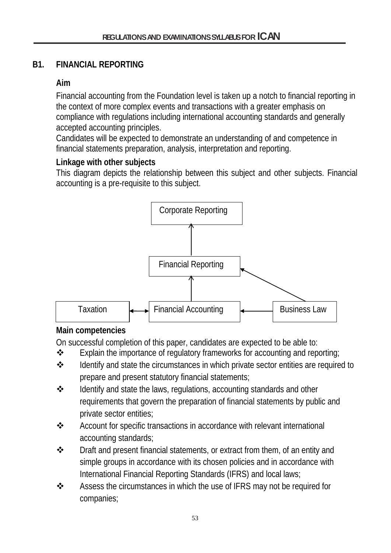## **B1. FINANCIAL REPORTING**

## **Aim**

Financial accounting from the Foundation level is taken up a notch to financial reporting in the context of more complex events and transactions with a greater emphasis on compliance with regulations including international accounting standards and generally accepted accounting principles.

Candidates will be expected to demonstrate an understanding of and competence in financial statements preparation, analysis, interpretation and reporting.

## **Linkage with other subjects**

This diagram depicts the relationship between this subject and other subjects. Financial accounting is a pre-requisite to this subject.



# **Main competencies**

On successful completion of this paper, candidates are expected to be able to:

- $\cdot \cdot$  Explain the importance of regulatory frameworks for accounting and reporting;
- $\triangle$  Identify and state the circumstances in which private sector entities are required to prepare and present statutory financial statements;
- $\mathbf{\hat{P}}$  Identify and state the laws, regulations, accounting standards and other requirements that govern the preparation of financial statements by public and private sector entities;
- Account for specific transactions in accordance with relevant international accounting standards;
- $\clubsuit$  Draft and present financial statements, or extract from them, of an entity and simple groups in accordance with its chosen policies and in accordance with International Financial Reporting Standards (IFRS) and local laws;
- $\clubsuit$  Assess the circumstances in which the use of IFRS may not be required for companies;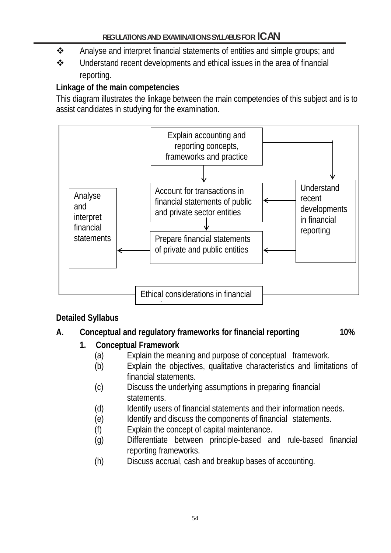- $\clubsuit$  Analyse and interpret financial statements of entities and simple groups; and
- Understand recent developments and ethical issues in the area of financial reporting.

## **Linkage of the main competencies**

This diagram illustrates the linkage between the main competencies of this subject and is to assist candidates in studying for the examination.



#### **Detailed Syllabus**

#### **A. Conceptual and regulatory frameworks for financial reporting 10%**

#### **1. Conceptual Framework**

- (a) Explain the meaning and purpose of conceptual framework.
- (b) Explain the objectives, qualitative characteristics and limitations of financial statements.
- (c) Discuss the underlying assumptions in preparing financial statements.
- (d) Identify users of financial statements and their information needs.
- (e) Identify and discuss the components of financial statements.
- (f) Explain the concept of capital maintenance.
- (g) Differentiate between principle-based and rule-based financial reporting frameworks.
- (h) Discuss accrual, cash and breakup bases of accounting.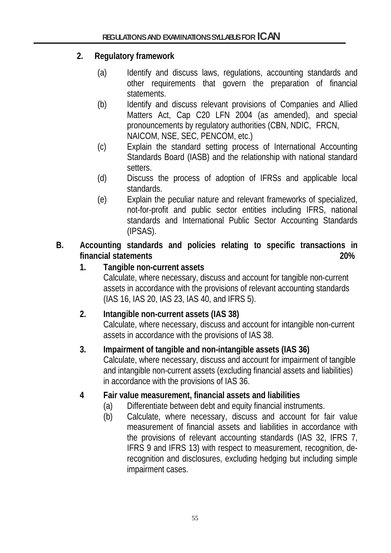## **2. Regulatory framework**

- (a) Identify and discuss laws, regulations, accounting standards and other requirements that govern the preparation of financial statements.
- (b) Identify and discuss relevant provisions of Companies and Allied Matters Act, Cap C20 LFN 2004 (as amended), and special pronouncements by regulatory authorities (CBN, NDIC, FRCN, NAICOM, NSE, SEC, PENCOM, etc.)
- (c) Explain the standard setting process of International Accounting Standards Board (IASB) and the relationship with national standard setters.
- (d) Discuss the process of adoption of IFRSs and applicable local standards.
- (e) Explain the peculiar nature and relevant frameworks of specialized, not-for-profit and public sector entities including IFRS, national standards and International Public Sector Accounting Standards (IPSAS).
- **B. Accounting standards and policies relating to specific transactions in financial statements 20%**
	- **1. Tangible non-current assets**

Calculate, where necessary, discuss and account for tangible non-current assets in accordance with the provisions of relevant accounting standards (IAS 16, IAS 20, IAS 23, IAS 40, and IFRS 5).

# **2. Intangible non-current assets (IAS 38)**

Calculate, where necessary, discuss and account for intangible non-current assets in accordance with the provisions of IAS 38.

## **3. Impairment of tangible and non-intangible assets (IAS 36)**

Calculate, where necessary, discuss and account for impairment of tangible and intangible non-current assets (excluding financial assets and liabilities) in accordance with the provisions of IAS 36.

## **4 Fair value measurement, financial assets and liabilities**

- (a) Differentiate between debt and equity financial instruments.
- (b) Calculate, where necessary, discuss and account for fair value measurement of financial assets and liabilities in accordance with the provisions of relevant accounting standards (IAS 32, IFRS 7, IFRS 9 and IFRS 13) with respect to measurement, recognition, derecognition and disclosures, excluding hedging but including simple impairment cases.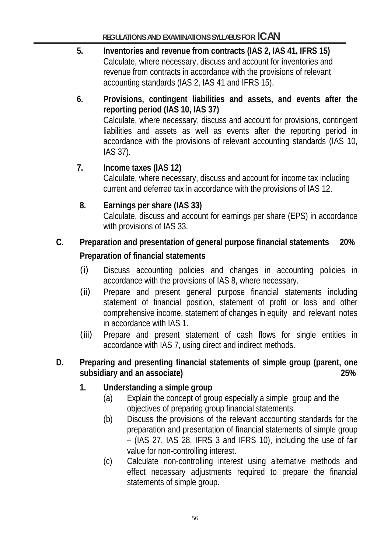- **5. Inventories and revenue from contracts (IAS 2, IAS 41, IFRS 15)** Calculate, where necessary, discuss and account for inventories and revenue from contracts in accordance with the provisions of relevant accounting standards (IAS 2, IAS 41 and IFRS 15).
- **6. Provisions, contingent liabilities and assets, and events after the reporting period (IAS 10, IAS 37)** Calculate, where necessary, discuss and account for provisions, contingent liabilities and assets as well as events after the reporting period in accordance with the provisions of relevant accounting standards (IAS 10, IAS 37).

#### **7. Income taxes (IAS 12)** Calculate, where necessary, discuss and account for income tax including current and deferred tax in accordance with the provisions of IAS 12.

**8. Earnings per share (IAS 33)** Calculate, discuss and account for earnings per share (EPS) in accordance with provisions of IAS 33.

# **C. Preparation and presentation of general purpose financial statements 20% Preparation of financial statements**

- (i) Discuss accounting policies and changes in accounting policies in accordance with the provisions of IAS 8, where necessary.
- (ii) Prepare and present general purpose financial statements including statement of financial position, statement of profit or loss and other comprehensive income, statement of changes in equity and relevant notes in accordance with IAS 1.
- (iii) Prepare and present statement of cash flows for single entities in accordance with IAS 7, using direct and indirect methods.

## **D. Preparing and presenting financial statements of simple group (parent, one subsidiary and an associate) 25%**

- **1. Understanding a simple group**
	- (a) Explain the concept of group especially a simple group and the objectives of preparing group financial statements.
	- (b) Discuss the provisions of the relevant accounting standards for the preparation and presentation of financial statements of simple group – (IAS 27, IAS 28, IFRS 3 and IFRS 10), including the use of fair value for non-controlling interest.
	- (c) Calculate non-controlling interest using alternative methods and effect necessary adjustments required to prepare the financial statements of simple group.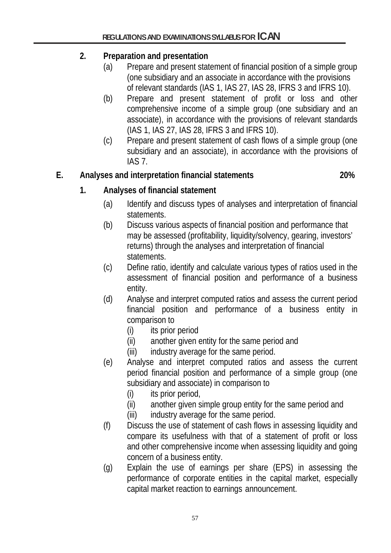# **2. Preparation and presentation**

- (a) Prepare and present statement of financial position of a simple group (one subsidiary and an associate in accordance with the provisions of relevant standards (IAS 1, IAS 27, IAS 28, IFRS 3 and IFRS 10).
- (b) Prepare and present statement of profit or loss and other comprehensive income of a simple group (one subsidiary and an associate), in accordance with the provisions of relevant standards (IAS 1, IAS 27, IAS 28, IFRS 3 and IFRS 10).
- (c) Prepare and present statement of cash flows of a simple group (one subsidiary and an associate), in accordance with the provisions of IAS 7.

# **E. Analyses and interpretation financial statements 20%**

# **1. Analyses of financial statement**

- (a) Identify and discuss types of analyses and interpretation of financial statements.
- (b) Discuss various aspects of financial position and performance that may be assessed (profitability, liquidity/solvency, gearing, investors' returns) through the analyses and interpretation of financial statements.
- (c) Define ratio, identify and calculate various types of ratios used in the assessment of financial position and performance of a business entity.
- (d) Analyse and interpret computed ratios and assess the current period financial position and performance of a business entity in comparison to
	- (i) its prior period
	- (ii) another given entity for the same period and
	- (iii) industry average for the same period.
- (e) Analyse and interpret computed ratios and assess the current period financial position and performance of a simple group (one subsidiary and associate) in comparison to
	- (i) its prior period,
	- (ii) another given simple group entity for the same period and
	- (iii) industry average for the same period.
- (f) Discuss the use of statement of cash flows in assessing liquidity and compare its usefulness with that of a statement of profit or loss and other comprehensive income when assessing liquidity and going concern of a business entity.
- (g) Explain the use of earnings per share (EPS) in assessing the performance of corporate entities in the capital market, especially capital market reaction to earnings announcement.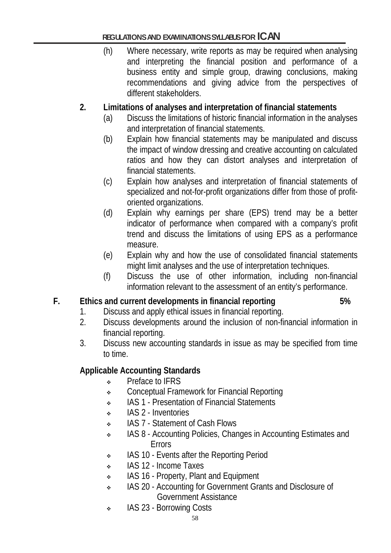(h) Where necessary, write reports as may be required when analysing and interpreting the financial position and performance of a business entity and simple group, drawing conclusions, making recommendations and giving advice from the perspectives of different stakeholders.

## **2. Limitations of analyses and interpretation of financial statements**

- (a) Discuss the limitations of historic financial information in the analyses and interpretation of financial statements.
- (b) Explain how financial statements may be manipulated and discuss the impact of window dressing and creative accounting on calculated ratios and how they can distort analyses and interpretation of financial statements.
- (c) Explain how analyses and interpretation of financial statements of specialized and not-for-profit organizations differ from those of profitoriented organizations.
- (d) Explain why earnings per share (EPS) trend may be a better indicator of performance when compared with a company's profit trend and discuss the limitations of using EPS as a performance measure.
- (e) Explain why and how the use of consolidated financial statements might limit analyses and the use of interpretation techniques.
- (f) Discuss the use of other information, including non-financial information relevant to the assessment of an entity's performance.

#### **F. Ethics and current developments in financial reporting 5%**

- 1. Discuss and apply ethical issues in financial reporting.
- 2. Discuss developments around the inclusion of non-financial information in financial reporting.
- 3. Discuss new accounting standards in issue as may be specified from time to time.

#### **Applicable Accounting Standards**

- Preface to IFRS
- Conceptual Framework for Financial Reporting
- IAS 1 Presentation of Financial Statements
- ◆ IAS 2 Inventories
- IAS 7 Statement of Cash Flows
- IAS 8 Accounting Policies, Changes in Accounting Estimates and Errors
- IAS 10 Events after the Reporting Period
- IAS 12 Income Taxes
- IAS 16 Property, Plant and Equipment
- IAS 20 Accounting for Government Grants and Disclosure of Government Assistance
- IAS 23 Borrowing Costs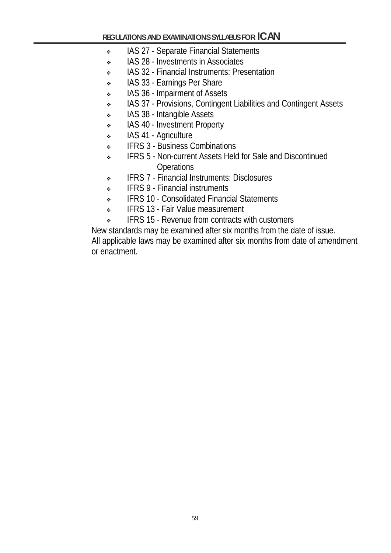- **IAS 27 Separate Financial Statements**
- IAS 28 Investments in Associates
- IAS 32 Financial Instruments: Presentation
- IAS 33 Earnings Per Share
- IAS 36 Impairment of Assets
- IAS 37 Provisions, Contingent Liabilities and Contingent Assets
- IAS 38 Intangible Assets
- **IAS 40 Investment Property**
- IAS 41 Agriculture
- **EXECUTE:** IFRS 3 Business Combinations
- IFRS 5 Non-current Assets Held for Sale and Discontinued **Operations**
- IFRS 7 Financial Instruments: Disclosures
- **IFRS 9 Financial instruments**
- **IFRS 10 Consolidated Financial Statements**
- IFRS 13 Fair Value measurement
- **EXECUTE:** IFRS 15 Revenue from contracts with customers

New standards may be examined after six months from the date of issue.

All applicable laws may be examined after six months from date of amendment or enactment.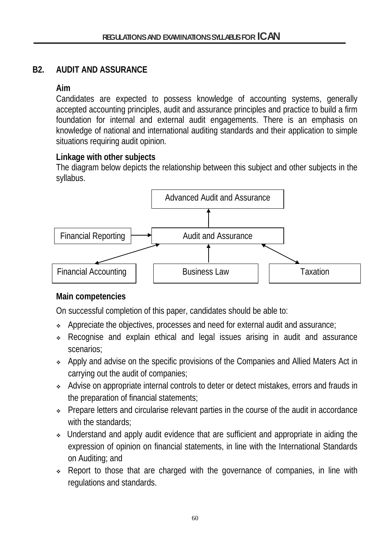## **B2. AUDIT AND ASSURANCE**

## **Aim**

Candidates are expected to possess knowledge of accounting systems, generally accepted accounting principles, audit and assurance principles and practice to build a firm foundation for internal and external audit engagements. There is an emphasis on knowledge of national and international auditing standards and their application to simple situations requiring audit opinion.

## **Linkage with other subjects**

The diagram below depicts the relationship between this subject and other subjects in the syllabus.



# **Main competencies**

On successful completion of this paper, candidates should be able to:

- Appreciate the objectives, processes and need for external audit and assurance;
- Recognise and explain ethical and legal issues arising in audit and assurance scenarios;
- Apply and advise on the specific provisions of the Companies and Allied Maters Act in carrying out the audit of companies;
- Advise on appropriate internal controls to deter or detect mistakes, errors and frauds in the preparation of financial statements;
- Prepare letters and circularise relevant parties in the course of the audit in accordance with the standards:
- Understand and apply audit evidence that are sufficient and appropriate in aiding the expression of opinion on financial statements, in line with the International Standards on Auditing; and
- \* Report to those that are charged with the governance of companies, in line with regulations and standards.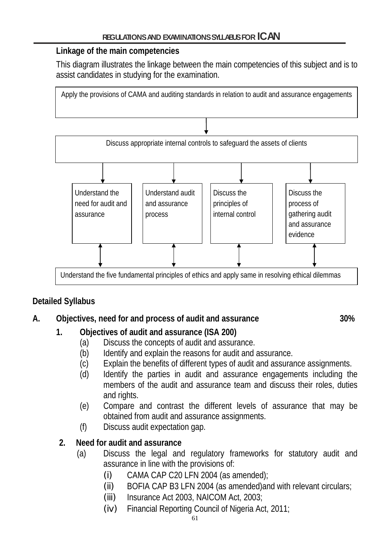#### **Linkage of the main competencies**

This diagram illustrates the linkage between the main competencies of this subject and is to assist candidates in studying for the examination.



# **Detailed Syllabus**

# **A. Objectives, need for and process of audit and assurance 30%**

# **1. Objectives of audit and assurance (ISA 200)**

- (a) Discuss the concepts of audit and assurance.
- (b) Identify and explain the reasons for audit and assurance.
- (c) Explain the benefits of different types of audit and assurance assignments.
- (d) Identify the parties in audit and assurance engagements including the members of the audit and assurance team and discuss their roles, duties and rights.
- (e) Compare and contrast the different levels of assurance that may be obtained from audit and assurance assignments.
- (f) Discuss audit expectation gap.

# **2. Need for audit and assurance**

- (a) Discuss the legal and regulatory frameworks for statutory audit and assurance in line with the provisions of:
	- $(i)$  CAMA CAP C20 LFN 2004 (as amended);
	- (ii) BOFIA CAP B3 LFN 2004 (as amended)and with relevant circulars;
	- (iii) Insurance Act 2003, NAICOM Act, 2003;
	- (iv) Financial Reporting Council of Nigeria Act, 2011;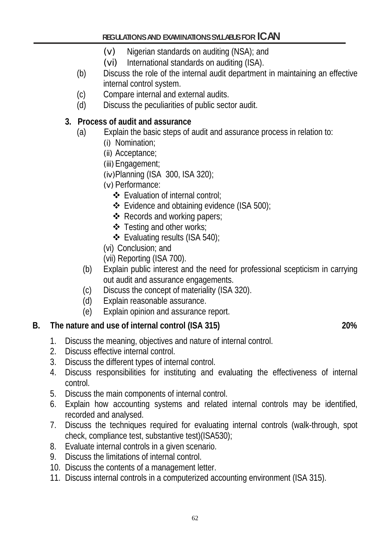- (v) Nigerian standards on auditing (NSA); and
- (vi) International standards on auditing (ISA).
- (b) Discuss the role of the internal audit department in maintaining an effective internal control system.
- (c) Compare internal and external audits.
- (d) Discuss the peculiarities of public sector audit.

## **3. Process of audit and assurance**

- (a) Explain the basic steps of audit and assurance process in relation to:
	- (i) Nomination;
	- (ii) Acceptance;
	- (iii) Engagement;
	- (iv)Planning (ISA 300, ISA 320);
	- (v) Performance:
		- Evaluation of internal control;
		- Evidence and obtaining evidence (ISA 500);
		- ❖ Records and working papers;
		- Testing and other works;
		- Evaluating results (ISA 540);
	- (vi) Conclusion; and
	- (vii) Reporting (ISA 700).
	- (b) Explain public interest and the need for professional scepticism in carrying out audit and assurance engagements.
	- (c) Discuss the concept of materiality (ISA 320).
	- (d) Explain reasonable assurance.
	- (e) Explain opinion and assurance report.

- **B.** The nature and use of internal control (ISA 315) **20%**<br>1. Discuss the meaning, objectives and nature of internal control. Discuss the meaning, objectives and nature of internal control.
	- 2. Discuss effective internal control.
	- 3. Discuss the different types of internal control.
	- 4. Discuss responsibilities for instituting and evaluating the effectiveness of internal control.
	- 5. Discuss the main components of internal control.
	- 6. Explain how accounting systems and related internal controls may be identified, recorded and analysed.
	- 7. Discuss the techniques required for evaluating internal controls (walk-through, spot check, compliance test, substantive test)(ISA530);
	- 8. Evaluate internal controls in a given scenario.
	- 9. Discuss the limitations of internal control.
	- 10. Discuss the contents of a management letter.
	- 11. Discuss internal controls in a computerized accounting environment (ISA 315).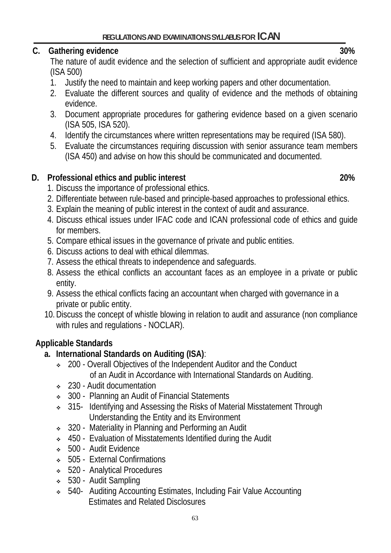## **C. Gathering evidence 30%**

The nature of audit evidence and the selection of sufficient and appropriate audit evidence (ISA 500)

- 1. Justify the need to maintain and keep working papers and other documentation.
- 2. Evaluate the different sources and quality of evidence and the methods of obtaining evidence.
- 3. Document appropriate procedures for gathering evidence based on a given scenario (ISA 505, ISA 520).
- 4. Identify the circumstances where written representations may be required (ISA 580).
- 5. Evaluate the circumstances requiring discussion with senior assurance team members (ISA 450) and advise on how this should be communicated and documented.

# **D. Professional ethics and public interest 20%**

- 1. Discuss the importance of professional ethics.
- 2. Differentiate between rule-based and principle-based approaches to professional ethics.
- 3. Explain the meaning of public interest in the context of audit and assurance.
- 4. Discuss ethical issues under IFAC code and ICAN professional code of ethics and guide for members.
- 5. Compare ethical issues in the governance of private and public entities.
- 6. Discuss actions to deal with ethical dilemmas.
- 7. Assess the ethical threats to independence and safeguards.
- 8. Assess the ethical conflicts an accountant faces as an employee in a private or public entity.
- 9. Assess the ethical conflicts facing an accountant when charged with governance in a private or public entity.
- 10.Discuss the concept of whistle blowing in relation to audit and assurance (non compliance with rules and regulations - NOCLAR).

# **Applicable Standards**

- **a. International Standards on Auditing (ISA)**:
	- 200 Overall Objectives of the Independent Auditor and the Conduct of an Audit in Accordance with International Standards on Auditing.
	- 230 Audit documentation
	- 300 Planning an Audit of Financial Statements
	- <sup>315-</sup> Identifying and Assessing the Risks of Material Misstatement Through Understanding the Entity and its Environment
	- $\div$  320 Materiality in Planning and Performing an Audit
	- ◆ 450 Evaluation of Misstatements Identified during the Audit
	- 500 Audit Evidence
	- 505 External Confirmations
	- 520 Analytical Procedures
	- 530 Audit Sampling
	- 540- Auditing Accounting Estimates, Including Fair Value Accounting Estimates and Related Disclosures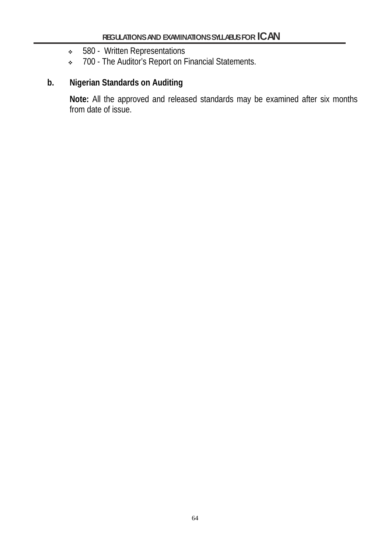- 580 Written Representations
- \* 700 The Auditor's Report on Financial Statements.

## **b. Nigerian Standards on Auditing**

**Note:** All the approved and released standards may be examined after six months from date of issue.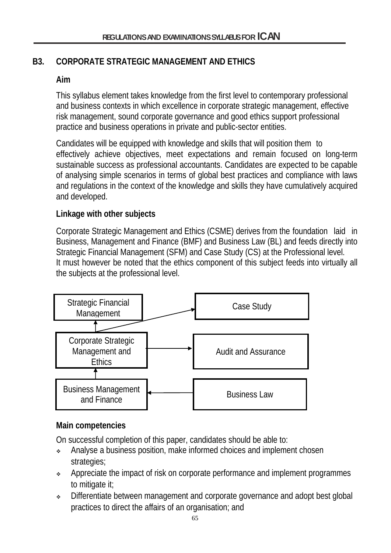# **B3. CORPORATE STRATEGIC MANAGEMENT AND ETHICS**

## **Aim**

This syllabus element takes knowledge from the first level to contemporary professional and business contexts in which excellence in corporate strategic management, effective risk management, sound corporate governance and good ethics support professional practice and business operations in private and public-sector entities.

Candidates will be equipped with knowledge and skills that will position them to effectively achieve objectives, meet expectations and remain focused on long-term sustainable success as professional accountants. Candidates are expected to be capable of analysing simple scenarios in terms of global best practices and compliance with laws and regulations in the context of the knowledge and skills they have cumulatively acquired and developed.

## **Linkage with other subjects**

Corporate Strategic Management and Ethics (CSME) derives from the foundation laid in Business, Management and Finance (BMF) and Business Law (BL) and feeds directly into Strategic Financial Management (SFM) and Case Study (CS) at the Professional level. It must however be noted that the ethics component of this subject feeds into virtually all the subjects at the professional level.



#### **Main competencies**

On successful completion of this paper, candidates should be able to:

- Analyse a business position, make informed choices and implement chosen strategies;
- Appreciate the impact of risk on corporate performance and implement programmes to mitigate it;
- Differentiate between management and corporate governance and adopt best global practices to direct the affairs of an organisation; and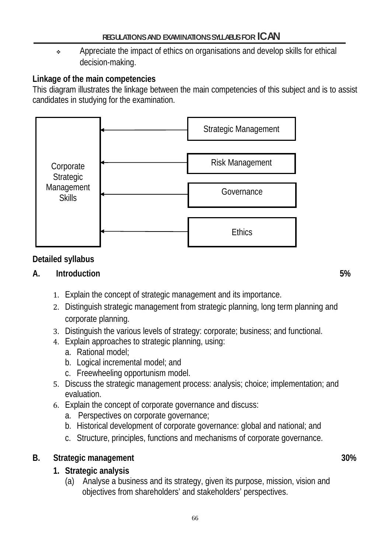Appreciate the impact of ethics on organisations and develop skills for ethical decision-making.

# **Linkage of the main competencies**

This diagram illustrates the linkage between the main competencies of this subject and is to assist candidates in studying for the examination.



# **Detailed syllabus**

# **A. Introduction 5%**

- 1. Explain the concept of strategic management and its importance.
- 2. Distinguish strategic management from strategic planning, long term planning and corporate planning.
- 3. Distinguish the various levels of strategy: corporate; business; and functional.
- 4. Explain approaches to strategic planning, using:
	- a. Rational model;
	- b. Logical incremental model; and
	- c. Freewheeling opportunism model.
- 5. Discuss the strategic management process: analysis; choice; implementation; and evaluation.
- 6. Explain the concept of corporate governance and discuss:
	- a. Perspectives on corporate governance;
	- b. Historical development of corporate governance: global and national; and
	- c. Structure, principles, functions and mechanisms of corporate governance.

# **B.** Strategic management 30%

- **1. Strategic analysis**
	- (a) Analyse a business and its strategy, given its purpose, mission, vision and objectives from shareholders' and stakeholders' perspectives.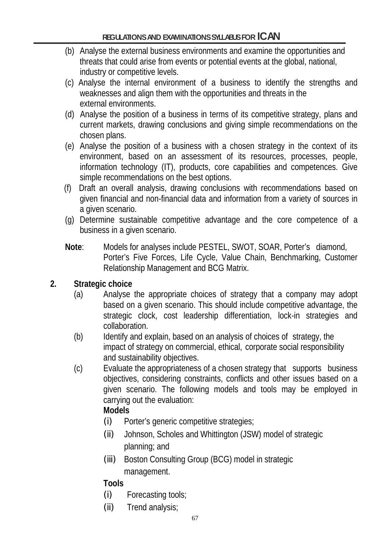- (b) Analyse the external business environments and examine the opportunities and threats that could arise from events or potential events at the global, national, industry or competitive levels.
- (c) Analyse the internal environment of a business to identify the strengths and weaknesses and align them with the opportunities and threats in the external environments.
- (d) Analyse the position of a business in terms of its competitive strategy, plans and current markets, drawing conclusions and giving simple recommendations on the chosen plans.
- (e) Analyse the position of a business with a chosen strategy in the context of its environment, based on an assessment of its resources, processes, people, information technology (IT), products, core capabilities and competences. Give simple recommendations on the best options.
- (f) Draft an overall analysis, drawing conclusions with recommendations based on given financial and non-financial data and information from a variety of sources in a given scenario.
- (g) Determine sustainable competitive advantage and the core competence of a business in a given scenario.
- **Note**: Models for analyses include PESTEL, SWOT, SOAR, Porter's diamond, Porter's Five Forces, Life Cycle, Value Chain, Benchmarking, Customer Relationship Management and BCG Matrix.

# **2. Strategic choice**

- (a) Analyse the appropriate choices of strategy that a company may adopt based on a given scenario. This should include competitive advantage, the strategic clock, cost leadership differentiation, lock-in strategies and collaboration.
- (b) Identify and explain, based on an analysis of choices of strategy, the impact of strategy on commercial, ethical, corporate social responsibility and sustainability objectives.
- (c) Evaluate the appropriateness of a chosen strategy that supports business objectives, considering constraints, conflicts and other issues based on a given scenario. The following models and tools may be employed in carrying out the evaluation:

# **Models**

- (i) Porter's generic competitive strategies;
- (ii) Johnson, Scholes and Whittington (JSW) model of strategic planning; and
- (iii) Boston Consulting Group (BCG) model in strategic management.

# **Tools**

- (i) Forecasting tools;
- (ii) Trend analysis;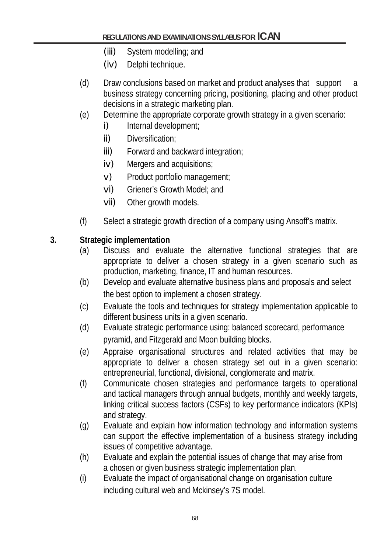- (iii) System modelling; and
- (iv) Delphi technique.
- (d) Draw conclusions based on market and product analyses that support a business strategy concerning pricing, positioning, placing and other product decisions in a strategic marketing plan.
- (e) Determine the appropriate corporate growth strategy in a given scenario:
	- i) Internal development;
	- ii) Diversification;
	- iii) Forward and backward integration;
	- iv) Mergers and acquisitions;
	- v) Product portfolio management;
	- vi) Griener's Growth Model; and
	- vii) Other growth models.
- (f) Select a strategic growth direction of a company using Ansoff's matrix.

## **3. Strategic implementation**

- (a) Discuss and evaluate the alternative functional strategies that are appropriate to deliver a chosen strategy in a given scenario such as production, marketing, finance, IT and human resources.
- (b) Develop and evaluate alternative business plans and proposals and select the best option to implement a chosen strategy.
- (c) Evaluate the tools and techniques for strategy implementation applicable to different business units in a given scenario.
- (d) Evaluate strategic performance using: balanced scorecard, performance pyramid, and Fitzgerald and Moon building blocks.
- (e) Appraise organisational structures and related activities that may be appropriate to deliver a chosen strategy set out in a given scenario: entrepreneurial, functional, divisional, conglomerate and matrix.
- (f) Communicate chosen strategies and performance targets to operational and tactical managers through annual budgets, monthly and weekly targets, linking critical success factors (CSFs) to key performance indicators (KPIs) and strategy.
- (g) Evaluate and explain how information technology and information systems can support the effective implementation of a business strategy including issues of competitive advantage.
- (h) Evaluate and explain the potential issues of change that may arise from a chosen or given business strategic implementation plan.
- (i) Evaluate the impact of organisational change on organisation culture including cultural web and Mckinsey's 7S model.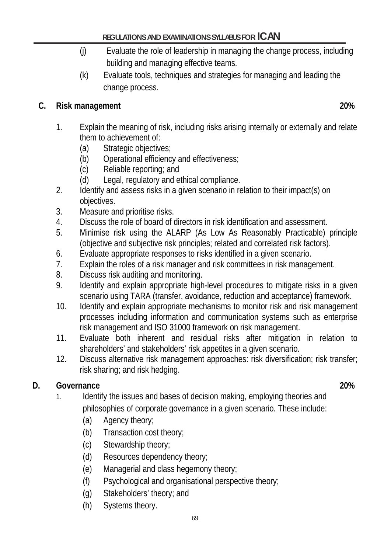- (j) Evaluate the role of leadership in managing the change process, including building and managing effective teams.
- (k) Evaluate tools, techniques and strategies for managing and leading the change process.

# **C. Risk management 20%**

- 1. Explain the meaning of risk, including risks arising internally or externally and relate them to achievement of:
	- (a) Strategic objectives;
	- (b) Operational efficiency and effectiveness;
	- (c) Reliable reporting; and
	- (d) Legal, regulatory and ethical compliance.
- 2. Identify and assess risks in a given scenario in relation to their impact(s) on objectives.
- 3. Measure and prioritise risks.
- 4. Discuss the role of board of directors in risk identification and assessment.
- 5. Minimise risk using the ALARP (As Low As Reasonably Practicable) principle (objective and subjective risk principles; related and correlated risk factors).
- 6. Evaluate appropriate responses to risks identified in a given scenario.
- 7. Explain the roles of a risk manager and risk committees in risk management.
- 8. Discuss risk auditing and monitoring.
- 9. Identify and explain appropriate high-level procedures to mitigate risks in a given scenario using TARA (transfer, avoidance, reduction and acceptance) framework.
- 10. Identify and explain appropriate mechanisms to monitor risk and risk management processes including information and communication systems such as enterprise risk management and ISO 31000 framework on risk management.
- 11. Evaluate both inherent and residual risks after mitigation in relation to shareholders' and stakeholders' risk appetites in a given scenario.
- 12. Discuss alternative risk management approaches: risk diversification; risk transfer; risk sharing; and risk hedging.

# **D. Governance 20%**

- 1. Identify the issues and bases of decision making, employing theories and philosophies of corporate governance in a given scenario. These include:
	- (a) Agency theory;
	- (b) Transaction cost theory;
	- (c) Stewardship theory;
	- (d) Resources dependency theory;
	- (e) Managerial and class hegemony theory;
	- (f) Psychological and organisational perspective theory;
	- (g) Stakeholders' theory; and
	- (h) Systems theory.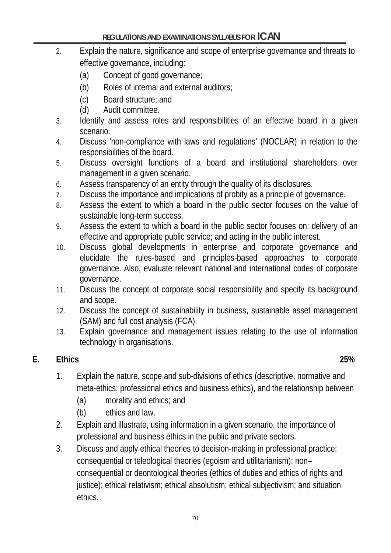- 2. Explain the nature, significance and scope of enterprise governance and threats to effective governance, including:
	- (a) Concept of good governance;
	- (b) Roles of internal and external auditors;
	- (c) Board structure; and
	- (d) Audit committee.
- 3. Identify and assess roles and responsibilities of an effective board in a given scenario.
- 4. Discuss 'non-compliance with laws and regulations' (NOCLAR) in relation to the responsibilities of the board.
- 5. Discuss oversight functions of a board and institutional shareholders over management in a given scenario.
- 6. Assess transparency of an entity through the quality of its disclosures.
- 7. Discuss the importance and implications of probity as a principle of governance.
- 8. Assess the extent to which a board in the public sector focuses on the value of sustainable long-term success.
- 9. Assess the extent to which a board in the public sector focuses on: delivery of an effective and appropriate public service; and acting in the public interest.
- 10. Discuss global developments in enterprise and corporate governance and elucidate the rules-based and principles-based approaches to corporate governance. Also, evaluate relevant national and international codes of corporate governance.
- 11. Discuss the concept of corporate social responsibility and specify its background and scope.
- 12. Discuss the concept of sustainability in business, sustainable asset management (SAM) and full cost analysis (FCA).
- 13. Explain governance and management issues relating to the use of information technology in organisations.

## **E. Ethics 25%**

- 1. Explain the nature, scope and sub-divisions of ethics (descriptive, normative and meta-ethics; professional ethics and business ethics), and the relationship between
	- (a) morality and ethics; and
	- (b) ethics and law.
- 2. Explain and illustrate, using information in a given scenario, the importance of professional and business ethics in the public and private sectors.
- 3. Discuss and apply ethical theories to decision-making in professional practice: consequential or teleological theories (egoism and utilitarianism); non– consequential or deontological theories (ethics of duties and ethics of rights and justice); ethical relativism; ethical absolutism; ethical subjectivism; and situation ethics.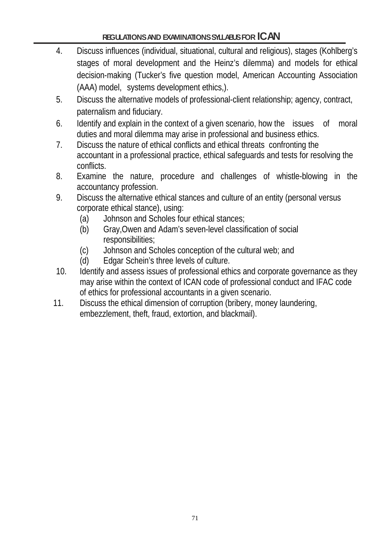- 4. Discuss influences (individual, situational, cultural and religious), stages (Kohlberg's stages of moral development and the Heinz's dilemma) and models for ethical decision-making (Tucker's five question model, American Accounting Association (AAA) model, systems development ethics,).
- 5. Discuss the alternative models of professional-client relationship; agency, contract, paternalism and fiduciary.
- 6. Identify and explain in the context of a given scenario, how the issues of moral duties and moral dilemma may arise in professional and business ethics.
- 7. Discuss the nature of ethical conflicts and ethical threats confronting the accountant in a professional practice, ethical safeguards and tests for resolving the conflicts.
- 8. Examine the nature, procedure and challenges of whistle-blowing in the accountancy profession.
- 9. Discuss the alternative ethical stances and culture of an entity (personal versus corporate ethical stance), using:
	- (a) Johnson and Scholes four ethical stances;
	- (b) Gray,Owen and Adam's seven-level classification of social responsibilities;
	- (c) Johnson and Scholes conception of the cultural web; and
	- (d) Edgar Schein's three levels of culture.
- 10. Identify and assess issues of professional ethics and corporate governance as they may arise within the context of ICAN code of professional conduct and IFAC code of ethics for professional accountants in a given scenario.
- 11. Discuss the ethical dimension of corruption (bribery, money laundering, embezzlement, theft, fraud, extortion, and blackmail).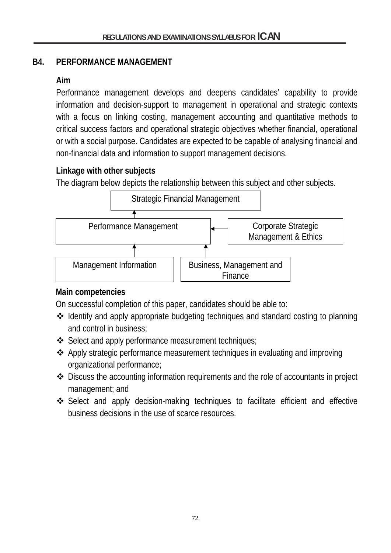## **B4. PERFORMANCE MANAGEMENT**

## **Aim**

Performance management develops and deepens candidates' capability to provide information and decision-support to management in operational and strategic contexts with a focus on linking costing, management accounting and quantitative methods to critical success factors and operational strategic objectives whether financial, operational or with a social purpose. Candidates are expected to be capable of analysing financial and non-financial data and information to support management decisions.

# **Linkage with other subjects**

The diagram below depicts the relationship between this subject and other subjects.



## **Main competencies**

On successful completion of this paper, candidates should be able to:

- Identify and apply appropriate budgeting techniques and standard costing to planning and control in business;
- ❖ Select and apply performance measurement techniques;
- Apply strategic performance measurement techniques in evaluating and improving organizational performance;
- Discuss the accounting information requirements and the role of accountants in project management; and
- Select and apply decision-making techniques to facilitate efficient and effective business decisions in the use of scarce resources.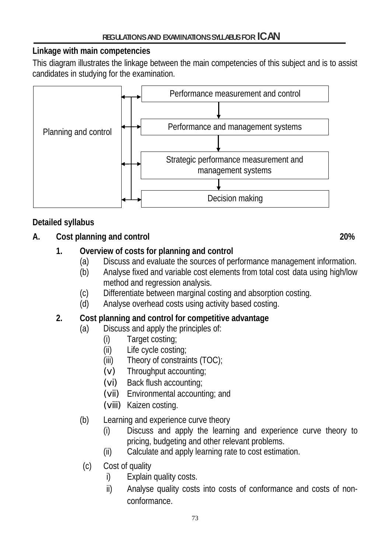## **Linkage with main competencies**

This diagram illustrates the linkage between the main competencies of this subject and is to assist candidates in studying for the examination.



# **Detailed syllabus**

# **A. Cost planning and control 20%**

# **1. Overview of costs for planning and control**

- (a) Discuss and evaluate the sources of performance management information.
- (b) Analyse fixed and variable cost elements from total cost data using high/low method and regression analysis.
- (c) Differentiate between marginal costing and absorption costing.
- (d) Analyse overhead costs using activity based costing.

# **2. Cost planning and control for competitive advantage**

- (a) Discuss and apply the principles of:
	- (i) Target costing;
	- (ii) Life cycle costing;
	- (iii) Theory of constraints (TOC);
	- (v) Throughput accounting;
	- (vi) Back flush accounting;
	- (vii) Environmental accounting; and
	- (viii) Kaizen costing.
- (b) Learning and experience curve theory
	- (i) Discuss and apply the learning and experience curve theory to pricing, budgeting and other relevant problems.
	- (ii) Calculate and apply learning rate to cost estimation.
- (c) Cost of quality
	- i) Explain quality costs.
	- ii) Analyse quality costs into costs of conformance and costs of nonconformance.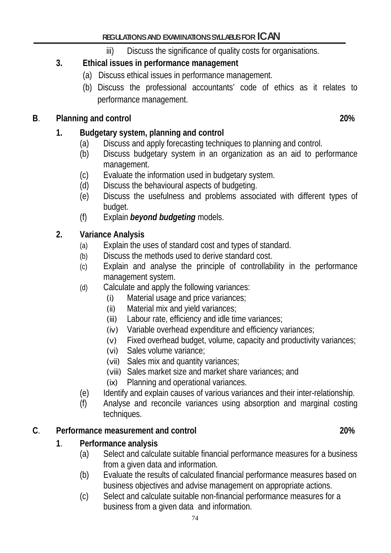iii) Discuss the significance of quality costs for organisations.

#### **3. Ethical issues in performance management**

- (a) Discuss ethical issues in performance management.
- (b) Discuss the professional accountants' code of ethics as it relates to performance management.

#### **B**. **Planning and control 20%**

#### **1. Budgetary system, planning and control**

- (a) Discuss and apply forecasting techniques to planning and control.
- (b) Discuss budgetary system in an organization as an aid to performance management.
- (c) Evaluate the information used in budgetary system.
- (d) Discuss the behavioural aspects of budgeting.
- (e) Discuss the usefulness and problems associated with different types of budget.
- (f) Explain *beyond budgeting* models.

#### **2. Variance Analysis**

- (a) Explain the uses of standard cost and types of standard.
- (b) Discuss the methods used to derive standard cost.
- (c) Explain and analyse the principle of controllability in the performance management system.
- (d) Calculate and apply the following variances:
	- (i) Material usage and price variances;
	- (ii) Material mix and yield variances;
	- (iii) Labour rate, efficiency and idle time variances;
	- (iv) Variable overhead expenditure and efficiency variances;
	- (v) Fixed overhead budget, volume, capacity and productivity variances;
	- (vi) Sales volume variance;
	- (vii) Sales mix and quantity variances;
	- (viii) Sales market size and market share variances; and
	- (ix) Planning and operational variances.
- (e) Identify and explain causes of various variances and their inter-relationship.
- (f) Analyse and reconcile variances using absorption and marginal costing techniques.

#### **C**. **Performance measurement and control 20%**

#### **1**. **Performance analysis**

- (a) Select and calculate suitable financial performance measures for a business from a given data and information.
- (b) Evaluate the results of calculated financial performance measures based on business objectives and advise management on appropriate actions.
- (c) Select and calculate suitable non-financial performance measures for a business from a given data and information.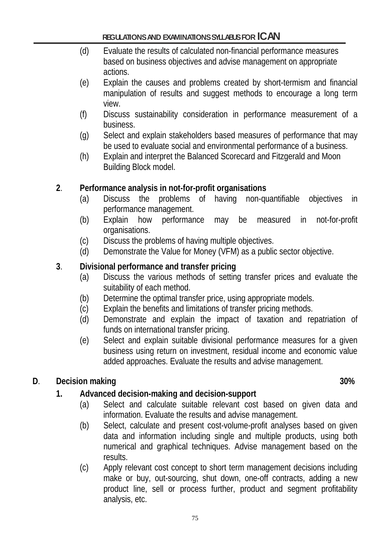- (d) Evaluate the results of calculated non-financial performance measures based on business objectives and advise management on appropriate actions.
- (e) Explain the causes and problems created by short-termism and financial manipulation of results and suggest methods to encourage a long term view.
- (f) Discuss sustainability consideration in performance measurement of a business.
- (g) Select and explain stakeholders based measures of performance that may be used to evaluate social and environmental performance of a business.
- (h) Explain and interpret the Balanced Scorecard and Fitzgerald and Moon Building Block model.

## **2**. **Performance analysis in not-for-profit organisations**

- (a) Discuss the problems of having non-quantifiable objectives in performance management.
- (b) Explain how performance may be measured in not-for-profit organisations.
- (c) Discuss the problems of having multiple objectives.
- (d) Demonstrate the Value for Money (VFM) as a public sector objective.

#### **3**. **Divisional performance and transfer pricing**

- (a) Discuss the various methods of setting transfer prices and evaluate the suitability of each method.
- (b) Determine the optimal transfer price, using appropriate models.
- (c) Explain the benefits and limitations of transfer pricing methods.
- (d) Demonstrate and explain the impact of taxation and repatriation of funds on international transfer pricing.
- (e) Select and explain suitable divisional performance measures for a given business using return on investment, residual income and economic value added approaches. Evaluate the results and advise management.

## **D**. **Decision making 30%**

## **1. Advanced decision-making and decision-support**

- (a) Select and calculate suitable relevant cost based on given data and information. Evaluate the results and advise management.
- (b) Select, calculate and present cost-volume-profit analyses based on given data and information including single and multiple products, using both numerical and graphical techniques. Advise management based on the results.
- (c) Apply relevant cost concept to short term management decisions including make or buy, out-sourcing, shut down, one-off contracts, adding a new product line, sell or process further, product and segment profitability analysis, etc.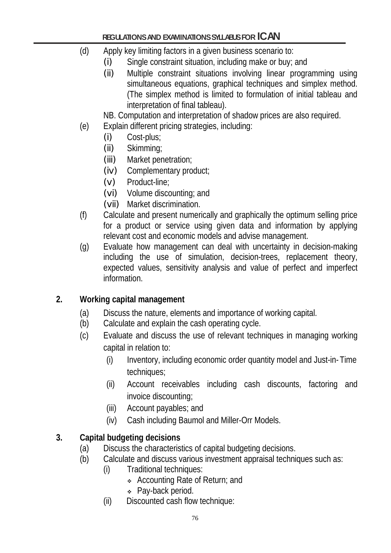- (d) Apply key limiting factors in a given business scenario to:
	- (i) Single constraint situation, including make or buy; and
	- (ii) Multiple constraint situations involving linear programming using simultaneous equations, graphical techniques and simplex method. (The simplex method is limited to formulation of initial tableau and interpretation of final tableau).

NB. Computation and interpretation of shadow prices are also required.

- (e) Explain different pricing strategies, including:
	- (i) Cost-plus;
	- (ii) Skimming;
	- (iii) Market penetration;
	- (iv) Complementary product;
	- (v) Product-line;
	- (vi) Volume discounting; and
	- (vii) Market discrimination.
- (f) Calculate and present numerically and graphically the optimum selling price for a product or service using given data and information by applying relevant cost and economic models and advise management.
- (g) Evaluate how management can deal with uncertainty in decision-making including the use of simulation, decision-trees, replacement theory, expected values, sensitivity analysis and value of perfect and imperfect information.

# **2. Working capital management**

- (a) Discuss the nature, elements and importance of working capital.
- (b) Calculate and explain the cash operating cycle.
- (c) Evaluate and discuss the use of relevant techniques in managing working capital in relation to:
	- (i) Inventory, including economic order quantity model and Just-in- Time techniques;
	- (ii) Account receivables including cash discounts, factoring and invoice discounting;
	- (iii) Account payables; and
	- (iv) Cash including Baumol and Miller-Orr Models.

# **3. Capital budgeting decisions**

- (a) Discuss the characteristics of capital budgeting decisions.
- (b) Calculate and discuss various investment appraisal techniques such as:
	- (i) Traditional techniques:
		- Accounting Rate of Return; and
		- Pay-back period.
		- (ii) Discounted cash flow technique: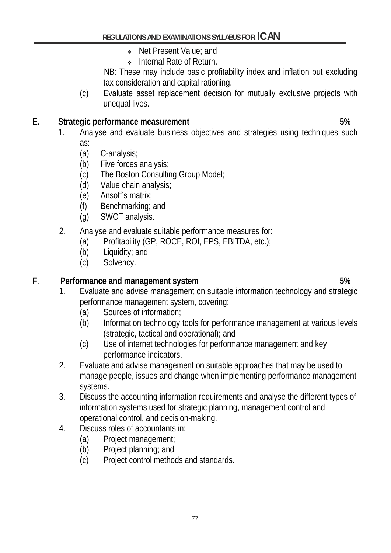- Net Present Value; and
- **Internal Rate of Return.**

 NB: These may include basic profitability index and inflation but excluding tax consideration and capital rationing.

(c) Evaluate asset replacement decision for mutually exclusive projects with unequal lives.

#### **E.** Strategic performance measurement 6. The strategies of the strategies of the strategies of the strategies of  $5\%$

- 1. Analyse and evaluate business objectives and strategies using techniques such as:
	- (a) C-analysis;
	- (b) Five forces analysis;
	- (c) The Boston Consulting Group Model;
	- (d) Value chain analysis;
	- (e) Ansoff's matrix;
	- (f) Benchmarking; and
	- (g) SWOT analysis.
- 2. Analyse and evaluate suitable performance measures for:
	- (a) Profitability (GP, ROCE, ROI, EPS, EBITDA, etc.);
	- (b) Liquidity; and
	- (c) Solvency.

## **F**. **Performance and management system 5%**

- 1. Evaluate and advise management on suitable information technology and strategic performance management system, covering:
	- (a) Sources of information;
	- (b) Information technology tools for performance management at various levels (strategic, tactical and operational); and
	- (c) Use of internet technologies for performance management and key performance indicators.
- 2. Evaluate and advise management on suitable approaches that may be used to manage people, issues and change when implementing performance management systems.
- 3. Discuss the accounting information requirements and analyse the different types of information systems used for strategic planning, management control and operational control, and decision-making.
- 4. Discuss roles of accountants in:
	- (a) Project management;
	- (b) Project planning; and
	- (c) Project control methods and standards.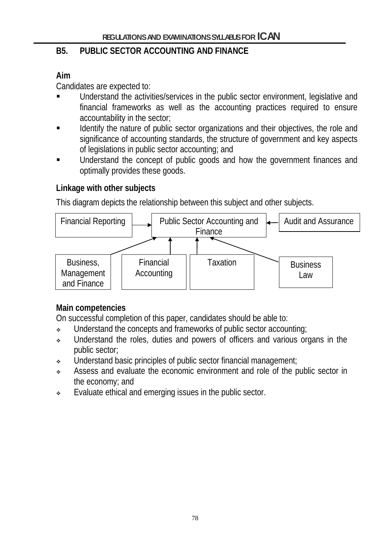## **B5. PUBLIC SECTOR ACCOUNTING AND FINANCE**

# **Aim**

Candidates are expected to:

- Understand the activities/services in the public sector environment, legislative and financial frameworks as well as the accounting practices required to ensure accountability in the sector;
- Identify the nature of public sector organizations and their objectives, the role and significance of accounting standards, the structure of government and key aspects of legislations in public sector accounting; and
- Understand the concept of public goods and how the government finances and optimally provides these goods.

# **Linkage with other subjects**

This diagram depicts the relationship between this subject and other subjects.



# **Main competencies**

On successful completion of this paper, candidates should be able to:

- Understand the concepts and frameworks of public sector accounting;
- Understand the roles, duties and powers of officers and various organs in the public sector;
- Understand basic principles of public sector financial management;
- Assess and evaluate the economic environment and role of the public sector in the economy; and
- Evaluate ethical and emerging issues in the public sector.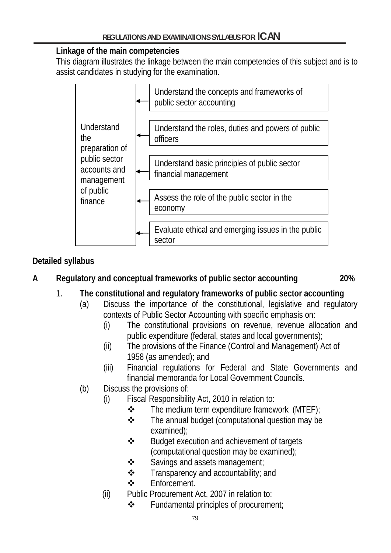## **Linkage of the main competencies**

This diagram illustrates the linkage between the main competencies of this subject and is to assist candidates in studying for the examination.



# **Detailed syllabus**

# **A Regulatory and conceptual frameworks of public sector accounting 20%**

- 1. **The constitutional and regulatory frameworks of public sector accounting** 
	- (a) Discuss the importance of the constitutional, legislative and regulatory contexts of Public Sector Accounting with specific emphasis on:
		- (i) The constitutional provisions on revenue, revenue allocation and public expenditure (federal, states and local governments);
		- (ii) The provisions of the Finance (Control and Management) Act of 1958 (as amended); and
		- (iii) Financial regulations for Federal and State Governments and financial memoranda for Local Government Councils.
	- (b) Discuss the provisions of:
		- (i) Fiscal Responsibility Act, 2010 in relation to:
			- $\div$  The medium term expenditure framework (MTEF);
			- $\div$  The annual budget (computational question may be examined);
			- $\div$  Budget execution and achievement of targets (computational question may be examined);
			- $\triangle$  Savings and assets management;
			- $\triangle$  Transparency and accountability; and
			- **<del>◆</del>** Fnforcement.
		- (ii) Public Procurement Act, 2007 in relation to:
			- Fundamental principles of procurement;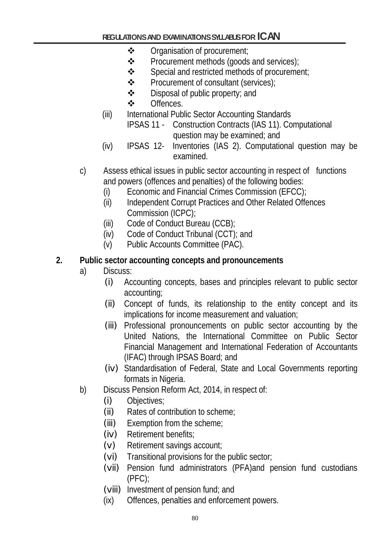- Organisation of procurement;
- ❖ Procurement methods (goods and services);
- $\div$  Special and restricted methods of procurement;
- Procurement of consultant (services);
- $\triangle$  Disposal of public property; and
- ❖ Offences.
- (iii) International Public Sector Accounting Standards
	- IPSAS 11 Construction Contracts (IAS 11). Computational question may be examined; and
- (iv) IPSAS 12- Inventories (IAS 2). Computational question may be examined.
- c) Assess ethical issues in public sector accounting in respect of functions and powers (offences and penalties) of the following bodies:
	- (i) Economic and Financial Crimes Commission (EFCC);
	- (ii) Independent Corrupt Practices and Other Related Offences Commission (ICPC);
	- (iii) Code of Conduct Bureau (CCB);
	- (iv) Code of Conduct Tribunal (CCT); and
	- (v) Public Accounts Committee (PAC).

## **2. Public sector accounting concepts and pronouncements**

- a) Discuss:
	- (i) Accounting concepts, bases and principles relevant to public sector accounting;
	- (ii) Concept of funds, its relationship to the entity concept and its implications for income measurement and valuation;
	- (iii) Professional pronouncements on public sector accounting by the United Nations, the International Committee on Public Sector Financial Management and International Federation of Accountants (IFAC) through IPSAS Board; and
	- (iv) Standardisation of Federal, State and Local Governments reporting formats in Nigeria.
- b) Discuss Pension Reform Act, 2014, in respect of:
	- (i) Objectives;
	- (ii) Rates of contribution to scheme;
	- (iii) Exemption from the scheme;
	- (iv) Retirement benefits;
	- (v) Retirement savings account;
	- (vi) Transitional provisions for the public sector;
	- (vii) Pension fund administrators (PFA)and pension fund custodians (PFC);
	- (viii) Investment of pension fund; and
	- (ix) Offences, penalties and enforcement powers.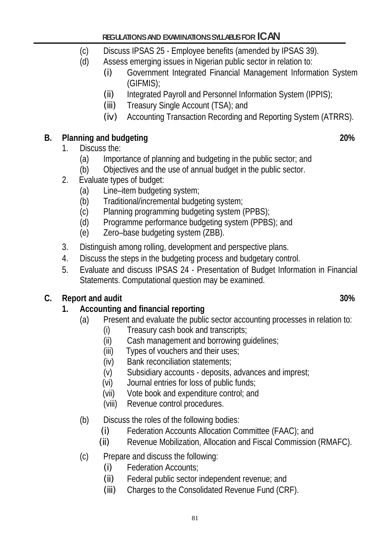- (c) Discuss IPSAS 25 Employee benefits (amended by IPSAS 39).
- (d) Assess emerging issues in Nigerian public sector in relation to:
	- (i) Government Integrated Financial Management Information System (GIFMIS);
	- (ii) Integrated Payroll and Personnel Information System (IPPIS);
	- (iii) Treasury Single Account (TSA); and
	- (iv) Accounting Transaction Recording and Reporting System (ATRRS).

# **B. Planning and budgeting 20%**

# 1. Discuss the:

- (a) Importance of planning and budgeting in the public sector; and
- (b) Objectives and the use of annual budget in the public sector.
- 2. Evaluate types of budget:
	- (a) Line–item budgeting system;
	- (b) Traditional/incremental budgeting system;
	- (c) Planning programming budgeting system (PPBS);
	- (d) Programme performance budgeting system (PPBS); and
	- (e) Zero–base budgeting system (ZBB).
- 3. Distinguish among rolling, development and perspective plans.
- 4. Discuss the steps in the budgeting process and budgetary control.
- 5. Evaluate and discuss IPSAS 24 Presentation of Budget Information in Financial Statements. Computational question may be examined.

# **C. Report and audit 30%**

# **1. Accounting and financial reporting**

- (a) Present and evaluate the public sector accounting processes in relation to:
	- (i) Treasury cash book and transcripts;
	- (ii) Cash management and borrowing guidelines;
	- (iii) Types of vouchers and their uses;
	- (iv) Bank reconciliation statements;
	- (v) Subsidiary accounts deposits, advances and imprest;
	- (vi) Journal entries for loss of public funds;
	- (vii) Vote book and expenditure control; and
	- (viii) Revenue control procedures.
- (b) Discuss the roles of the following bodies:
	- (i) Federation Accounts Allocation Committee (FAAC); and
	- (ii) Revenue Mobilization, Allocation and Fiscal Commission (RMAFC).
- (c) Prepare and discuss the following:
	- (i) Federation Accounts;
	- (ii) Federal public sector independent revenue; and
	- (iii) Charges to the Consolidated Revenue Fund (CRF).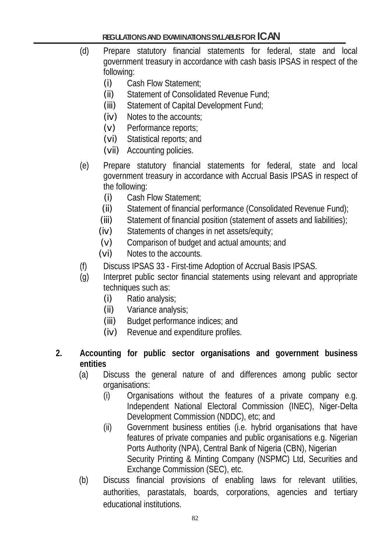- (d) Prepare statutory financial statements for federal, state and local government treasury in accordance with cash basis IPSAS in respect of the following:
	- (i) Cash Flow Statement;
	- (ii) Statement of Consolidated Revenue Fund;
	- (iii) Statement of Capital Development Fund;
	- (iv) Notes to the accounts;
	- (v) Performance reports;
	- (vi) Statistical reports; and
	- (vii) Accounting policies.
- (e) Prepare statutory financial statements for federal, state and local government treasury in accordance with Accrual Basis IPSAS in respect of the following:
	- (i) Cash Flow Statement;
	- (ii) Statement of financial performance (Consolidated Revenue Fund);
	- (iii) Statement of financial position (statement of assets and liabilities);
	- (iv) Statements of changes in net assets/equity;
	- (v) Comparison of budget and actual amounts; and
	- (vi) Notes to the accounts.
- (f) Discuss IPSAS 33 First-time Adoption of Accrual Basis IPSAS.
- (g) Interpret public sector financial statements using relevant and appropriate techniques such as:
	- (i) Ratio analysis;
	- (ii) Variance analysis;
	- (iii) Budget performance indices; and
	- (iv) Revenue and expenditure profiles.
- **2. Accounting for public sector organisations and government business entities**
	- (a) Discuss the general nature of and differences among public sector organisations:
		- (i) Organisations without the features of a private company e.g. Independent National Electoral Commission (INEC), Niger-Delta Development Commission (NDDC), etc; and
		- (ii) Government business entities (i.e. hybrid organisations that have features of private companies and public organisations e.g. Nigerian Ports Authority (NPA), Central Bank of Nigeria (CBN), Nigerian Security Printing & Minting Company (NSPMC) Ltd, Securities and Exchange Commission (SEC), etc.
	- (b) Discuss financial provisions of enabling laws for relevant utilities, authorities, parastatals, boards, corporations, agencies and tertiary educational institutions.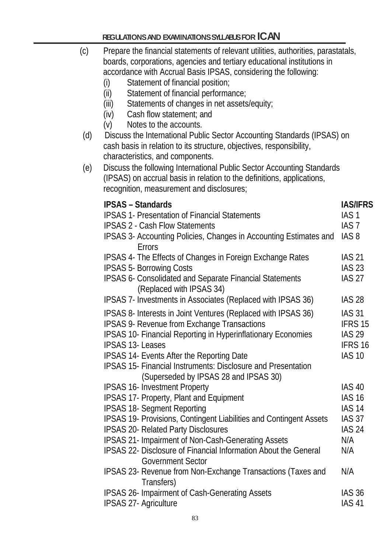| (c) | Prepare the financial statements of relevant utilities, authorities, parastatals,<br>boards, corporations, agencies and tertiary educational institutions in<br>accordance with Accrual Basis IPSAS, considering the following:<br>Statement of financial position;<br>(i)<br>(ii)<br>Statement of financial performance;<br>Statements of changes in net assets/equity;<br>(iii)<br>Cash flow statement; and<br>(iv)<br>Notes to the accounts.<br>(V) |                                                                                                 |
|-----|--------------------------------------------------------------------------------------------------------------------------------------------------------------------------------------------------------------------------------------------------------------------------------------------------------------------------------------------------------------------------------------------------------------------------------------------------------|-------------------------------------------------------------------------------------------------|
| (d) | Discuss the International Public Sector Accounting Standards (IPSAS) on<br>cash basis in relation to its structure, objectives, responsibility,<br>characteristics, and components.                                                                                                                                                                                                                                                                    |                                                                                                 |
| (e) | Discuss the following International Public Sector Accounting Standards<br>(IPSAS) on accrual basis in relation to the definitions, applications,<br>recognition, measurement and disclosures;                                                                                                                                                                                                                                                          |                                                                                                 |
|     | <b>IPSAS - Standards</b><br><b>IPSAS 1- Presentation of Financial Statements</b><br><b>IPSAS 2 - Cash Flow Statements</b><br>IPSAS 3- Accounting Policies, Changes in Accounting Estimates and<br>Errors                                                                                                                                                                                                                                               | <b>IAS/IFRS</b><br>IAS <sub>1</sub><br>IAS <sub>7</sub><br>IAS <sub>8</sub>                     |
|     | IPSAS 4- The Effects of Changes in Foreign Exchange Rates<br><b>IPSAS 5- Borrowing Costs</b><br>IPSAS 6- Consolidated and Separate Financial Statements<br>(Replaced with IPSAS 34)                                                                                                                                                                                                                                                                    | <b>IAS 21</b><br><b>IAS 23</b><br><b>IAS 27</b>                                                 |
|     | IPSAS 7- Investments in Associates (Replaced with IPSAS 36)                                                                                                                                                                                                                                                                                                                                                                                            | <b>IAS 28</b>                                                                                   |
|     | IPSAS 8- Interests in Joint Ventures (Replaced with IPSAS 36)<br>IPSAS 9- Revenue from Exchange Transactions<br>IPSAS 10- Financial Reporting in Hyperinflationary Economies<br><b>IPSAS 13-Leases</b><br>IPSAS 14- Events After the Reporting Date<br><b>IPSAS 15- Financial Instruments: Disclosure and Presentation</b>                                                                                                                             | <b>IAS 31</b><br>IFRS 15<br><b>IAS 29</b><br>IFRS 16<br><b>IAS 10</b>                           |
|     | (Superseded by IPSAS 28 and IPSAS 30)<br><b>IPSAS 16- Investment Property</b><br><b>IPSAS 17- Property, Plant and Equipment</b><br><b>IPSAS 18- Segment Reporting</b><br><b>IPSAS 19- Provisions, Contingent Liabilities and Contingent Assets</b><br><b>IPSAS 20- Related Party Disclosures</b><br><b>IPSAS 21- Impairment of Non-Cash-Generating Assets</b><br>IPSAS 22- Disclosure of Financial Information About the General                       | <b>IAS 40</b><br><b>IAS 16</b><br><b>IAS 14</b><br><b>IAS 37</b><br><b>IAS 24</b><br>N/A<br>N/A |
|     | <b>Government Sector</b><br>IPSAS 23- Revenue from Non-Exchange Transactions (Taxes and<br>Transfers)                                                                                                                                                                                                                                                                                                                                                  | N/A                                                                                             |
|     | <b>IPSAS 26- Impairment of Cash-Generating Assets</b><br><b>IPSAS 27- Agriculture</b>                                                                                                                                                                                                                                                                                                                                                                  | <b>IAS 36</b><br><b>IAS 41</b>                                                                  |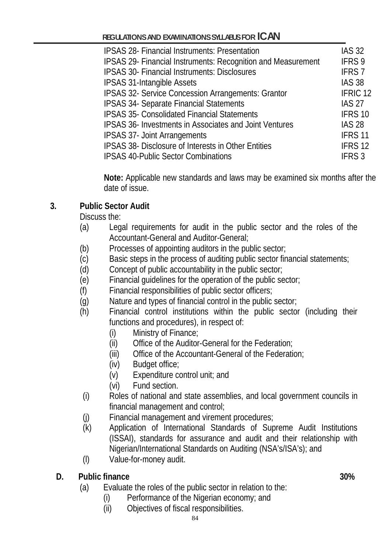| <b>IPSAS 28- Financial Instruments: Presentation</b>                | <b>IAS 32</b>       |
|---------------------------------------------------------------------|---------------------|
| <b>IPSAS 29- Financial Instruments: Recognition and Measurement</b> | IFRS 9              |
| <b>IPSAS 30- Financial Instruments: Disclosures</b>                 | <b>IFRS7</b>        |
| <b>IPSAS 31-Intangible Assets</b>                                   | <b>IAS 38</b>       |
| IPSAS 32- Service Concession Arrangements: Grantor                  | IFRIC <sub>12</sub> |
| <b>IPSAS 34- Separate Financial Statements</b>                      | <b>IAS 27</b>       |
| <b>IPSAS 35- Consolidated Financial Statements</b>                  | IFRS 10             |
| IPSAS 36- Investments in Associates and Joint Ventures              | <b>IAS 28</b>       |
| <b>IPSAS 37- Joint Arrangements</b>                                 | IFRS <sub>11</sub>  |
| IPSAS 38- Disclosure of Interests in Other Entities                 | IFRS <sub>12</sub>  |
| <b>IPSAS 40-Public Sector Combinations</b>                          | IFRS <sub>3</sub>   |

**Note:** Applicable new standards and laws may be examined six months after the date of issue.

# **3. Public Sector Audit**

Discuss the:

- (a) Legal requirements for audit in the public sector and the roles of the Accountant-General and Auditor-General;
- (b) Processes of appointing auditors in the public sector;
- (c) Basic steps in the process of auditing public sector financial statements;
- (d) Concept of public accountability in the public sector;
- (e) Financial guidelines for the operation of the public sector;
- (f) Financial responsibilities of public sector officers;
- (g) Nature and types of financial control in the public sector;
- (h) Financial control institutions within the public sector (including their functions and procedures), in respect of:
	- (i) Ministry of Finance;
	- (ii) Office of the Auditor-General for the Federation;
	- (iii) Office of the Accountant-General of the Federation;
	- (iv) Budget office;
	- (v) Expenditure control unit; and
	- (vi) Fund section.
- (i) Roles of national and state assemblies, and local government councils in financial management and control;
- (j) Financial management and virement procedures;
- (k) Application of International Standards of Supreme Audit Institutions (ISSAI), standards for assurance and audit and their relationship with Nigerian/International Standards on Auditing (NSA's/ISA's); and
- (l) Value-for-money audit.

## **D. Public finance 30%**

- (a) Evaluate the roles of the public sector in relation to the:
	- (i) Performance of the Nigerian economy; and
	- (ii) Objectives of fiscal responsibilities.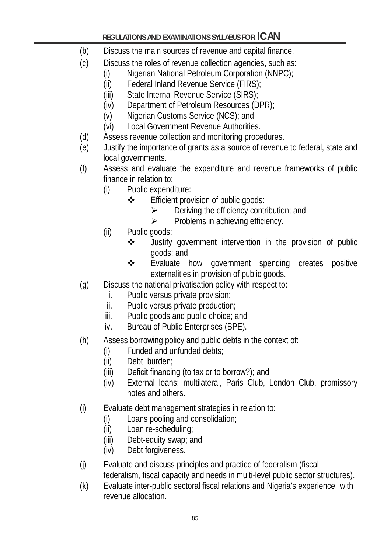- (b) Discuss the main sources of revenue and capital finance.
- (c) Discuss the roles of revenue collection agencies, such as:
	- (i) Nigerian National Petroleum Corporation (NNPC);
	- (ii) Federal Inland Revenue Service (FIRS);
	- (iii) State Internal Revenue Service (SIRS);
	- (iv) Department of Petroleum Resources (DPR);
	- (v) Nigerian Customs Service (NCS); and
	- (vi) Local Government Revenue Authorities.
- (d) Assess revenue collection and monitoring procedures.
- (e) Justify the importance of grants as a source of revenue to federal, state and local governments.
- (f) Assess and evaluate the expenditure and revenue frameworks of public finance in relation to:
	- (i) Public expenditure:
		- **❖** Efficient provision of public goods:
			- $\triangleright$  Deriving the efficiency contribution; and
			- $\triangleright$  Problems in achieving efficiency.
	- (ii) Public goods:
		- Justify government intervention in the provision of public goods; and
		- ❖ Evaluate how government spending creates positive externalities in provision of public goods.
- (g) Discuss the national privatisation policy with respect to:
	- i. Public versus private provision;
	- ii. Public versus private production;
	- iii. Public goods and public choice; and
	- iv. Bureau of Public Enterprises (BPE).
- (h) Assess borrowing policy and public debts in the context of:
	- (i) Funded and unfunded debts;
	- (ii) Debt burden;
	- (iii) Deficit financing (to tax or to borrow?); and
	- (iv) External loans: multilateral, Paris Club, London Club, promissory notes and others.
- (i) Evaluate debt management strategies in relation to:
	- (i) Loans pooling and consolidation;
	- (ii) Loan re-scheduling;
	- (iii) Debt-equity swap; and
	- (iv) Debt forgiveness.
- (j) Evaluate and discuss principles and practice of federalism (fiscal federalism, fiscal capacity and needs in multi-level public sector structures).
- (k) Evaluate inter-public sectoral fiscal relations and Nigeria's experience with revenue allocation.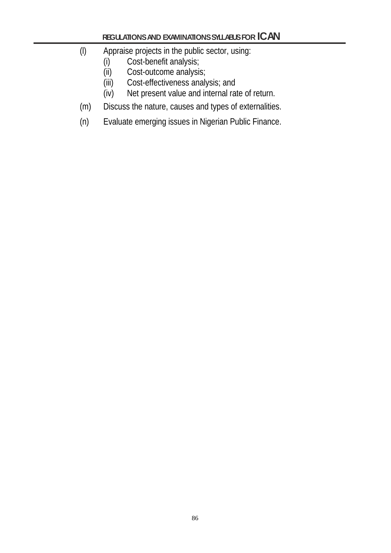- (l) Appraise projects in the public sector, using:
	- (i) Cost-benefit analysis;<br>(ii) Cost-outcome analysi
	- Cost-outcome analysis;
	- (iii) Cost-effectiveness analysis; and
	- (iv) Net present value and internal rate of return.
- (m) Discuss the nature, causes and types of externalities.
- (n) Evaluate emerging issues in Nigerian Public Finance.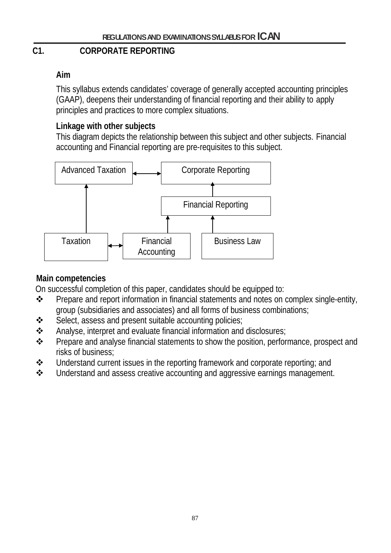# **C1. CORPORATE REPORTING**

# **Aim**

This syllabus extends candidates' coverage of generally accepted accounting principles (GAAP), deepens their understanding of financial reporting and their ability to apply principles and practices to more complex situations.

## **Linkage with other subjects**

This diagram depicts the relationship between this subject and other subjects. Financial accounting and Financial reporting are pre-requisites to this subject.



# **Main competencies**

On successful completion of this paper, candidates should be equipped to:

- \* Prepare and report information in financial statements and notes on complex single-entity, group (subsidiaries and associates) and all forms of business combinations;
- Select, assess and present suitable accounting policies;
- Analyse, interpret and evaluate financial information and disclosures;
- Prepare and analyse financial statements to show the position, performance, prospect and risks of business;
- Understand current issues in the reporting framework and corporate reporting; and
- $\triangle$  Understand and assess creative accounting and aggressive earnings management.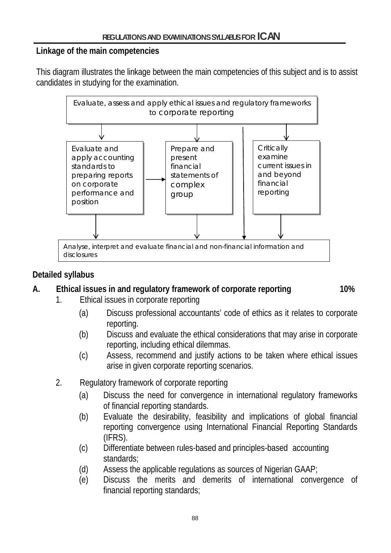#### **Linkage of the main competencies**

This diagram illustrates the linkage between the main competencies of this subject and is to assist candidates in studying for the examination.



## **Detailed syllabus**

#### **A. Ethical issues in and regulatory framework of corporate reporting 10%**

- 1. Ethical issues in corporate reporting
	- (a) Discuss professional accountants' code of ethics as it relates to corporate reporting.
	- (b) Discuss and evaluate the ethical considerations that may arise in corporate reporting, including ethical dilemmas.
	- (c) Assess, recommend and justify actions to be taken where ethical issues arise in given corporate reporting scenarios.
- 2. Regulatory framework of corporate reporting
	- (a) Discuss the need for convergence in international regulatory frameworks of financial reporting standards.
	- (b) Evaluate the desirability, feasibility and implications of global financial reporting convergence using International Financial Reporting Standards (IFRS).
	- (c) Differentiate between rules-based and principles-based accounting standards;
	- (d) Assess the applicable regulations as sources of Nigerian GAAP;
	- (e) Discuss the merits and demerits of international convergence of financial reporting standards;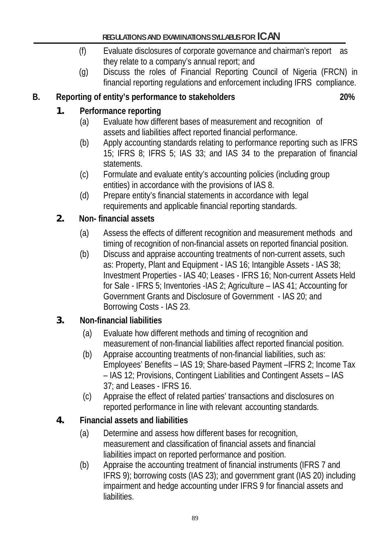- (f) Evaluate disclosures of corporate governance and chairman's report as they relate to a company's annual report; and
- (g) Discuss the roles of Financial Reporting Council of Nigeria (FRCN) in financial reporting regulations and enforcement including IFRS compliance.

## **B. Reporting of entity's performance to stakeholders 20%**

## **1. Performance reporting**

- (a) Evaluate how different bases of measurement and recognition of assets and liabilities affect reported financial performance.
- (b) Apply accounting standards relating to performance reporting such as IFRS 15; IFRS 8; IFRS 5; IAS 33; and IAS 34 to the preparation of financial statements.
- (c) Formulate and evaluate entity's accounting policies (including group entities) in accordance with the provisions of IAS 8.
- (d) Prepare entity's financial statements in accordance with legal requirements and applicable financial reporting standards.

## **2. Non- financial assets**

- (a) Assess the effects of different recognition and measurement methods and timing of recognition of non-financial assets on reported financial position.
- (b) Discuss and appraise accounting treatments of non-current assets, such as: Property, Plant and Equipment - IAS 16; Intangible Assets - IAS 38; Investment Properties - IAS 40; Leases - IFRS 16; Non-current Assets Held for Sale - IFRS 5; Inventories -IAS 2; Agriculture – IAS 41; Accounting for Government Grants and Disclosure of Government - IAS 20; and Borrowing Costs - IAS 23.

## **3. Non-financial liabilities**

- (a) Evaluate how different methods and timing of recognition and measurement of non-financial liabilities affect reported financial position.
- (b) Appraise accounting treatments of non-financial liabilities, such as: Employees' Benefits – IAS 19; Share-based Payment –IFRS 2; Income Tax – IAS 12; Provisions, Contingent Liabilities and Contingent Assets – IAS 37; and Leases - IFRS 16.
- (c) Appraise the effect of related parties' transactions and disclosures on reported performance in line with relevant accounting standards.

# **4. Financial assets and liabilities**

- (a) Determine and assess how different bases for recognition, measurement and classification of financial assets and financial liabilities impact on reported performance and position.
- (b) Appraise the accounting treatment of financial instruments (IFRS 7 and IFRS 9); borrowing costs (IAS 23); and government grant (IAS 20) including impairment and hedge accounting under IFRS 9 for financial assets and liabilities.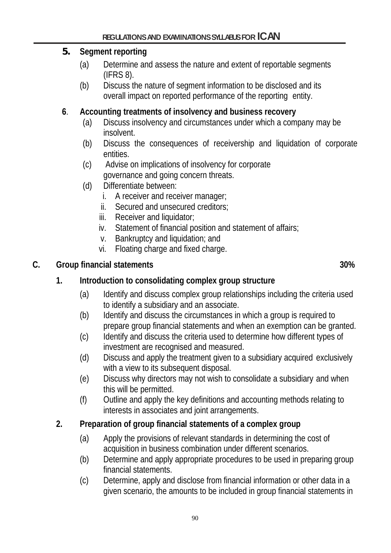## **5. Segment reporting**

- (a) Determine and assess the nature and extent of reportable segments (IFRS 8).
- (b) Discuss the nature of segment information to be disclosed and its overall impact on reported performance of the reporting entity.

## **6**. **Accounting treatments of insolvency and business recovery**

- (a) Discuss insolvency and circumstances under which a company may be insolvent.
- (b) Discuss the consequences of receivership and liquidation of corporate entities.
- (c) Advise on implications of insolvency for corporate governance and going concern threats.
- (d) Differentiate between:
	- i. A receiver and receiver manager;
	- ii. Secured and unsecured creditors;
	- iii. Receiver and liquidator;
	- iv. Statement of financial position and statement of affairs;
	- v. Bankruptcy and liquidation; and
	- vi. Floating charge and fixed charge.

## **C. Group financial statements 30%**

# **1. Introduction to consolidating complex group structure**

- (a) Identify and discuss complex group relationships including the criteria used to identify a subsidiary and an associate.
- (b) Identify and discuss the circumstances in which a group is required to prepare group financial statements and when an exemption can be granted.
- (c) Identify and discuss the criteria used to determine how different types of investment are recognised and measured.
- (d) Discuss and apply the treatment given to a subsidiary acquired exclusively with a view to its subsequent disposal.
- (e) Discuss why directors may not wish to consolidate a subsidiary and when this will be permitted.
- (f) Outline and apply the key definitions and accounting methods relating to interests in associates and joint arrangements.

# **2. Preparation of group financial statements of a complex group**

- (a) Apply the provisions of relevant standards in determining the cost of acquisition in business combination under different scenarios.
- (b) Determine and apply appropriate procedures to be used in preparing group financial statements.
- (c) Determine, apply and disclose from financial information or other data in a given scenario, the amounts to be included in group financial statements in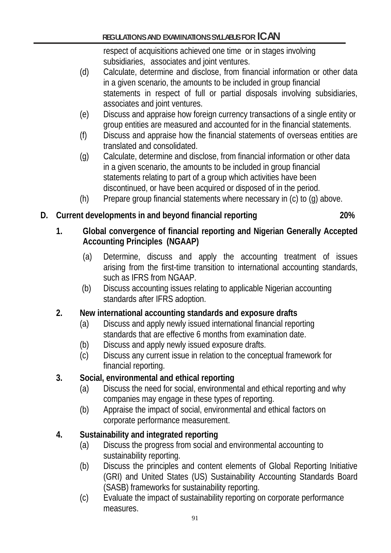respect of acquisitions achieved one time or in stages involving subsidiaries, associates and joint ventures.

- (d) Calculate, determine and disclose, from financial information or other data in a given scenario, the amounts to be included in group financial statements in respect of full or partial disposals involving subsidiaries, associates and joint ventures.
- (e) Discuss and appraise how foreign currency transactions of a single entity or group entities are measured and accounted for in the financial statements.
- (f) Discuss and appraise how the financial statements of overseas entities are translated and consolidated.
- (g) Calculate, determine and disclose, from financial information or other data in a given scenario, the amounts to be included in group financial statements relating to part of a group which activities have been discontinued, or have been acquired or disposed of in the period.
- (h) Prepare group financial statements where necessary in (c) to (g) above.

# **D. Current developments in and beyond financial reporting 20%**

## **1. Global convergence of financial reporting and Nigerian Generally Accepted Accounting Principles (NGAAP)**

- (a) Determine, discuss and apply the accounting treatment of issues arising from the first-time transition to international accounting standards, such as IFRS from NGAAP.
- (b) Discuss accounting issues relating to applicable Nigerian accounting standards after IFRS adoption.

# **2. New international accounting standards and exposure drafts**

- (a) Discuss and apply newly issued international financial reporting standards that are effective 6 months from examination date.
- (b) Discuss and apply newly issued exposure drafts.
- (c) Discuss any current issue in relation to the conceptual framework for financial reporting.

# **3. Social, environmental and ethical reporting**

- (a) Discuss the need for social, environmental and ethical reporting and why companies may engage in these types of reporting.
- (b) Appraise the impact of social, environmental and ethical factors on corporate performance measurement.

# **4. Sustainability and integrated reporting**

- (a) Discuss the progress from social and environmental accounting to sustainability reporting.
- (b) Discuss the principles and content elements of Global Reporting Initiative (GRI) and United States (US) Sustainability Accounting Standards Board (SASB) frameworks for sustainability reporting.
- (c) Evaluate the impact of sustainability reporting on corporate performance measures.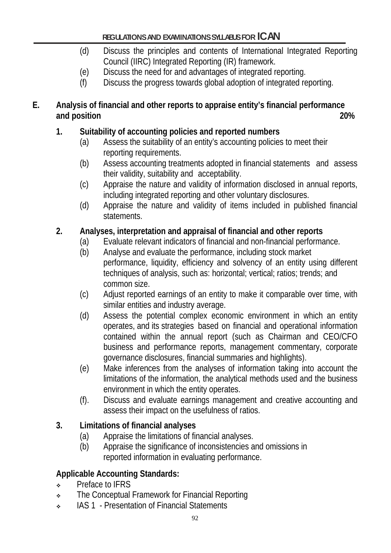- (d) Discuss the principles and contents of International Integrated Reporting Council (IIRC) Integrated Reporting (IR) framework.
- (e) Discuss the need for and advantages of integrated reporting.
- (f) Discuss the progress towards global adoption of integrated reporting.

## **E. Analysis of financial and other reports to appraise entity's financial performance and position 20%**

# **1. Suitability of accounting policies and reported numbers**

- (a) Assess the suitability of an entity's accounting policies to meet their reporting requirements.
- (b) Assess accounting treatments adopted in financial statements and assess their validity, suitability and acceptability.
- (c) Appraise the nature and validity of information disclosed in annual reports, including integrated reporting and other voluntary disclosures.
- (d) Appraise the nature and validity of items included in published financial statements.

# **2. Analyses, interpretation and appraisal of financial and other reports**

- (a) Evaluate relevant indicators of financial and non-financial performance.
- (b) Analyse and evaluate the performance, including stock market performance, liquidity, efficiency and solvency of an entity using different techniques of analysis, such as: horizontal; vertical; ratios; trends; and common size.
- (c) Adjust reported earnings of an entity to make it comparable over time, with similar entities and industry average.
- (d) Assess the potential complex economic environment in which an entity operates, and its strategies based on financial and operational information contained within the annual report (such as Chairman and CEO/CFO business and performance reports, management commentary, corporate governance disclosures, financial summaries and highlights).
- (e) Make inferences from the analyses of information taking into account the limitations of the information, the analytical methods used and the business environment in which the entity operates.
- (f). Discuss and evaluate earnings management and creative accounting and assess their impact on the usefulness of ratios.

# **3. Limitations of financial analyses**

- 
- (a) Appraise the limitations of financial analyses.<br>(b) Appraise the significance of inconsistencies a Appraise the significance of inconsistencies and omissions in reported information in evaluating performance.

# **Applicable Accounting Standards:**

- Preface to IFRS
- **The Conceptual Framework for Financial Reporting**
- **IAS 1 Presentation of Financial Statements**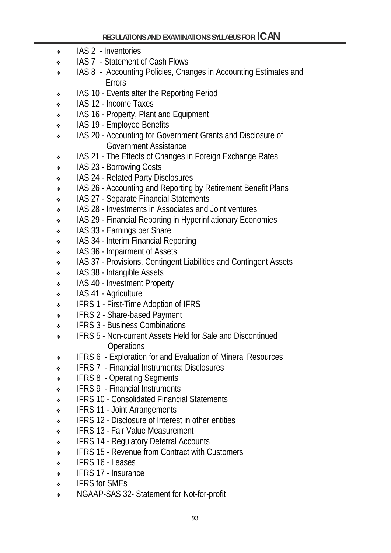- IAS 2 Inventories
- IAS 7 Statement of Cash Flows
- IAS 8 Accounting Policies, Changes in Accounting Estimates and Errors
- IAS 10 Events after the Reporting Period
- IAS 12 Income Taxes
- IAS 16 Property, Plant and Equipment
- \* IAS 19 Employee Benefits
- **IAS 20 Accounting for Government Grants and Disclosure of** Government Assistance
- IAS 21 The Effects of Changes in Foreign Exchange Rates
- \* IAS 23 Borrowing Costs
- \* IAS 24 Related Party Disclosures
- IAS 26 Accounting and Reporting by Retirement Benefit Plans
- IAS 27 Separate Financial Statements
- IAS 28 Investments in Associates and Joint ventures
- IAS 29 Financial Reporting in Hyperinflationary Economies
- IAS 33 Earnings per Share
- IAS 34 Interim Financial Reporting
- IAS 36 Impairment of Assets
- IAS 37 Provisions, Contingent Liabilities and Contingent Assets
- IAS 38 Intangible Assets
- IAS 40 Investment Property
- IAS 41 Agriculture
- **EXECUTE:** IFRS 1 First-Time Adoption of IFRS
- **EXECUTE:** IFRS 2 Share-based Payment
- **EXECUTE:** IFRS 3 Business Combinations
- IFRS 5 Non-current Assets Held for Sale and Discontinued **Operations**
- **EXECUTE:** IFRS 6 Exploration for and Evaluation of Mineral Resources
- IFRS 7 Financial Instruments: Disclosures
- **IFRS 8** Operating Segments
- IFRS 9 Financial Instruments
- **EXECUSE:** IFRS 10 Consolidated Financial Statements
- IFRS 11 Joint Arrangements
- **EXECUTE:** IFRS 12 Disclosure of Interest in other entities
- **IFRS 13 Fair Value Measurement**
- **EXECUTE:** IFRS 14 Regulatory Deferral Accounts
- **EXECUTE:** IFRS 15 Revenue from Contract with Customers
- $\cdot$  IFRS 16 Leases
- IFRS 17 Insurance
- IFRS for SMEs
- NGAAP-SAS 32- Statement for Not-for-profit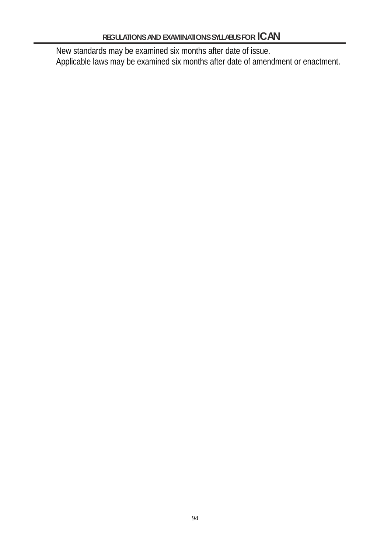New standards may be examined six months after date of issue. Applicable laws may be examined six months after date of amendment or enactment.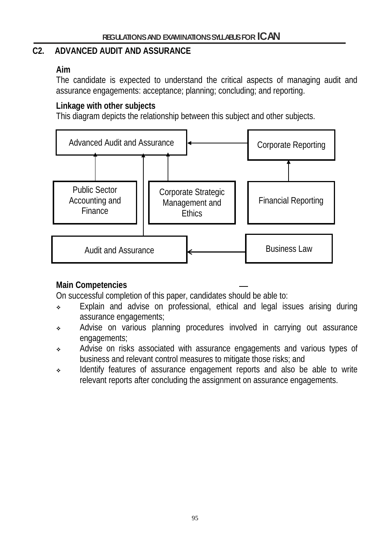#### **C2. ADVANCED AUDIT AND ASSURANCE**

#### **Aim**

The candidate is expected to understand the critical aspects of managing audit and assurance engagements: acceptance; planning; concluding; and reporting.

#### **Linkage with other subjects**

This diagram depicts the relationship between this subject and other subjects.



## **Main Competencies**

On successful completion of this paper, candidates should be able to:

- Explain and advise on professional, ethical and legal issues arising during assurance engagements;
- Advise on various planning procedures involved in carrying out assurance engagements;
- Advise on risks associated with assurance engagements and various types of business and relevant control measures to mitigate those risks; and
- Identify features of assurance engagement reports and also be able to write relevant reports after concluding the assignment on assurance engagements.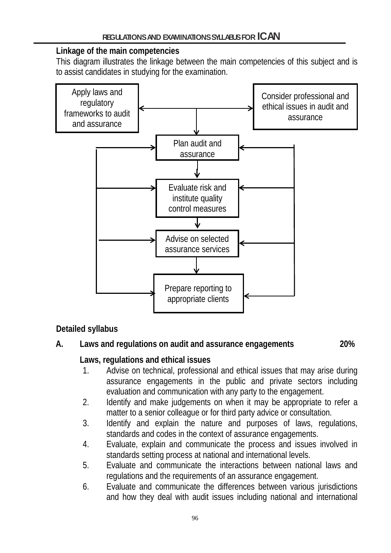## **Linkage of the main competencies**

This diagram illustrates the linkage between the main competencies of this subject and is to assist candidates in studying for the examination.



# **Detailed syllabus**

# **A. Laws and regulations on audit and assurance engagements 20%**

# **Laws, regulations and ethical issues**

- 1. Advise on technical, professional and ethical issues that may arise during assurance engagements in the public and private sectors including evaluation and communication with any party to the engagement.
- 2. Identify and make judgements on when it may be appropriate to refer a matter to a senior colleague or for third party advice or consultation.
- 3. Identify and explain the nature and purposes of laws, regulations, standards and codes in the context of assurance engagements.
- 4. Evaluate, explain and communicate the process and issues involved in standards setting process at national and international levels.
- 5. Evaluate and communicate the interactions between national laws and regulations and the requirements of an assurance engagement.
- 6. Evaluate and communicate the differences between various jurisdictions and how they deal with audit issues including national and international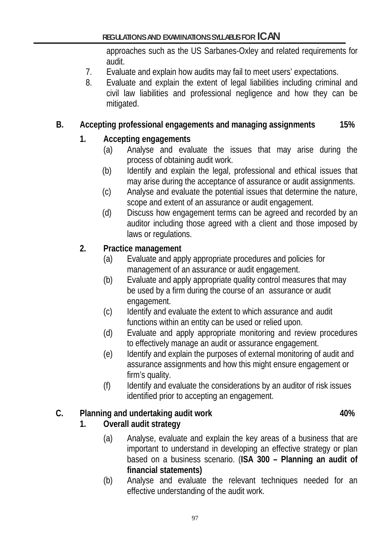approaches such as the US Sarbanes-Oxley and related requirements for audit.

- 7. Evaluate and explain how audits may fail to meet users' expectations.
- 8. Evaluate and explain the extent of legal liabilities including criminal and civil law liabilities and professional negligence and how they can be mitigated.

## **B. Accepting professional engagements and managing assignments 15%**

# **1. Accepting engagements**

- (a) Analyse and evaluate the issues that may arise during the process of obtaining audit work.
- (b) Identify and explain the legal, professional and ethical issues that may arise during the acceptance of assurance or audit assignments.
- (c) Analyse and evaluate the potential issues that determine the nature, scope and extent of an assurance or audit engagement.
- (d) Discuss how engagement terms can be agreed and recorded by an auditor including those agreed with a client and those imposed by laws or regulations.

## **2. Practice management**

- (a) Evaluate and apply appropriate procedures and policies for management of an assurance or audit engagement.
- (b) Evaluate and apply appropriate quality control measures that may be used by a firm during the course of an assurance or audit engagement.
- (c) Identify and evaluate the extent to which assurance and audit functions within an entity can be used or relied upon.
- (d) Evaluate and apply appropriate monitoring and review procedures to effectively manage an audit or assurance engagement.
- (e) Identify and explain the purposes of external monitoring of audit and assurance assignments and how this might ensure engagement or firm's quality.
- (f) Identify and evaluate the considerations by an auditor of risk issues identified prior to accepting an engagement.

# **C.** Planning and undertaking audit work **10%**

# **1. Overall audit strategy**

- (a) Analyse, evaluate and explain the key areas of a business that are important to understand in developing an effective strategy or plan based on a business scenario. (**ISA 300 – Planning an audit of financial statements)**
- (b) Analyse and evaluate the relevant techniques needed for an effective understanding of the audit work.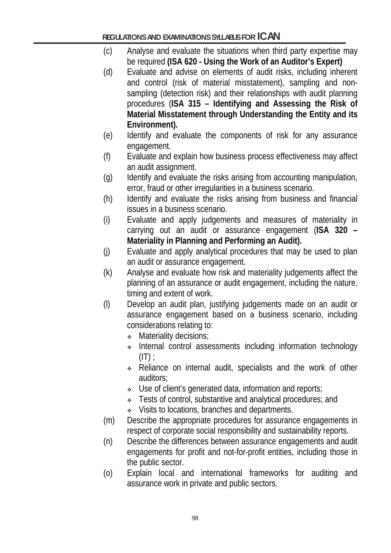- (c) Analyse and evaluate the situations when third party expertise may be required **(ISA 620 - Using the Work of an Auditor's Expert)**
- (d) Evaluate and advise on elements of audit risks, including inherent and control (risk of material misstatement), sampling and nonsampling (detection risk) and their relationships with audit planning procedures (**ISA 315 – Identifying and Assessing the Risk of Material Misstatement through Understanding the Entity and its Environment).**
- (e) Identify and evaluate the components of risk for any assurance engagement.
- (f) Evaluate and explain how business process effectiveness may affect an audit assignment.
- (g) Identify and evaluate the risks arising from accounting manipulation, error, fraud or other irregularities in a business scenario.
- (h) Identify and evaluate the risks arising from business and financial issues in a business scenario.
- (i) Evaluate and apply judgements and measures of materiality in carrying out an audit or assurance engagement (**ISA 320 – Materiality in Planning and Performing an Audit).**
- (j) Evaluate and apply analytical procedures that may be used to plan an audit or assurance engagement.
- (k) Analyse and evaluate how risk and materiality judgements affect the planning of an assurance or audit engagement, including the nature, timing and extent of work.
- (l) Develop an audit plan, justifying judgements made on an audit or assurance engagement based on a business scenario, including considerations relating to:
	- **Materiality decisions:**
	- Internal control assessments including information technology  $(IT):$
	- Reliance on internal audit, specialists and the work of other auditors;
	- Use of client's generated data, information and reports;
	- **Example 3 Fests of control, substantive and analytical procedures; and**
	- Visits to locations, branches and departments.
- (m) Describe the appropriate procedures for assurance engagements in respect of corporate social responsibility and sustainability reports.
- (n) Describe the differences between assurance engagements and audit engagements for profit and not-for-profit entities, including those in the public sector.
- (o) Explain local and international frameworks for auditing and assurance work in private and public sectors.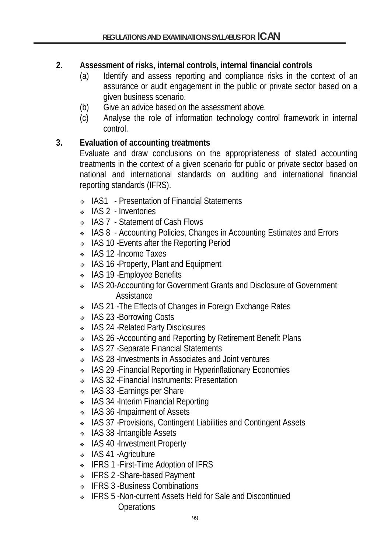## **2. Assessment of risks, internal controls, internal financial controls**

- (a) Identify and assess reporting and compliance risks in the context of an assurance or audit engagement in the public or private sector based on a given business scenario.
- (b) Give an advice based on the assessment above.
- (c) Analyse the role of information technology control framework in internal control.

## **3. Evaluation of accounting treatments**

Evaluate and draw conclusions on the appropriateness of stated accounting treatments in the context of a given scenario for public or private sector based on national and international standards on auditing and international financial reporting standards (IFRS).

- IAS1 Presentation of Financial Statements
- IAS 2 Inventories
- IAS 7 Statement of Cash Flows
- IAS 8 Accounting Policies, Changes in Accounting Estimates and Errors
- IAS 10 Events after the Reporting Period
- \* IAS 12 Income Taxes
- IAS 16 Property, Plant and Equipment
- IAS 19 Employee Benefits
- IAS 20-Accounting for Government Grants and Disclosure of Government **Assistance**
- IAS 21 -The Effects of Changes in Foreign Exchange Rates
- \* IAS 23 Borrowing Costs
- IAS 24 -Related Party Disclosures
- IAS 26 -Accounting and Reporting by Retirement Benefit Plans
- IAS 27 Separate Financial Statements
- IAS 28 -Investments in Associates and Joint ventures
- IAS 29 -Financial Reporting in Hyperinflationary Economies
- IAS 32 -Financial Instruments: Presentation
- IAS 33 Earnings per Share
- IAS 34 -Interim Financial Reporting
- IAS 36 Impairment of Assets
- IAS 37 -Provisions, Contingent Liabilities and Contingent Assets
- IAS 38 -Intangible Assets
- \* IAS 40 -Investment Property
- \* IAS 41 Agriculture
- ↓ IFRS 1 First-Time Adoption of IFRS
- IFRS 2 -Share-based Payment
- **↓** IFRS 3 -Business Combinations
- IFRS 5 -Non-current Assets Held for Sale and Discontinued **Operations**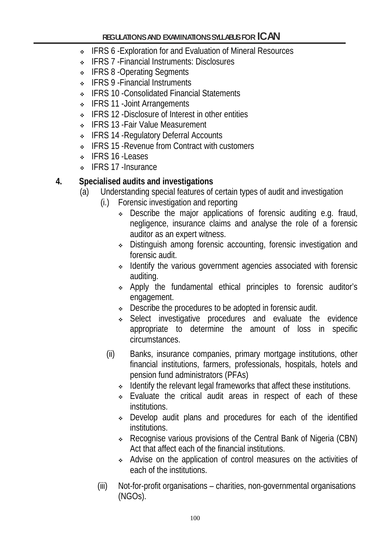- ◆ IFRS 6 -Exploration for and Evaluation of Mineral Resources
- IFRS 7 -Financial Instruments: Disclosures
- ↓ IFRS 8 -Operating Segments
- **↓** IFRS 9 Financial Instruments
- IFRS 10 -Consolidated Financial Statements
- **↓** IFRS 11 Joint Arrangements
- **EXECUTE:** IFRS 12 -Disclosure of Interest in other entities
- IFRS 13 -Fair Value Measurement
- IFRS 14 -Regulatory Deferral Accounts
- IFRS 15 -Revenue from Contract with customers
- $\cdot$  IFRS 16 -Leases
- ↓ IFRS 17 -Insurance

## **4. Specialised audits and investigations**

- (a) Understanding special features of certain types of audit and investigation
	- (i.) Forensic investigation and reporting
		- Describe the major applications of forensic auditing e.g. fraud, negligence, insurance claims and analyse the role of a forensic auditor as an expert witness.
		- Distinguish among forensic accounting, forensic investigation and forensic audit.
		- Identify the various government agencies associated with forensic auditing.
		- Apply the fundamental ethical principles to forensic auditor's engagement.
		- Describe the procedures to be adopted in forensic audit.
		- Select investigative procedures and evaluate the evidence appropriate to determine the amount of loss in specific circumstances.
		- (ii) Banks, insurance companies, primary mortgage institutions, other financial institutions, farmers, professionals, hospitals, hotels and pension fund administrators (PFAs)
			- Identify the relevant legal frameworks that affect these institutions.
			- Evaluate the critical audit areas in respect of each of these institutions.
			- Develop audit plans and procedures for each of the identified institutions.
			- Recognise various provisions of the Central Bank of Nigeria (CBN) Act that affect each of the financial institutions.
			- Advise on the application of control measures on the activities of each of the institutions.
	- (iii) Not-for-profit organisations charities, non-governmental organisations (NGOs).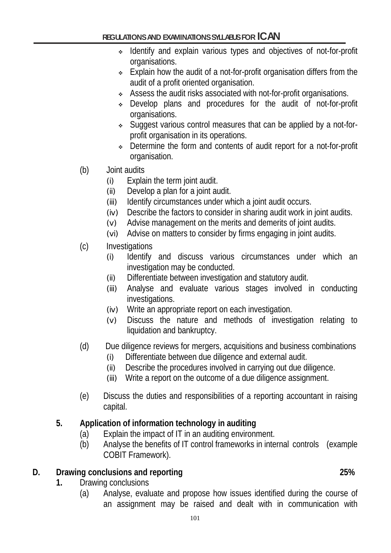- Identify and explain various types and objectives of not-for-profit organisations.
- Explain how the audit of a not-for-profit organisation differs from the audit of a profit oriented organisation.
- Assess the audit risks associated with not-for-profit organisations.
- Develop plans and procedures for the audit of not-for-profit organisations.
- Suggest various control measures that can be applied by a not-forprofit organisation in its operations.
- Determine the form and contents of audit report for a not-for-profit organisation.
- (b) Joint audits
	- (i) Explain the term joint audit.
	- (ii) Develop a plan for a joint audit.
	- (iii) Identify circumstances under which a joint audit occurs.
	- (iv) Describe the factors to consider in sharing audit work in joint audits.
	- (v) Advise management on the merits and demerits of joint audits.
	- (vi) Advise on matters to consider by firms engaging in joint audits.
- (c) Investigations
	- (i) Identify and discuss various circumstances under which an investigation may be conducted.
	- (ii) Differentiate between investigation and statutory audit.
	- (iii) Analyse and evaluate various stages involved in conducting investigations.
	- (iv) Write an appropriate report on each investigation.
	- (v) Discuss the nature and methods of investigation relating to liquidation and bankruptcy.
- (d) Due diligence reviews for mergers, acquisitions and business combinations
	- (i) Differentiate between due diligence and external audit.
	- (ii) Describe the procedures involved in carrying out due diligence.
	- (iii) Write a report on the outcome of a due diligence assignment.
- (e) Discuss the duties and responsibilities of a reporting accountant in raising capital.

# **5. Application of information technology in auditing**

- (a) Explain the impact of IT in an auditing environment.
- (b) Analyse the benefits of IT control frameworks in internal controls (example COBIT Framework).

# **D. Drawing conclusions and reporting 25%**

- **1.** Drawing conclusions
	- (a) Analyse, evaluate and propose how issues identified during the course of an assignment may be raised and dealt with in communication with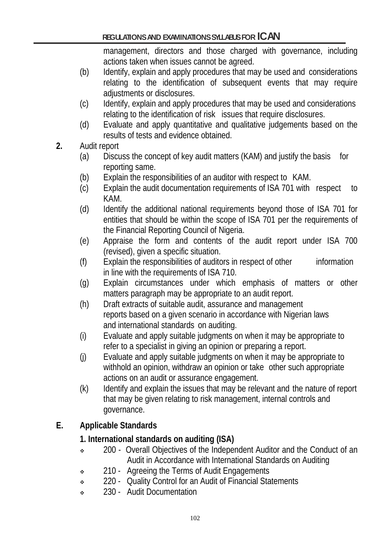management, directors and those charged with governance, including actions taken when issues cannot be agreed.

- (b) Identify, explain and apply procedures that may be used and considerations relating to the identification of subsequent events that may require adjustments or disclosures.
- (c) Identify, explain and apply procedures that may be used and considerations relating to the identification of risk issues that require disclosures.
- (d) Evaluate and apply quantitative and qualitative judgements based on the results of tests and evidence obtained.
- **2.** Audit report
	- (a) Discuss the concept of key audit matters (KAM) and justify the basis for reporting same.
	- (b) Explain the responsibilities of an auditor with respect to KAM.
	- (c) Explain the audit documentation requirements of ISA 701 with respect to KAM.
	- (d) Identify the additional national requirements beyond those of ISA 701 for entities that should be within the scope of ISA 701 per the requirements of the Financial Reporting Council of Nigeria.
	- (e) Appraise the form and contents of the audit report under ISA 700 (revised), given a specific situation.
	- (f) Explain the responsibilities of auditors in respect of other information in line with the requirements of ISA 710.
	- (g) Explain circumstances under which emphasis of matters or other matters paragraph may be appropriate to an audit report.
	- (h) Draft extracts of suitable audit, assurance and management reports based on a given scenario in accordance with Nigerian laws and international standards on auditing.
	- (i) Evaluate and apply suitable judgments on when it may be appropriate to refer to a specialist in giving an opinion or preparing a report.
	- (j) Evaluate and apply suitable judgments on when it may be appropriate to withhold an opinion, withdraw an opinion or take other such appropriate actions on an audit or assurance engagement.
	- (k) Identify and explain the issues that may be relevant and the nature of report that may be given relating to risk management, internal controls and governance.

# **E. Applicable Standards**

## **1. International standards on auditing (ISA)**

- <sup>200</sup> Overall Objectives of the Independent Auditor and the Conduct of an Audit in Accordance with International Standards on Auditing
- <sup>210</sup> Agreeing the Terms of Audit Engagements
- 220 Quality Control for an Audit of Financial Statements
- 230 Audit Documentation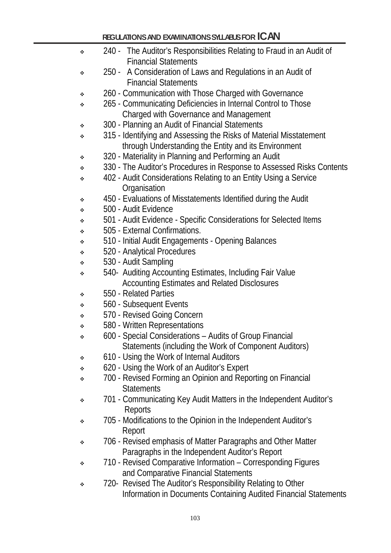| ۰ | 240 - The Auditor's Responsibilities Relating to Fraud in an Audit of<br><b>Financial Statements</b> |
|---|------------------------------------------------------------------------------------------------------|
| ❖ | 250 - A Consideration of Laws and Regulations in an Audit of                                         |
|   | <b>Financial Statements</b>                                                                          |
| ❖ | 260 - Communication with Those Charged with Governance                                               |
| ❖ | 265 - Communicating Deficiencies in Internal Control to Those                                        |
|   | Charged with Governance and Management                                                               |
| ❖ | 300 - Planning an Audit of Financial Statements                                                      |
| ❖ | 315 - Identifying and Assessing the Risks of Material Misstatement                                   |
|   | through Understanding the Entity and its Environment                                                 |
| ٠ | 320 - Materiality in Planning and Performing an Audit                                                |
| ❖ | 330 - The Auditor's Procedures in Response to Assessed Risks Contents                                |
| ❖ | 402 - Audit Considerations Relating to an Entity Using a Service                                     |
|   | Organisation                                                                                         |
| ٠ | 450 - Evaluations of Misstatements Identified during the Audit                                       |
| ❖ | 500 - Audit Evidence                                                                                 |
| ❖ | 501 - Audit Evidence - Specific Considerations for Selected Items                                    |
| ❖ | 505 - External Confirmations.                                                                        |
| ❖ | 510 - Initial Audit Engagements - Opening Balances                                                   |
| ❖ | 520 - Analytical Procedures<br>530 - Audit Sampling                                                  |
| ❖ | 540- Auditing Accounting Estimates, Including Fair Value                                             |
| ❖ | <b>Accounting Estimates and Related Disclosures</b>                                                  |
| ❖ | 550 - Related Parties                                                                                |
| ❖ | 560 - Subsequent Events                                                                              |
| ❖ | 570 - Revised Going Concern                                                                          |
| ❖ | 580 - Written Representations                                                                        |
| ❖ | 600 - Special Considerations – Audits of Group Financial                                             |
|   | Statements (including the Work of Component Auditors)                                                |
| ❖ | 610 - Using the Work of Internal Auditors                                                            |
| ❖ | 620 - Using the Work of an Auditor's Expert                                                          |
| ❖ | 700 - Revised Forming an Opinion and Reporting on Financial                                          |
|   | <b>Statements</b>                                                                                    |
| ❖ | 701 - Communicating Key Audit Matters in the Independent Auditor's                                   |
|   | Reports                                                                                              |
| ❖ | 705 - Modifications to the Opinion in the Independent Auditor's                                      |
|   | Report                                                                                               |
| ❖ | 706 - Revised emphasis of Matter Paragraphs and Other Matter                                         |
|   | Paragraphs in the Independent Auditor's Report                                                       |
| ❖ | 710 - Revised Comparative Information – Corresponding Figures                                        |
|   | and Comparative Financial Statements                                                                 |
| ❖ | 720- Revised The Auditor's Responsibility Relating to Other                                          |
|   | Information in Documents Containing Audited Financial Statements                                     |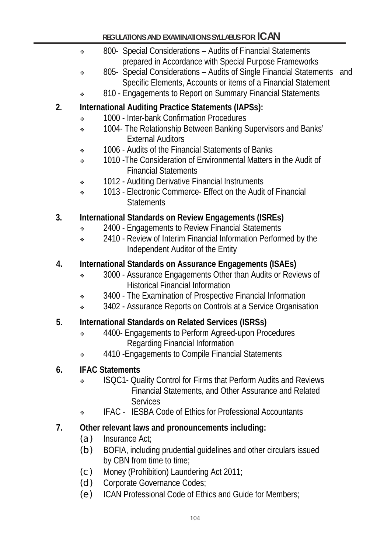- \* 800- Special Considerations Audits of Financial Statements prepared in Accordance with Special Purpose Frameworks
- 805- Special Considerations Audits of Single Financial Statements and Specific Elements, Accounts or items of a Financial Statement
- 810 Engagements to Report on Summary Financial Statements

# **2. International Auditing Practice Statements (IAPSs):**

- $\cdot$  1000 Inter-bank Confirmation Procedures
- \* 1004- The Relationship Between Banking Supervisors and Banks' External Auditors
- $\cdot$  1006 Audits of the Financial Statements of Banks
- 1010 -The Consideration of Environmental Matters in the Audit of Financial Statements
- 1012 Auditing Derivative Financial Instruments
- <sup>2</sup> 1013 Flectronic Commerce- Effect on the Audit of Financial **Statements**

# **3. International Standards on Review Engagements (ISREs)**

- \* 2400 Engagements to Review Financial Statements
- <sup>2410</sup> Review of Interim Financial Information Performed by the Independent Auditor of the Entity

# **4. International Standards on Assurance Engagements (ISAEs)**

- \* 3000 Assurance Engagements Other than Audits or Reviews of Historical Financial Information
- $\cdot$  3400 The Examination of Prospective Financial Information
- <sup>3402</sup> Assurance Reports on Controls at a Service Organisation

# **5. International Standards on Related Services (ISRSs)**

- $\div$  4400- Engagements to Perform Agreed-upon Procedures Regarding Financial Information
- $\div$  4410 Engagements to Compile Financial Statements

# **6. IFAC Statements**

- ISQC1- Quality Control for Firms that Perform Audits and Reviews Financial Statements, and Other Assurance and Related Services
- IFAC IESBA Code of Ethics for Professional Accountants

# **7. Other relevant laws and pronouncements including:**

- (a) Insurance Act;
- (b) BOFIA, including prudential guidelines and other circulars issued by CBN from time to time;
- (c) Money (Prohibition) Laundering Act 2011;
- (d) Corporate Governance Codes;
- (e) ICAN Professional Code of Ethics and Guide for Members;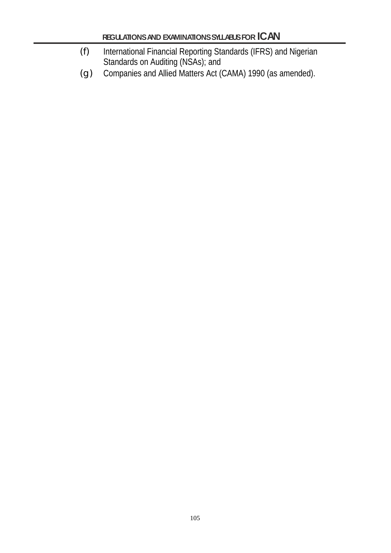- (f) International Financial Reporting Standards (IFRS) and Nigerian Standards on Auditing (NSAs); and
- (g) Companies and Allied Matters Act (CAMA) 1990 (as amended).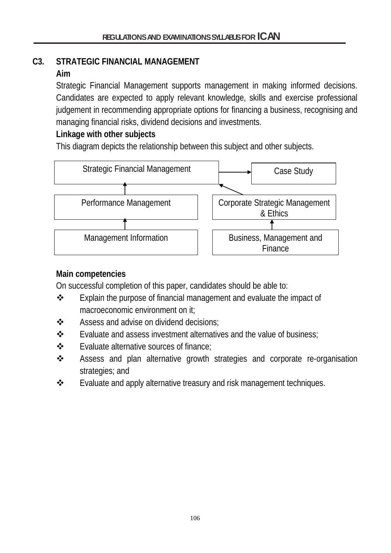# **C3. STRATEGIC FINANCIAL MANAGEMENT**

## **Aim**

Strategic Financial Management supports management in making informed decisions. Candidates are expected to apply relevant knowledge, skills and exercise professional judgement in recommending appropriate options for financing a business, recognising and managing financial risks, dividend decisions and investments.

# **Linkage with other subjects**

This diagram depicts the relationship between this subject and other subjects.



# **Main competencies**

On successful completion of this paper, candidates should be able to:

- Explain the purpose of financial management and evaluate the impact of macroeconomic environment on it;
- ❖ Assess and advise on dividend decisions:
- $\mathbf{\hat{P}}$  Evaluate and assess investment alternatives and the value of business:
- **❖** Evaluate alternative sources of finance;
- Assess and plan alternative growth strategies and corporate re-organisation strategies; and
- $\cdot \cdot$  Evaluate and apply alternative treasury and risk management techniques.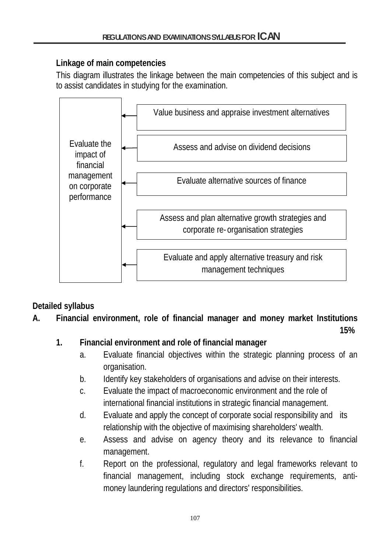## **Linkage of main competencies**

This diagram illustrates the linkage between the main competencies of this subject and is to assist candidates in studying for the examination.



# **Detailed syllabus**

**A. Financial environment, role of financial manager and money market Institutions**

**15%**

# **1. Financial environment and role of financial manager**

- a. Evaluate financial objectives within the strategic planning process of an organisation.
- b. Identify key stakeholders of organisations and advise on their interests.
- c. Evaluate the impact of macroeconomic environment and the role of international financial institutions in strategic financial management.
- d. Evaluate and apply the concept of corporate social responsibility and its relationship with the objective of maximising shareholders' wealth.
- e. Assess and advise on agency theory and its relevance to financial management.
- f. Report on the professional, regulatory and legal frameworks relevant to financial management, including stock exchange requirements, antimoney laundering regulations and directors' responsibilities.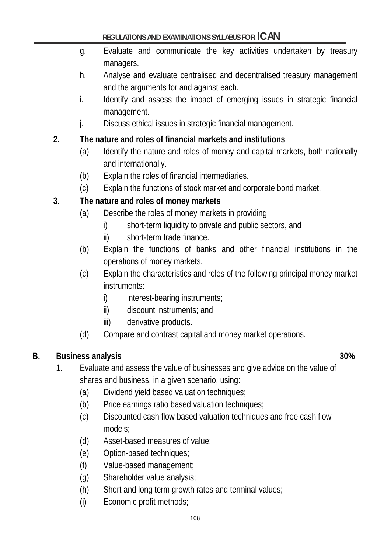- g. Evaluate and communicate the key activities undertaken by treasury managers.
- h. Analyse and evaluate centralised and decentralised treasury management and the arguments for and against each.
- i. Identify and assess the impact of emerging issues in strategic financial management.
- j. Discuss ethical issues in strategic financial management.

# **2. The nature and roles of financial markets and institutions**

- (a) Identify the nature and roles of money and capital markets, both nationally and internationally.
- (b) Explain the roles of financial intermediaries.
- (c) Explain the functions of stock market and corporate bond market.

## **3**. **The nature and roles of money markets**

- (a) Describe the roles of money markets in providing
	- i) short-term liquidity to private and public sectors, and
	- ii) short-term trade finance.
- (b) Explain the functions of banks and other financial institutions in the operations of money markets.
- (c) Explain the characteristics and roles of the following principal money market instruments:
	- i) interest-bearing instruments;
	- ii) discount instruments; and
	- iii) derivative products.
- (d) Compare and contrast capital and money market operations.

# **B. Business analysis 30%**

- 1. Evaluate and assess the value of businesses and give advice on the value of shares and business, in a given scenario, using:
	- (a) Dividend yield based valuation techniques;
	- (b) Price earnings ratio based valuation techniques;
	- (c) Discounted cash flow based valuation techniques and free cash flow models;
	- (d) Asset-based measures of value;
	- (e) Option-based techniques;
	- (f) Value-based management;
	- (g) Shareholder value analysis;
	- (h) Short and long term growth rates and terminal values;
	- (i) Economic profit methods;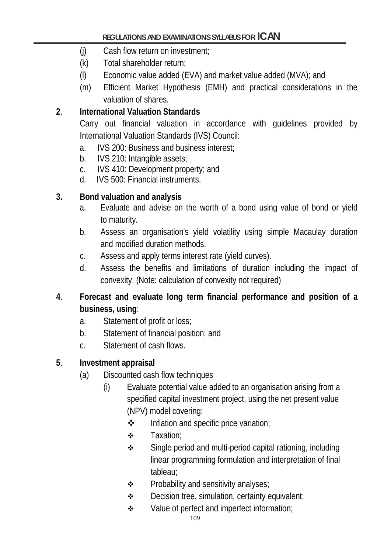- (j) Cash flow return on investment;
- (k) Total shareholder return;
- (l) Economic value added (EVA) and market value added (MVA); and
- (m) Efficient Market Hypothesis (EMH) and practical considerations in the valuation of shares.

# **2**. **International Valuation Standards**

Carry out financial valuation in accordance with guidelines provided by International Valuation Standards (IVS) Council:

- a. IVS 200: Business and business interest;
- b. IVS 210: Intangible assets;
- c. IVS 410: Development property; and
- d. IVS 500: Financial instruments.

## **3. Bond valuation and analysis**

- a. Evaluate and advise on the worth of a bond using value of bond or yield to maturity.
- b. Assess an organisation's yield volatility using simple Macaulay duration and modified duration methods.
- c. Assess and apply terms interest rate (yield curves).
- d. Assess the benefits and limitations of duration including the impact of convexity. (Note: calculation of convexity not required)
- **4**. **Forecast and evaluate long term financial performance and position of a business, using**:
	- a. Statement of profit or loss;
	- b. Statement of financial position; and
	- c. Statement of cash flows.

# **5**. **Investment appraisal**

- (a) Discounted cash flow techniques
	- (i) Evaluate potential value added to an organisation arising from a specified capital investment project, using the net present value (NPV) model covering:
		- $\div$  Inflation and specific price variation;
		- **❖** Taxation:
		- **Single period and multi-period capital rationing, including** linear programming formulation and interpretation of final tableau;
		- $\div$  Probability and sensitivity analyses;
		- $\div$  Decision tree, simulation, certainty equivalent;
		- ◆ Value of perfect and imperfect information;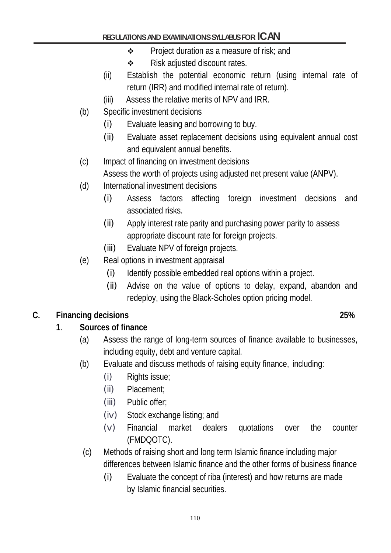- $\div$  Project duration as a measure of risk; and
- **❖** Risk adjusted discount rates.
- (ii) Establish the potential economic return (using internal rate of return (IRR) and modified internal rate of return).
- (iii) Assess the relative merits of NPV and IRR.
- (b) Specific investment decisions
	- (i) Evaluate leasing and borrowing to buy.
	- (ii) Evaluate asset replacement decisions using equivalent annual cost and equivalent annual benefits.
- (c) Impact of financing on investment decisions Assess the worth of projects using adjusted net present value (ANPV).
- (d) International investment decisions
	- (i) Assess factors affecting foreign investment decisions and associated risks.
	- (ii) Apply interest rate parity and purchasing power parity to assess appropriate discount rate for foreign projects.
	- (iii) Evaluate NPV of foreign projects.
- (e) Real options in investment appraisal
	- (i) Identify possible embedded real options within a project.
	- (ii) Advise on the value of options to delay, expand, abandon and redeploy, using the Black-Scholes option pricing model.

## **C. Financing decisions 25%**

## **1**. **Sources of finance**

- (a) Assess the range of long-term sources of finance available to businesses, including equity, debt and venture capital.
- (b) Evaluate and discuss methods of raising equity finance, including:
	- (i) Rights issue;
	- (ii) Placement;
	- (iii) Public offer;
	- (iv) Stock exchange listing; and
	- (v) Financial market dealers quotations over the counter (FMDQOTC).
- (c) Methods of raising short and long term Islamic finance including major differences between Islamic finance and the other forms of business finance
	- (i) Evaluate the concept of riba (interest) and how returns are made by Islamic financial securities.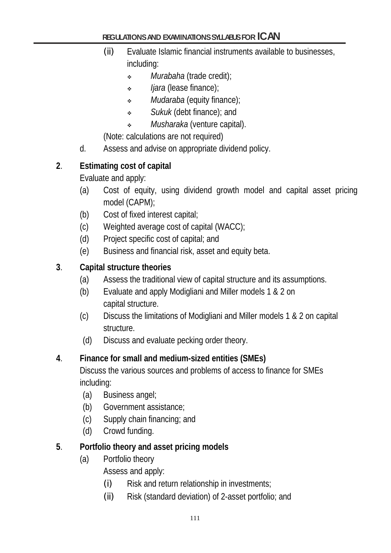- (ii) Evaluate Islamic financial instruments available to businesses, including:
	- *Murabaha* (trade credit);
	- *Ijara* (lease finance);
	- *Mudaraba* (equity finance);
	- *Sukuk* (debt finance); and
	- *Musharaka* (venture capital).

(Note: calculations are not required)

d. Assess and advise on appropriate dividend policy.

## **2**. **Estimating cost of capital**

Evaluate and apply:

- (a) Cost of equity, using dividend growth model and capital asset pricing model (CAPM);
- (b) Cost of fixed interest capital;
- (c) Weighted average cost of capital (WACC);
- (d) Project specific cost of capital; and
- (e) Business and financial risk, asset and equity beta.

#### **3**. **Capital structure theories**

- (a) Assess the traditional view of capital structure and its assumptions.
- (b) Evaluate and apply Modigliani and Miller models 1 & 2 on capital structure.
- (c) Discuss the limitations of Modigliani and Miller models 1 & 2 on capital structure.
- (d) Discuss and evaluate pecking order theory.

#### **4**. **Finance for small and medium-sized entities (SMEs)**

Discuss the various sources and problems of access to finance for SMEs including:

- (a) Business angel;
- (b) Government assistance;
- (c) Supply chain financing; and
- (d) Crowd funding.

#### **5**. **Portfolio theory and asset pricing models**

(a) Portfolio theory

Assess and apply:

- $(i)$  Risk and return relationship in investments;
- (ii) Risk (standard deviation) of 2-asset portfolio; and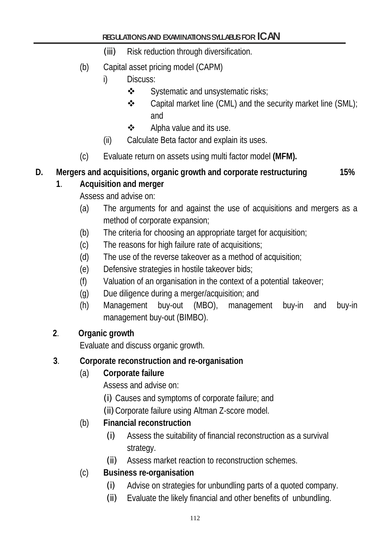- (iii) Risk reduction through diversification.
- (b) Capital asset pricing model (CAPM)
	- i) Discuss:
		- $\div$  Systematic and unsystematic risks;
		- $\clubsuit$  Capital market line (CML) and the security market line (SML); and
		- $\triangleleft$  Alpha value and its use.
	- (ii) Calculate Beta factor and explain its uses.
- (c) Evaluate return on assets using multi factor model **(MFM).**

# **D. Mergers and acquisitions, organic growth and corporate restructuring 15%**

### **1**. **Acquisition and merger**

Assess and advise on:

- (a) The arguments for and against the use of acquisitions and mergers as a method of corporate expansion;
- (b) The criteria for choosing an appropriate target for acquisition;
- (c) The reasons for high failure rate of acquisitions;
- (d) The use of the reverse takeover as a method of acquisition;
- (e) Defensive strategies in hostile takeover bids;
- (f) Valuation of an organisation in the context of a potential takeover;
- (g) Due diligence during a merger/acquisition; and
- (h) Management buy-out (MBO), management buy-in and buy-in management buy-out (BIMBO).

## **2**. **Organic growth**

Evaluate and discuss organic growth.

## **3**. **Corporate reconstruction and re-organisation**

## (a) **Corporate failure**

Assess and advise on:

- (i) Causes and symptoms of corporate failure; and
- (ii)Corporate failure using Altman Z-score model.

## (b) **Financial reconstruction**

- (i) Assess the suitability of financial reconstruction as a survival strategy.
- (ii) Assess market reaction to reconstruction schemes.
- (c) **Business re-organisation**
	- (i) Advise on strategies for unbundling parts of a quoted company.
	- (ii) Evaluate the likely financial and other benefits of unbundling.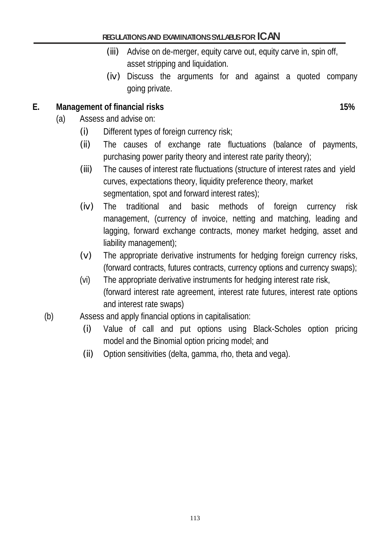- (iii) Advise on de-merger, equity carve out, equity carve in, spin off, asset stripping and liquidation.
- (iv) Discuss the arguments for and against a quoted company going private.

#### **E. Management of financial risks 15%**

- (a) Assess and advise on:
	- (i) Different types of foreign currency risk;
	- (ii) The causes of exchange rate fluctuations (balance of payments, purchasing power parity theory and interest rate parity theory);
	- (iii) The causes of interest rate fluctuations (structure of interest rates and yield curves, expectations theory, liquidity preference theory, market segmentation, spot and forward interest rates);
	- (iv) The traditional and basic methods of foreign currency risk management, (currency of invoice, netting and matching, leading and lagging, forward exchange contracts, money market hedging, asset and liability management);
	- (v) The appropriate derivative instruments for hedging foreign currency risks, (forward contracts, futures contracts, currency options and currency swaps);
	- (vi) The appropriate derivative instruments for hedging interest rate risk, (forward interest rate agreement, interest rate futures, interest rate options and interest rate swaps)
- (b) Assess and apply financial options in capitalisation:
	- (i) Value of call and put options using Black-Scholes option pricing model and the Binomial option pricing model; and
	- (ii) Option sensitivities (delta, gamma, rho, theta and vega).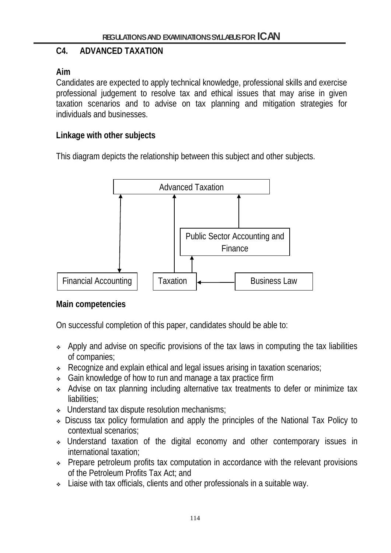### **C4. ADVANCED TAXATION**

#### **Aim**

Candidates are expected to apply technical knowledge, professional skills and exercise professional judgement to resolve tax and ethical issues that may arise in given taxation scenarios and to advise on tax planning and mitigation strategies for individuals and businesses.

#### **Linkage with other subjects**

This diagram depicts the relationship between this subject and other subjects.



#### **Main competencies**

On successful completion of this paper, candidates should be able to:

- Apply and advise on specific provisions of the tax laws in computing the tax liabilities of companies;
- Recognize and explain ethical and legal issues arising in taxation scenarios;
- Gain knowledge of how to run and manage a tax practice firm
- Advise on tax planning including alternative tax treatments to defer or minimize tax liabilities;
- Understand tax dispute resolution mechanisms;
- Discuss tax policy formulation and apply the principles of the National Tax Policy to contextual scenarios;
- Understand taxation of the digital economy and other contemporary issues in international taxation;
- Prepare petroleum profits tax computation in accordance with the relevant provisions of the Petroleum Profits Tax Act; and
- Liaise with tax officials, clients and other professionals in a suitable way.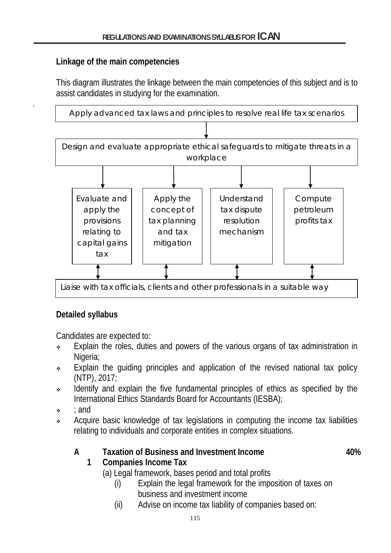#### **Linkage of the main competencies**

.

This diagram illustrates the linkage between the main competencies of this subject and is to assist candidates in studying for the examination.



## **Detailed syllabus**

Candidates are expected to:

- Explain the roles, duties and powers of the various organs of tax administration in Nigeria:
- Explain the quiding principles and application of the revised national tax policy (NTP), 2017;
- Identify and explain the five fundamental principles of ethics as specified by the International Ethics Standards Board for Accountants (IESBA);
- $\cdot$  : and
- Acquire basic knowledge of tax legislations in computing the income tax liabilities relating to individuals and corporate entities in complex situations.

## A **Taxation of Business and Investment Income** 40%

# **1 Companies Income Tax**

- (a) Legal framework, bases period and total profits
	- (i) Explain the legal framework for the imposition of taxes on business and investment income
	- (ii) Advise on income tax liability of companies based on: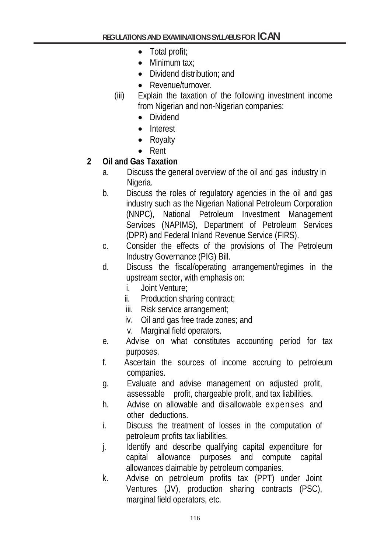- Total profit;
- Minimum tax:
- Dividend distribution; and
- Revenue/turnover.
- (iii) Explain the taxation of the following investment income from Nigerian and non-Nigerian companies:
	- Dividend
	- Interest
	- Royalty
	- Rent

## **2 Oil and Gas Taxation**

- a. Discuss the general overview of the oil and gas industry in Nigeria.
- b. Discuss the roles of regulatory agencies in the oil and gas industry such as the Nigerian National Petroleum Corporation (NNPC), National Petroleum Investment Management Services (NAPIMS), Department of Petroleum Services (DPR) and Federal Inland Revenue Service (FIRS).
- c. Consider the effects of the provisions of The Petroleum Industry Governance (PIG) Bill.
- d. Discuss the fiscal/operating arrangement/regimes in the upstream sector, with emphasis on:
	- i. Joint Venture;
	- ii. Production sharing contract;
	- iii. Risk service arrangement;
	- iv. Oil and gas free trade zones; and
	- v. Marginal field operators.
- e. Advise on what constitutes accounting period for tax purposes.
- f. Ascertain the sources of income accruing to petroleum companies.
- g. Evaluate and advise management on adjusted profit, assessable profit, chargeable profit, and tax liabilities.
- h. Advise on allowable and disallowable expenses and other deductions.
- i. Discuss the treatment of losses in the computation of petroleum profits tax liabilities.
- j. Identify and describe qualifying capital expenditure for capital allowance purposes and compute capital allowances claimable by petroleum companies.
- k. Advise on petroleum profits tax (PPT) under Joint Ventures (JV), production sharing contracts (PSC), marginal field operators, etc.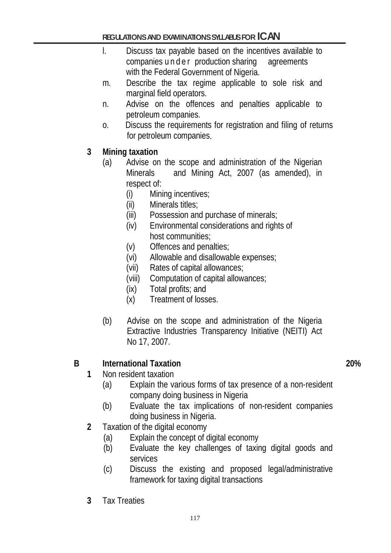- l. Discuss tax payable based on the incentives available to companies under production sharing agreements with the Federal Government of Nigeria.
- m. Describe the tax regime applicable to sole risk and marginal field operators.
- n. Advise on the offences and penalties applicable to petroleum companies.
- o. Discuss the requirements for registration and filing of returns for petroleum companies.

#### **3 Mining taxation**

- (a) Advise on the scope and administration of the Nigerian Minerals and Mining Act, 2007 (as amended), in respect of:
	- (i) Mining incentives;
	- (ii) Minerals titles;
	- (iii) Possession and purchase of minerals;
	- (iv) Environmental considerations and rights of host communities;
	- (v) Offences and penalties;
	- (vi) Allowable and disallowable expenses;
	- (vii) Rates of capital allowances;
	- (viii) Computation of capital allowances;
	- (ix) Total profits; and
	- (x) Treatment of losses.
- (b) Advise on the scope and administration of the Nigeria Extractive Industries Transparency Initiative (NEITI) Act No 17, 2007.

#### **B International Taxation 20%**

- **1** Non resident taxation
	- (a) Explain the various forms of tax presence of a non-resident company doing business in Nigeria
	- (b) Evaluate the tax implications of non-resident companies doing business in Nigeria.
- **2** Taxation of the digital economy
	- (a) Explain the concept of digital economy
	- (b) Evaluate the key challenges of taxing digital goods and services
	- (c) Discuss the existing and proposed legal/administrative framework for taxing digital transactions
- **3** Tax Treaties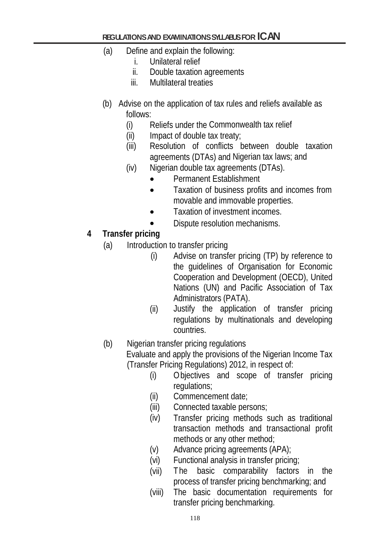- (a) Define and explain the following:
	- i. Unilateral relief
	- ii. Double taxation agreements
	- iii. Multilateral treaties
- (b) Advise on the application of tax rules and reliefs available as follows:
	- (i) Reliefs under the Commonwealth tax relief
	- $(ii)$  Impact of double tax treaty;
	- (iii) Resolution of conflicts between double taxation agreements (DTAs) and Nigerian tax laws; and
	- (iv) Nigerian double tax agreements (DTAs).
		- Permanent Establishment
		- Taxation of business profits and incomes from movable and immovable properties.
		- Taxation of investment incomes.
		- Dispute resolution mechanisms.

### **4 Transfer pricing**

- (a) Introduction to transfer pricing
	- (i) Advise on transfer pricing (TP) by reference to the guidelines of Organisation for Economic Cooperation and Development (OECD), United Nations (UN) and Pacific Association of Tax Administrators (PATA).
	- (ii) Justify the application of transfer pricing regulations by multinationals and developing countries.

#### (b) Nigerian transfer pricing regulations

 Evaluate and apply the provisions of the Nigerian Income Tax (Transfer Pricing Regulations) 2012, in respect of:

- (i) Objectives and scope of transfer pricing regulations;
- (ii) Commencement date;
- (iii) Connected taxable persons;
- (iv) Transfer pricing methods such as traditional transaction methods and transactional profit methods or any other method;
- (v) Advance pricing agreements (APA);
- (vi) Functional analysis in transfer pricing;
- (vii) The basic comparability factors in the process of transfer pricing benchmarking; and
- (viii) The basic documentation requirements for transfer pricing benchmarking.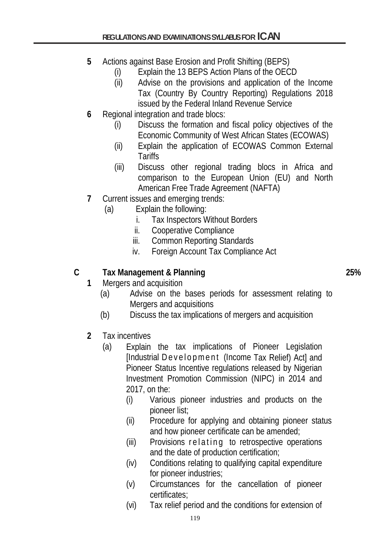- **5** Actions against Base Erosion and Profit Shifting (BEPS)
	- (i) Explain the 13 BEPS Action Plans of the OECD
	- (ii) Advise on the provisions and application of the Income Tax (Country By Country Reporting) Regulations 2018 issued by the Federal Inland Revenue Service
- **6** Regional integration and trade blocs:
	- (i) Discuss the formation and fiscal policy objectives of the Economic Community of West African States (ECOWAS)
	- (ii) Explain the application of ECOWAS Common External **Tariffs**
	- (iii) Discuss other regional trading blocs in Africa and comparison to the European Union (EU) and North American Free Trade Agreement (NAFTA)
- **7** Current issues and emerging trends:
	- (a) Explain the following:
		- i. Tax Inspectors Without Borders
		- ii. Cooperative Compliance
		- iii. Common Reporting Standards
		- iv. Foreign Account Tax Compliance Act

## **C Tax Management & Planning 25%**

- **1** Mergers and acquisition
	- (a) Advise on the bases periods for assessment relating to Mergers and acquisitions
	- (b) Discuss the tax implications of mergers and acquisition
- **2** Tax incentives
	- (a) Explain the tax implications of Pioneer Legislation [Industrial Development (Income Tax Relief) Actl and Pioneer Status Incentive regulations released by Nigerian Investment Promotion Commission (NIPC) in 2014 and 2017, on the:
		- (i) Various pioneer industries and products on the pioneer list;
		- (ii) Procedure for applying and obtaining pioneer status and how pioneer certificate can be amended;
		- (iii) Provisions relating to retrospective operations and the date of production certification;
		- (iv) Conditions relating to qualifying capital expenditure for pioneer industries;
		- (v) Circumstances for the cancellation of pioneer certificates;
		- (vi) Tax relief period and the conditions for extension of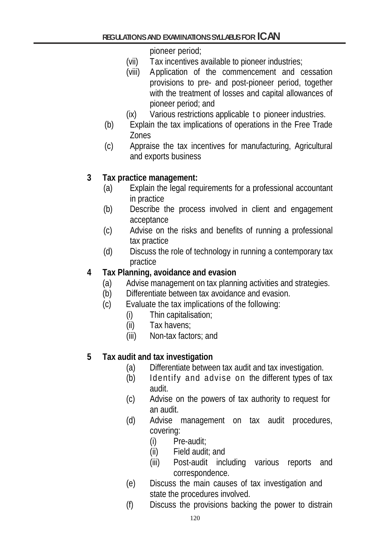pioneer period;

- (vii) Tax incentives available to pioneer industries;
- (viii) Application of the commencement and cessation provisions to pre- and post-pioneer period, together with the treatment of losses and capital allowances of pioneer period; and
- (ix) Various restrictions applicable to pioneer industries.
- (b) Explain the tax implications of operations in the Free Trade Zones
- (c) Appraise the tax incentives for manufacturing, Agricultural and exports business

### **3 Tax practice management:**

- (a) Explain the legal requirements for a professional accountant in practice
- (b) Describe the process involved in client and engagement acceptance
- (c) Advise on the risks and benefits of running a professional tax practice
- (d) Discuss the role of technology in running a contemporary tax practice

### **4 Tax Planning, avoidance and evasion**

- (a) Advise management on tax planning activities and strategies.
- (b) Differentiate between tax avoidance and evasion.
- (c) Evaluate the tax implications of the following:
	- (i) Thin capitalisation;
	- (ii) Tax havens;
	- (iii) Non-tax factors; and

## **5 Tax audit and tax investigation**

- (a) Differentiate between tax audit and tax investigation.
- (b) Identify and advise on the different types of tax audit.
- (c) Advise on the powers of tax authority to request for an audit.
- (d) Advise management on tax audit procedures, covering:
	- (i) Pre-audit;
	- (ii) Field audit; and
	- (iii) Post-audit including various reports and correspondence.
- (e) Discuss the main causes of tax investigation and state the procedures involved.
- (f) Discuss the provisions backing the power to distrain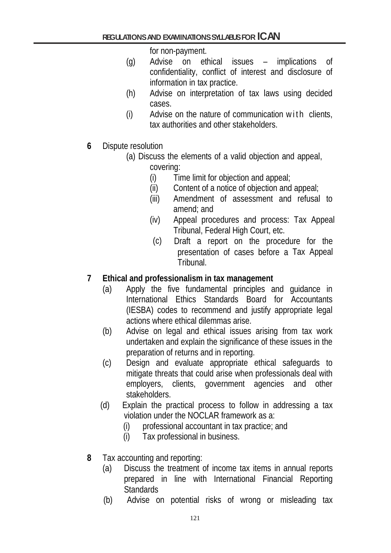for non-payment.

- (g) Advise on ethical issues implications of confidentiality, conflict of interest and disclosure of information in tax practice.
- (h) Advise on interpretation of tax laws using decided cases.
- (i) Advise on the nature of communication with clients, tax authorities and other stakeholders.
- **6** Dispute resolution
	- (a) Discuss the elements of a valid objection and appeal, covering:
		- (i) Time limit for objection and appeal;
		- (ii) Content of a notice of objection and appeal;
		- (iii) Amendment of assessment and refusal to amend; and
		- (iv) Appeal procedures and process: Tax Appeal Tribunal, Federal High Court, etc.
		- (c) Draft a report on the procedure for the presentation of cases before a Tax Appeal Tribunal.

## **7 Ethical and professionalism in tax management**

- (a) Apply the five fundamental principles and guidance in International Ethics Standards Board for Accountants (IESBA) codes to recommend and justify appropriate legal actions where ethical dilemmas arise.
- (b) Advise on legal and ethical issues arising from tax work undertaken and explain the significance of these issues in the preparation of returns and in reporting.
- (c) Design and evaluate appropriate ethical safeguards to mitigate threats that could arise when professionals deal with employers, clients, government agencies and other stakeholders.
- (d) Explain the practical process to follow in addressing a tax violation under the NOCLAR framework as a:
	- (i) professional accountant in tax practice; and
	- (i) Tax professional in business.
- **8** Tax accounting and reporting:
	- (a) Discuss the treatment of income tax items in annual reports prepared in line with International Financial Reporting **Standards**
	- (b) Advise on potential risks of wrong or misleading tax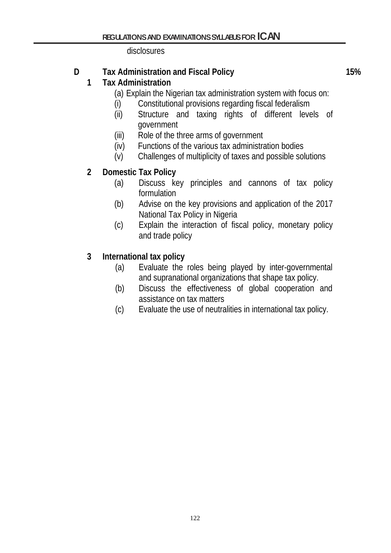disclosures

# **D Tax Administration and Fiscal Policy 15%**

## **1 Tax Administration**

- (a) Explain the Nigerian tax administration system with focus on:
- (i) Constitutional provisions regarding fiscal federalism
- (ii) Structure and taxing rights of different levels of government
- (iii) Role of the three arms of government
- (iv) Functions of the various tax administration bodies
- (v) Challenges of multiplicity of taxes and possible solutions

### **2 Domestic Tax Policy**

- (a) Discuss key principles and cannons of tax policy formulation
- (b) Advise on the key provisions and application of the 2017 National Tax Policy in Nigeria
- (c) Explain the interaction of fiscal policy, monetary policy and trade policy

## **3 International tax policy**

- (a) Evaluate the roles being played by inter-governmental and supranational organizations that shape tax policy.
- (b) Discuss the effectiveness of global cooperation and assistance on tax matters
- (c) Evaluate the use of neutralities in international tax policy.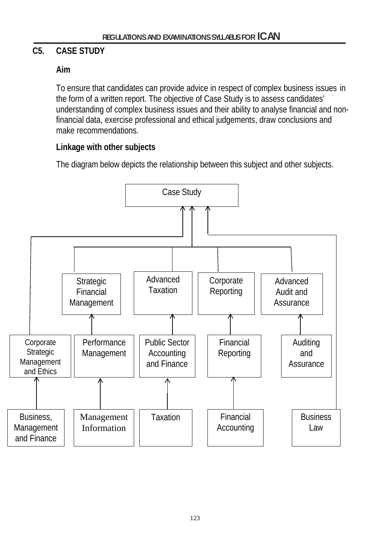## **C5. CASE STUDY**

### **Aim**

To ensure that candidates can provide advice in respect of complex business issues in the form of a written report. The objective of Case Study is to assess candidates' understanding of complex business issues and their ability to analyse financial and nonfinancial data, exercise professional and ethical judgements, draw conclusions and make recommendations.

### **Linkage with other subjects**

The diagram below depicts the relationship between this subject and other subjects.

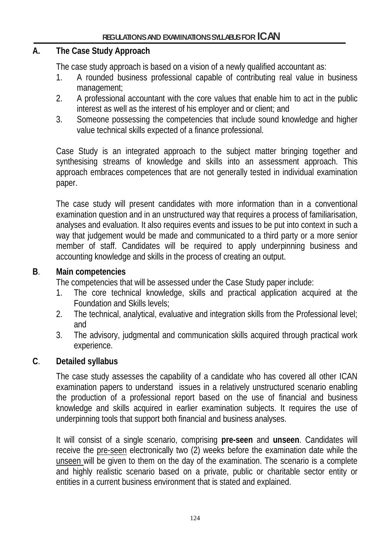#### **A. The Case Study Approach**

The case study approach is based on a vision of a newly qualified accountant as:

- 1. A rounded business professional capable of contributing real value in business management;
- 2. A professional accountant with the core values that enable him to act in the public interest as well as the interest of his employer and or client; and
- 3. Someone possessing the competencies that include sound knowledge and higher value technical skills expected of a finance professional.

Case Study is an integrated approach to the subject matter bringing together and synthesising streams of knowledge and skills into an assessment approach. This approach embraces competences that are not generally tested in individual examination paper.

The case study will present candidates with more information than in a conventional examination question and in an unstructured way that requires a process of familiarisation, analyses and evaluation. It also requires events and issues to be put into context in such a way that judgement would be made and communicated to a third party or a more senior member of staff. Candidates will be required to apply underpinning business and accounting knowledge and skills in the process of creating an output.

#### **B**. **Main competencies**

The competencies that will be assessed under the Case Study paper include:

- 1. The core technical knowledge, skills and practical application acquired at the Foundation and Skills levels;
- 2. The technical, analytical, evaluative and integration skills from the Professional level; and
- 3. The advisory, judgmental and communication skills acquired through practical work experience.

#### **C**. **Detailed syllabus**

The case study assesses the capability of a candidate who has covered all other ICAN examination papers to understand issues in a relatively unstructured scenario enabling the production of a professional report based on the use of financial and business knowledge and skills acquired in earlier examination subjects. It requires the use of underpinning tools that support both financial and business analyses.

It will consist of a single scenario, comprising **pre-seen** and **unseen**. Candidates will receive the pre-seen electronically two (2) weeks before the examination date while the unseen will be given to them on the day of the examination. The scenario is a complete and highly realistic scenario based on a private, public or charitable sector entity or entities in a current business environment that is stated and explained.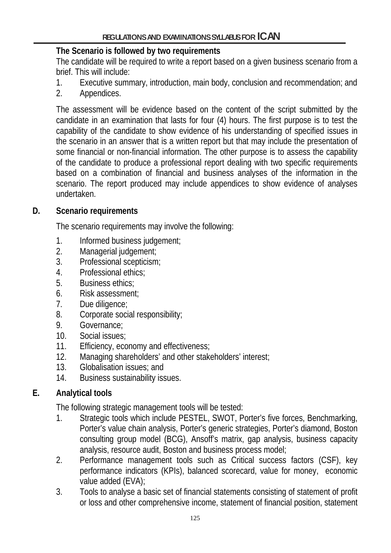#### **The Scenario is followed by two requirements**

The candidate will be required to write a report based on a given business scenario from a brief. This will include:

- 1. Executive summary, introduction, main body, conclusion and recommendation; and
- 2. Appendices.

The assessment will be evidence based on the content of the script submitted by the candidate in an examination that lasts for four (4) hours. The first purpose is to test the capability of the candidate to show evidence of his understanding of specified issues in the scenario in an answer that is a written report but that may include the presentation of some financial or non-financial information. The other purpose is to assess the capability of the candidate to produce a professional report dealing with two specific requirements based on a combination of financial and business analyses of the information in the scenario. The report produced may include appendices to show evidence of analyses undertaken.

### **D. Scenario requirements**

The scenario requirements may involve the following:

- 1. Informed business judgement;
- 2. Managerial judgement;
- 3. Professional scepticism;
- 4. Professional ethics;
- 5. Business ethics;
- 6. Risk assessment;
- 7. Due diligence;
- 8. Corporate social responsibility;
- 9. Governance;
- 10. Social issues;
- 11. Efficiency, economy and effectiveness;
- 12. Managing shareholders' and other stakeholders' interest;
- 13. Globalisation issues; and
- 14. Business sustainability issues.

## **E. Analytical tools**

The following strategic management tools will be tested:

- 1. Strategic tools which include PESTEL, SWOT, Porter's five forces, Benchmarking, Porter's value chain analysis, Porter's generic strategies, Porter's diamond, Boston consulting group model (BCG), Ansoff's matrix, gap analysis, business capacity analysis, resource audit, Boston and business process model;
- 2. Performance management tools such as Critical success factors (CSF), key performance indicators (KPIs), balanced scorecard, value for money, economic value added (EVA);
- 3. Tools to analyse a basic set of financial statements consisting of statement of profit or loss and other comprehensive income, statement of financial position, statement